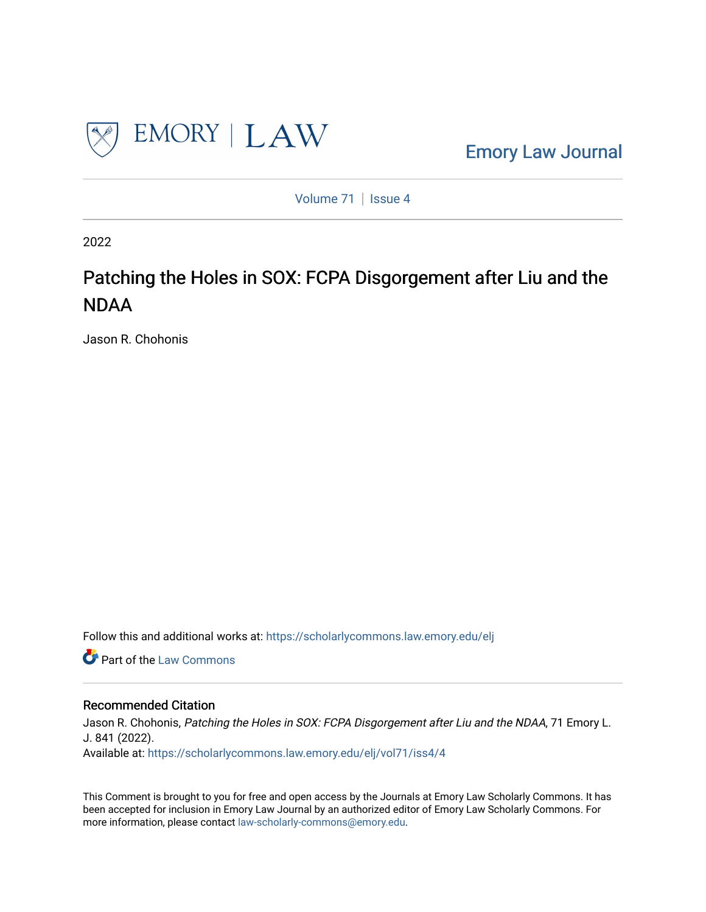

[Emory Law Journal](https://scholarlycommons.law.emory.edu/elj) 

[Volume 71](https://scholarlycommons.law.emory.edu/elj/vol71) | [Issue 4](https://scholarlycommons.law.emory.edu/elj/vol71/iss4)

2022

# Patching the Holes in SOX: FCPA Disgorgement after Liu and the NDAA

Jason R. Chohonis

Follow this and additional works at: [https://scholarlycommons.law.emory.edu/elj](https://scholarlycommons.law.emory.edu/elj?utm_source=scholarlycommons.law.emory.edu%2Felj%2Fvol71%2Fiss4%2F4&utm_medium=PDF&utm_campaign=PDFCoverPages) 

Part of the [Law Commons](http://network.bepress.com/hgg/discipline/578?utm_source=scholarlycommons.law.emory.edu%2Felj%2Fvol71%2Fiss4%2F4&utm_medium=PDF&utm_campaign=PDFCoverPages)

## Recommended Citation

Jason R. Chohonis, Patching the Holes in SOX: FCPA Disgorgement after Liu and the NDAA, 71 Emory L. J. 841 (2022). Available at: [https://scholarlycommons.law.emory.edu/elj/vol71/iss4/4](https://scholarlycommons.law.emory.edu/elj/vol71/iss4/4?utm_source=scholarlycommons.law.emory.edu%2Felj%2Fvol71%2Fiss4%2F4&utm_medium=PDF&utm_campaign=PDFCoverPages) 

This Comment is brought to you for free and open access by the Journals at Emory Law Scholarly Commons. It has been accepted for inclusion in Emory Law Journal by an authorized editor of Emory Law Scholarly Commons. For more information, please contact [law-scholarly-commons@emory.edu.](mailto:law-scholarly-commons@emory.edu)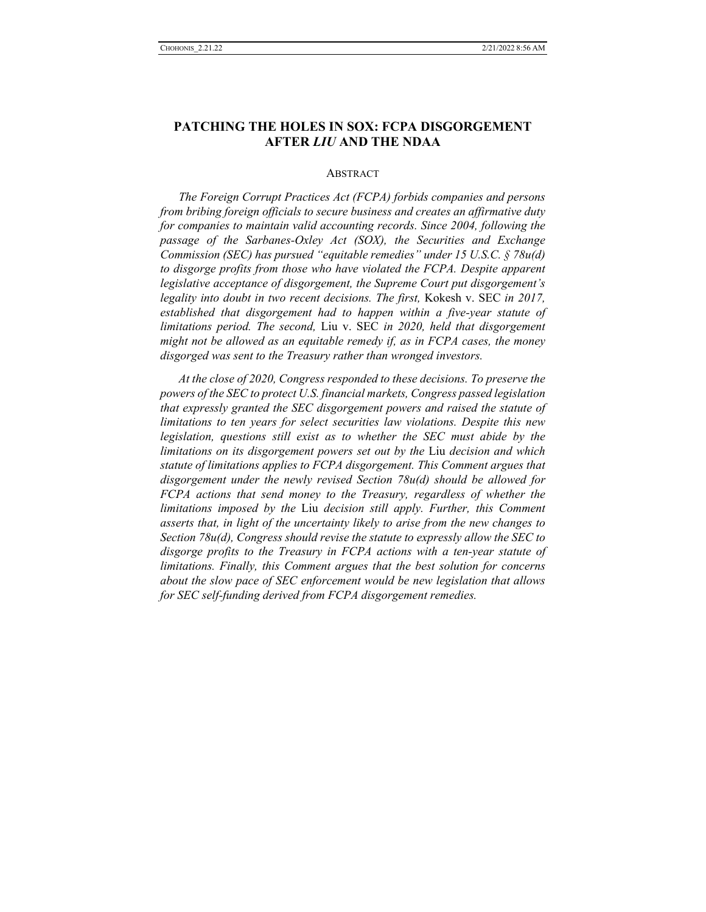## **PATCHING THE HOLES IN SOX: FCPA DISGORGEMENT AFTER** *LIU* **AND THE NDAA**

#### **ABSTRACT**

*The Foreign Corrupt Practices Act (FCPA) forbids companies and persons from bribing foreign officials to secure business and creates an affirmative duty for companies to maintain valid accounting records. Since 2004, following the passage of the Sarbanes-Oxley Act (SOX), the Securities and Exchange Commission (SEC) has pursued "equitable remedies" under 15 U.S.C. § 78u(d) to disgorge profits from those who have violated the FCPA. Despite apparent legislative acceptance of disgorgement, the Supreme Court put disgorgement's legality into doubt in two recent decisions. The first,* Kokesh v. SEC *in 2017, established that disgorgement had to happen within a five-year statute of limitations period. The second,* Liu v. SEC *in 2020, held that disgorgement might not be allowed as an equitable remedy if, as in FCPA cases, the money disgorged was sent to the Treasury rather than wronged investors.*

*At the close of 2020, Congress responded to these decisions. To preserve the powers of the SEC to protect U.S. financial markets, Congress passed legislation that expressly granted the SEC disgorgement powers and raised the statute of limitations to ten years for select securities law violations. Despite this new legislation, questions still exist as to whether the SEC must abide by the limitations on its disgorgement powers set out by the* Liu *decision and which statute of limitations applies to FCPA disgorgement. This Comment argues that disgorgement under the newly revised Section 78u(d) should be allowed for FCPA actions that send money to the Treasury, regardless of whether the limitations imposed by the* Liu *decision still apply. Further, this Comment asserts that, in light of the uncertainty likely to arise from the new changes to Section 78u(d), Congress should revise the statute to expressly allow the SEC to disgorge profits to the Treasury in FCPA actions with a ten-year statute of limitations. Finally, this Comment argues that the best solution for concerns about the slow pace of SEC enforcement would be new legislation that allows for SEC self-funding derived from FCPA disgorgement remedies.*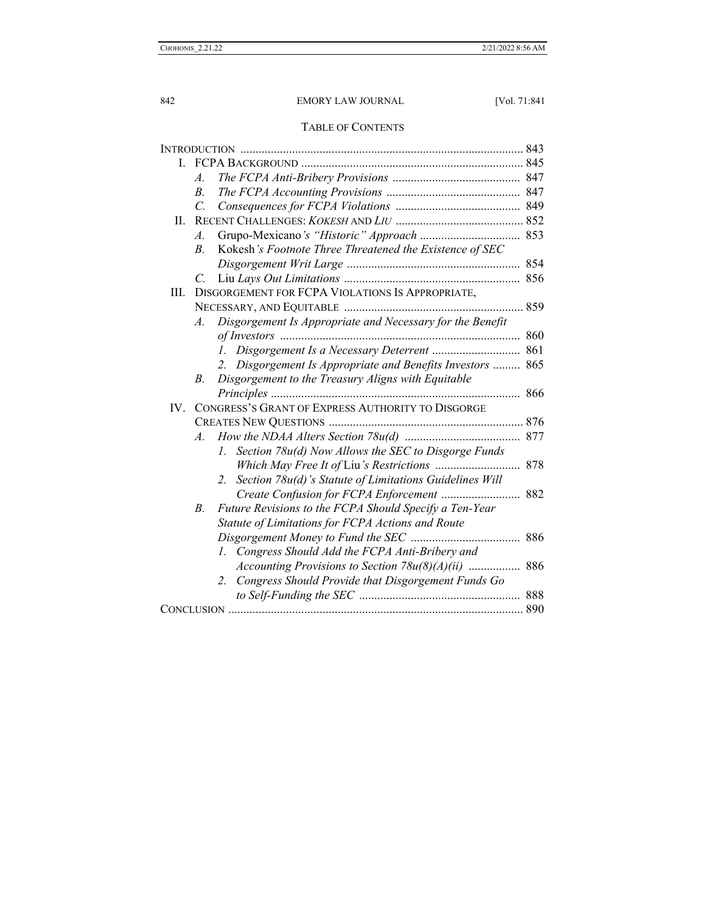## TABLE OF CONTENTS

| L    |                                                   |                                                               |     |
|------|---------------------------------------------------|---------------------------------------------------------------|-----|
|      | A.                                                |                                                               |     |
|      | $B_{\cdot}$                                       |                                                               |     |
|      | $\overline{C}$                                    |                                                               |     |
| II.  |                                                   |                                                               |     |
|      | $\mathcal{A}$ .                                   |                                                               |     |
|      | $\overline{B}$                                    | Kokesh's Footnote Three Threatened the Existence of SEC       |     |
|      |                                                   |                                                               | 854 |
|      | C.                                                |                                                               |     |
| III. | DISGORGEMENT FOR FCPA VIOLATIONS IS APPROPRIATE,  |                                                               |     |
|      |                                                   |                                                               |     |
|      | A.                                                | Disgorgement Is Appropriate and Necessary for the Benefit     |     |
|      |                                                   |                                                               | 860 |
|      |                                                   | Disgorgement Is a Necessary Deterrent  861<br>Ι.              |     |
|      |                                                   | Disgorgement Is Appropriate and Benefits Investors<br>2.      | 865 |
|      | B.                                                | Disgorgement to the Treasury Aligns with Equitable            |     |
|      |                                                   |                                                               | 866 |
| IV.  | CONGRESS'S GRANT OF EXPRESS AUTHORITY TO DISGORGE |                                                               |     |
|      |                                                   |                                                               |     |
|      | $A$ .                                             |                                                               |     |
|      |                                                   | Section 78u(d) Now Allows the SEC to Disgorge Funds<br>1.     |     |
|      |                                                   |                                                               | 878 |
|      |                                                   | Section 78u(d)'s Statute of Limitations Guidelines Will<br>2. |     |
|      |                                                   |                                                               | 882 |
|      | В.                                                | Future Revisions to the FCPA Should Specify a Ten-Year        |     |
|      |                                                   | Statute of Limitations for FCPA Actions and Route             |     |
|      |                                                   |                                                               | 886 |
|      |                                                   | Congress Should Add the FCPA Anti-Bribery and<br>1.           |     |
|      |                                                   | Accounting Provisions to Section $78u(8)(A)(ii)$              | 886 |
|      |                                                   | Congress Should Provide that Disgorgement Funds Go<br>2.      |     |
|      |                                                   |                                                               | 888 |
|      |                                                   |                                                               |     |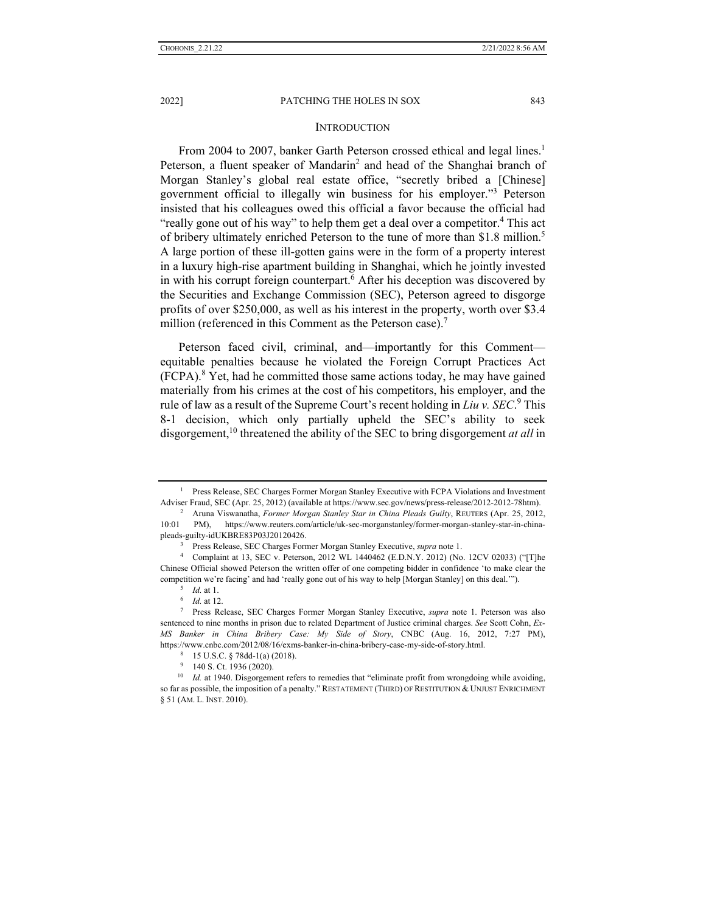#### **INTRODUCTION**

From 2004 to 2007, banker Garth Peterson crossed ethical and legal lines.<sup>1</sup> Peterson, a fluent speaker of Mandarin<sup>2</sup> and head of the Shanghai branch of Morgan Stanley's global real estate office, "secretly bribed a [Chinese] government official to illegally win business for his employer."3 Peterson insisted that his colleagues owed this official a favor because the official had "really gone out of his way" to help them get a deal over a competitor.<sup>4</sup> This act of bribery ultimately enriched Peterson to the tune of more than \$1.8 million.<sup>5</sup> A large portion of these ill-gotten gains were in the form of a property interest in a luxury high-rise apartment building in Shanghai, which he jointly invested in with his corrupt foreign counterpart.<sup>6</sup> After his deception was discovered by the Securities and Exchange Commission (SEC), Peterson agreed to disgorge profits of over \$250,000, as well as his interest in the property, worth over \$3.4 million (referenced in this Comment as the Peterson case).<sup>7</sup>

Peterson faced civil, criminal, and—importantly for this Comment equitable penalties because he violated the Foreign Corrupt Practices Act (FCPA).<sup>8</sup> Yet, had he committed those same actions today, he may have gained materially from his crimes at the cost of his competitors, his employer, and the rule of law as a result of the Supreme Court's recent holding in *Liu v. SEC*. <sup>9</sup> This 8-1 decision, which only partially upheld the SEC's ability to seek disgorgement,<sup>10</sup> threatened the ability of the SEC to bring disgorgement *at all* in

<sup>9</sup> 140 S. Ct. 1936 (2020).

<sup>&</sup>lt;sup>1</sup> Press Release, SEC Charges Former Morgan Stanley Executive with FCPA Violations and Investment Adviser Fraud, SEC (Apr. 25, 2012) (available at https://www.sec.gov/news/press-release/2012-2012-78htm). 2

Aruna Viswanatha, *Former Morgan Stanley Star in China Pleads Guilty*, REUTERS (Apr. 25, 2012, 10:01 PM), https://www.reuters.com/article/uk-sec-morganstanley/former-morgan-stanley-star-in-chinapleads-guilty-idUKBRE83P03J20120426.<br><sup>3</sup> Press Release, SEC Charges Former Morgan Stanley Executive, *supra* note 1.

<sup>&</sup>lt;sup>4</sup> Complaint at 13, SEC v. Peterson, 2012 WL 1440462 (E.D.N.Y. 2012) (No. 12CV 02033) ("[T]he Chinese Official showed Peterson the written offer of one competing bidder in confidence 'to make clear the competition we're facing' and had 'really gone out of his way to help [Morgan Stanley] on this deal.'"). 5 *Id.* at 1. 6 *Id.* at 12. 7

Press Release, SEC Charges Former Morgan Stanley Executive, *supra* note 1. Peterson was also sentenced to nine months in prison due to related Department of Justice criminal charges. *See* Scott Cohn, *Ex-MS Banker in China Bribery Case: My Side of Story*, CNBC (Aug. 16, 2012, 7:27 PM), https://www.cnbc.com/2012/08/16/exms-banker-in-china-bribery-case-my-side-of-story.html.<br><sup>8</sup> 15 U.S.C. § 78dd-1(a) (2018).

<sup>&</sup>lt;sup>10</sup> *Id.* at 1940. Disgorgement refers to remedies that "eliminate profit from wrongdoing while avoiding, so far as possible, the imposition of a penalty." RESTATEMENT (THIRD) OF RESTITUTION & UNJUST ENRICHMENT § 51 (AM. L. INST. 2010).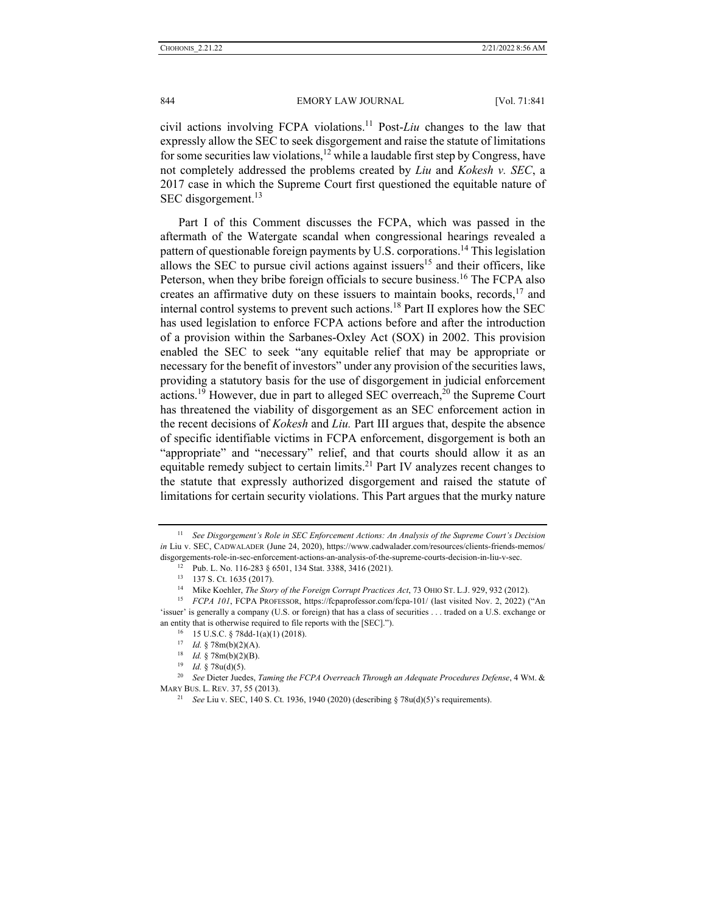civil actions involving FCPA violations.11 Post-*Liu* changes to the law that expressly allow the SEC to seek disgorgement and raise the statute of limitations for some securities law violations,<sup>12</sup> while a laudable first step by Congress, have not completely addressed the problems created by *Liu* and *Kokesh v. SEC*, a 2017 case in which the Supreme Court first questioned the equitable nature of SEC disgorgement.<sup>13</sup>

Part I of this Comment discusses the FCPA, which was passed in the aftermath of the Watergate scandal when congressional hearings revealed a pattern of questionable foreign payments by U.S. corporations.<sup>14</sup> This legislation allows the SEC to pursue civil actions against issuers<sup>15</sup> and their officers, like Peterson, when they bribe foreign officials to secure business.<sup>16</sup> The FCPA also creates an affirmative duty on these issuers to maintain books, records,  $17$  and internal control systems to prevent such actions.<sup>18</sup> Part II explores how the SEC has used legislation to enforce FCPA actions before and after the introduction of a provision within the Sarbanes-Oxley Act (SOX) in 2002. This provision enabled the SEC to seek "any equitable relief that may be appropriate or necessary for the benefit of investors" under any provision of the securities laws, providing a statutory basis for the use of disgorgement in judicial enforcement actions.<sup>19</sup> However, due in part to alleged SEC overreach,<sup>20</sup> the Supreme Court has threatened the viability of disgorgement as an SEC enforcement action in the recent decisions of *Kokesh* and *Liu.* Part III argues that, despite the absence of specific identifiable victims in FCPA enforcement, disgorgement is both an "appropriate" and "necessary" relief, and that courts should allow it as an equitable remedy subject to certain limits.<sup>21</sup> Part IV analyzes recent changes to the statute that expressly authorized disgorgement and raised the statute of limitations for certain security violations. This Part argues that the murky nature

<sup>11</sup> *See Disgorgement's Role in SEC Enforcement Actions: An Analysis of the Supreme Court's Decision in* Liu v. SEC, CADWALADER (June 24, 2020), https://www.cadwalader.com/resources/clients-friends-memos/ disgorgements-role-in-sec-enforcement-actions-an-analysis-of-the-supreme-courts-decision-in-liu-v-sec. <sup>12</sup> Pub. L. No. 116-283 § 6501, 134 Stat. 3388, 3416 (2021).

<sup>&</sup>lt;sup>13</sup> 137 S. Ct. 1635 (2017).<br><sup>14</sup> Mike Koehler, *The Story of the Foreign Corrupt Practices Act*, 73 OHIO ST. L.J. 929, 932 (2012).

<sup>&</sup>lt;sup>15</sup> *FCPA 101*, FCPA PROFESSOR, https://fcpaprofessor.com/fcpa-101/ (last visited Nov. 2, 2022) ("An 'issuer' is generally a company (U.S. or foreign) that has a class of securities . . . traded on a U.S. exchange or an entity that is otherwise required to file reports with the [SEC].").<br><sup>16</sup> 15 U.S.C. § 78dd-1(a)(1) (2018).<br><sup>17</sup> *Id.* § 78m(b)(2)(A).

<sup>17</sup> *Id.* § 78m(b)(2)(A). 18 *Id.* § 78m(b)(2)(B). 19 *Id.* § 78u(d)(5). 20 *See* Dieter Juedes, *Taming the FCPA Overreach Through an Adequate Procedures Defense*, 4 WM. & MARY BUS. L. REV. 37, 55 (2013). 21 *See* Liu v. SEC, 140 S. Ct. 1936, 1940 (2020) (describing § 78u(d)(5)'s requirements).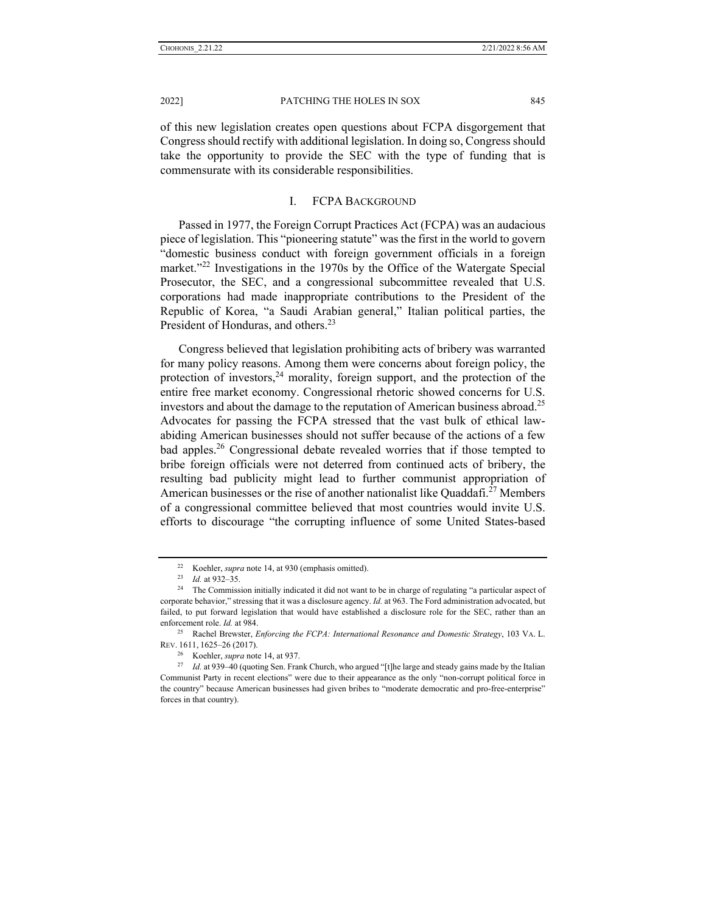of this new legislation creates open questions about FCPA disgorgement that Congress should rectify with additional legislation. In doing so, Congress should take the opportunity to provide the SEC with the type of funding that is commensurate with its considerable responsibilities.

## I. FCPA BACKGROUND

Passed in 1977, the Foreign Corrupt Practices Act (FCPA) was an audacious piece of legislation. This "pioneering statute" was the first in the world to govern "domestic business conduct with foreign government officials in a foreign market."<sup>22</sup> Investigations in the 1970s by the Office of the Watergate Special Prosecutor, the SEC, and a congressional subcommittee revealed that U.S. corporations had made inappropriate contributions to the President of the Republic of Korea, "a Saudi Arabian general," Italian political parties, the President of Honduras, and others.<sup>23</sup>

Congress believed that legislation prohibiting acts of bribery was warranted for many policy reasons. Among them were concerns about foreign policy, the protection of investors,  $24$  morality, foreign support, and the protection of the entire free market economy. Congressional rhetoric showed concerns for U.S. investors and about the damage to the reputation of American business abroad.<sup>25</sup> Advocates for passing the FCPA stressed that the vast bulk of ethical lawabiding American businesses should not suffer because of the actions of a few bad apples.<sup>26</sup> Congressional debate revealed worries that if those tempted to bribe foreign officials were not deterred from continued acts of bribery, the resulting bad publicity might lead to further communist appropriation of American businesses or the rise of another nationalist like Quaddafi.<sup>27</sup> Members of a congressional committee believed that most countries would invite U.S. efforts to discourage "the corrupting influence of some United States-based

<sup>22</sup> Koehler, *supra* note 14, at 930 (emphasis omitted).<br>23 *Id.* at 932–35.<br><sup>24</sup> The Commission initially indicated it did not want to be in charge of regulating "a particular aspect of corporate behavior," stressing that it was a disclosure agency. *Id.* at 963. The Ford administration advocated, but failed, to put forward legislation that would have established a disclosure role for the SEC, rather than an enforcement role. *Id.* at 984.<br><sup>25</sup> Rachel Brewster, *Enforcing the FCPA: International Resonance and Domestic Strategy*, 103 VA. L.

REV. 1611, 1625–26 (2017).<br><sup>26</sup> Koehler, *supra* note 14, at 937.<br><sup>27</sup> *Id.* at 939–40 (quoting Sen. Frank Church, who argued "[t]he large and steady gains made by the Italian

Communist Party in recent elections" were due to their appearance as the only "non-corrupt political force in the country" because American businesses had given bribes to "moderate democratic and pro-free-enterprise" forces in that country).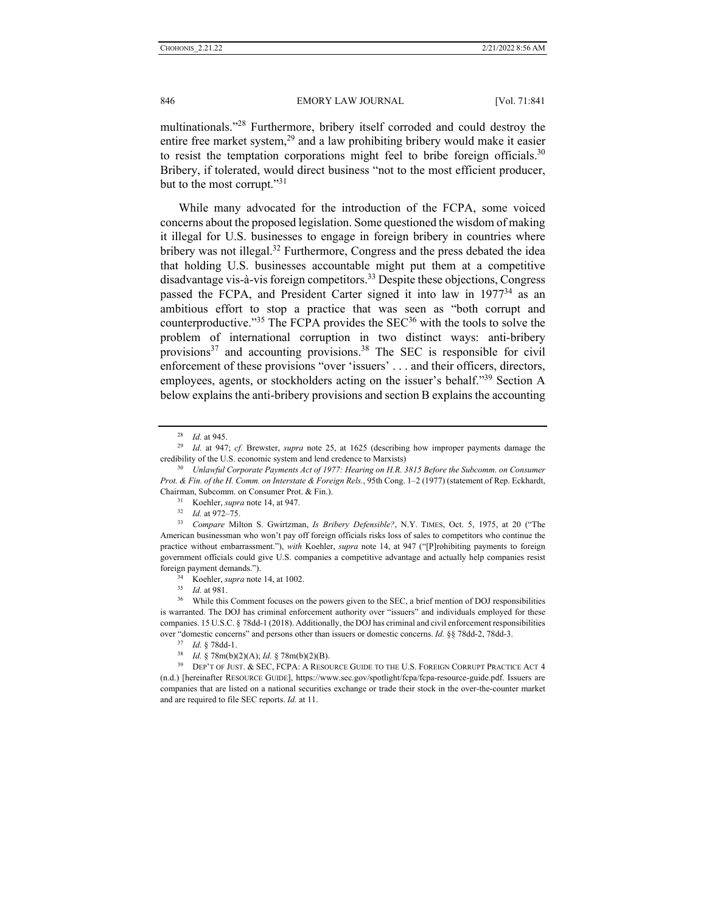multinationals."<sup>28</sup> Furthermore, bribery itself corroded and could destroy the entire free market system,<sup>29</sup> and a law prohibiting bribery would make it easier to resist the temptation corporations might feel to bribe foreign officials.<sup>30</sup> Bribery, if tolerated, would direct business "not to the most efficient producer, but to the most corrupt."<sup>31</sup>

While many advocated for the introduction of the FCPA, some voiced concerns about the proposed legislation. Some questioned the wisdom of making it illegal for U.S. businesses to engage in foreign bribery in countries where bribery was not illegal.<sup>32</sup> Furthermore, Congress and the press debated the idea that holding U.S. businesses accountable might put them at a competitive disadvantage vis-à-vis foreign competitors.<sup>33</sup> Despite these objections, Congress passed the FCPA, and President Carter signed it into law in 1977<sup>34</sup> as an ambitious effort to stop a practice that was seen as "both corrupt and counterproductive."<sup>35</sup> The FCPA provides the SEC<sup>36</sup> with the tools to solve the problem of international corruption in two distinct ways: anti-bribery provisions $37$  and accounting provisions.<sup>38</sup> The SEC is responsible for civil enforcement of these provisions "over 'issuers' . . . and their officers, directors, employees, agents, or stockholders acting on the issuer's behalf."<sup>39</sup> Section A below explains the anti-bribery provisions and section B explains the accounting

over "domestic concerns" and persons other than issuers or domestic concerns. *Id.* §§ 78dd-2, 78dd-3.<br><sup>37</sup> *Id.* § 78dd-1.<br><sup>38</sup> *Id.* § 78m(b)(2)(A); *Id.* § 78m(b)(2)(B).<br><sup>39</sup> DEP'T OF JUST. & SEC, FCPA: A RESOURCE GUIDE (n.d.) [hereinafter RESOURCE GUIDE], https://www.sec.gov/spotlight/fcpa/fcpa-resource-guide.pdf. Issuers are companies that are listed on a national securities exchange or trade their stock in the over-the-counter market and are required to file SEC reports. *Id.* at 11.

<sup>28</sup> *Id.* at 945. 29 *Id.* at 947; *cf.* Brewster, *supra* note 25, at 1625 (describing how improper payments damage the credibility of the U.S. economic system and lend credence to Marxists) 30 *Unlawful Corporate Payments Act of 1977: Hearing on H.R. 3815 Before the Subcomm. on Consumer* 

*Prot. & Fin. of the H. Comm. on Interstate & Foreign Rels.*, 95th Cong. 1–2 (1977) (statement of Rep. Eckhardt, Chairman, Subcomm. on Consumer Prot. & Fin.). 31 Koehler, *supra* note 14, at 947. 32 *Id.* at 972–75. 33 *Compare* Milton S. Gwirtzman, *Is Bribery Defensible?*, N.Y. TIMES, Oct. 5, 1975, at 20 ("The

American businessman who won't pay off foreign officials risks loss of sales to competitors who continue the practice without embarrassment."), *with* Koehler, *supra* note 14, at 947 ("[P]rohibiting payments to foreign government officials could give U.S. companies a competitive advantage and actually help companies resist foreign payment demands.").<br><sup>34</sup> Koehler, *supra* note 14, at 1002.<br><sup>35</sup> *Id.* at 981.<br><sup>36</sup> While this Comment focuses on the powers given to the SEC, a brief mention of DOJ responsibilities

is warranted. The DOJ has criminal enforcement authority over "issuers" and individuals employed for these companies. 15 U.S.C. § 78dd-1 (2018). Additionally, the DOJ has criminal and civil enforcement responsibilities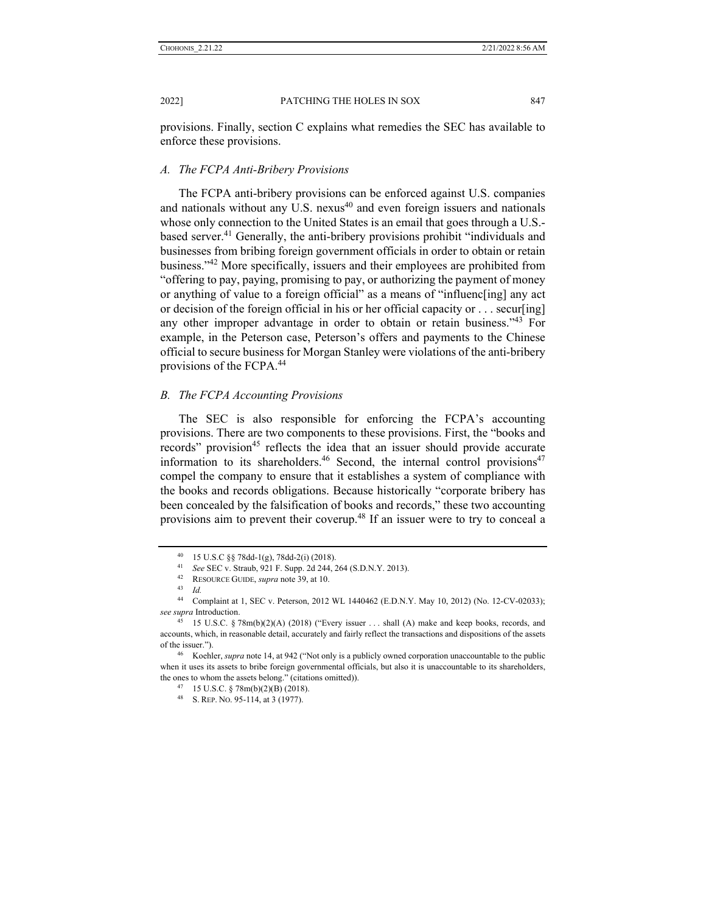provisions. Finally, section C explains what remedies the SEC has available to enforce these provisions.

### *A. The FCPA Anti-Bribery Provisions*

The FCPA anti-bribery provisions can be enforced against U.S. companies and nationals without any U.S. nexus $40$  and even foreign issuers and nationals whose only connection to the United States is an email that goes through a U.S.based server.<sup>41</sup> Generally, the anti-bribery provisions prohibit "individuals and businesses from bribing foreign government officials in order to obtain or retain business."<sup>42</sup> More specifically, issuers and their employees are prohibited from "offering to pay, paying, promising to pay, or authorizing the payment of money or anything of value to a foreign official" as a means of "influenc[ing] any act or decision of the foreign official in his or her official capacity or . . . secur[ing] any other improper advantage in order to obtain or retain business."<sup>43</sup> For example, in the Peterson case, Peterson's offers and payments to the Chinese official to secure business for Morgan Stanley were violations of the anti-bribery provisions of the FCPA.44

#### *B. The FCPA Accounting Provisions*

The SEC is also responsible for enforcing the FCPA's accounting provisions. There are two components to these provisions. First, the "books and records" provision<sup>45</sup> reflects the idea that an issuer should provide accurate information to its shareholders.<sup>46</sup> Second, the internal control provisions<sup>47</sup> compel the company to ensure that it establishes a system of compliance with the books and records obligations. Because historically "corporate bribery has been concealed by the falsification of books and records," these two accounting provisions aim to prevent their coverup.<sup>48</sup> If an issuer were to try to conceal a

<sup>40 15</sup> U.S.C §§ 78dd-1(g), 78dd-2(i) (2018).

<sup>41</sup> *See* SEC v. Straub, 921 F. Supp. 2d 244, 264 (S.D.N.Y. 2013). 42 RESOURCE GUIDE, *supra* note 39, at 10. 43 *Id.* 

Complaint at 1, SEC v. Peterson, 2012 WL 1440462 (E.D.N.Y. May 10, 2012) (No. 12-CV-02033); *see supra* Introduction. 45 15 U.S.C. § 78m(b)(2)(A) (2018) ("Every issuer . . . shall (A) make and keep books, records, and

accounts, which, in reasonable detail, accurately and fairly reflect the transactions and dispositions of the assets of the issuer."). 46 Koehler, *supra* note 14, at 942 ("Not only is a publicly owned corporation unaccountable to the public

when it uses its assets to bribe foreign governmental officials, but also it is unaccountable to its shareholders, the ones to whom the assets belong." (citations omitted)).  $47 \quad 15 \text{ U.S.C. }$  § 78m(b)(2)(B) (2018).

<sup>48</sup> S. REP. NO. 95-114, at 3 (1977).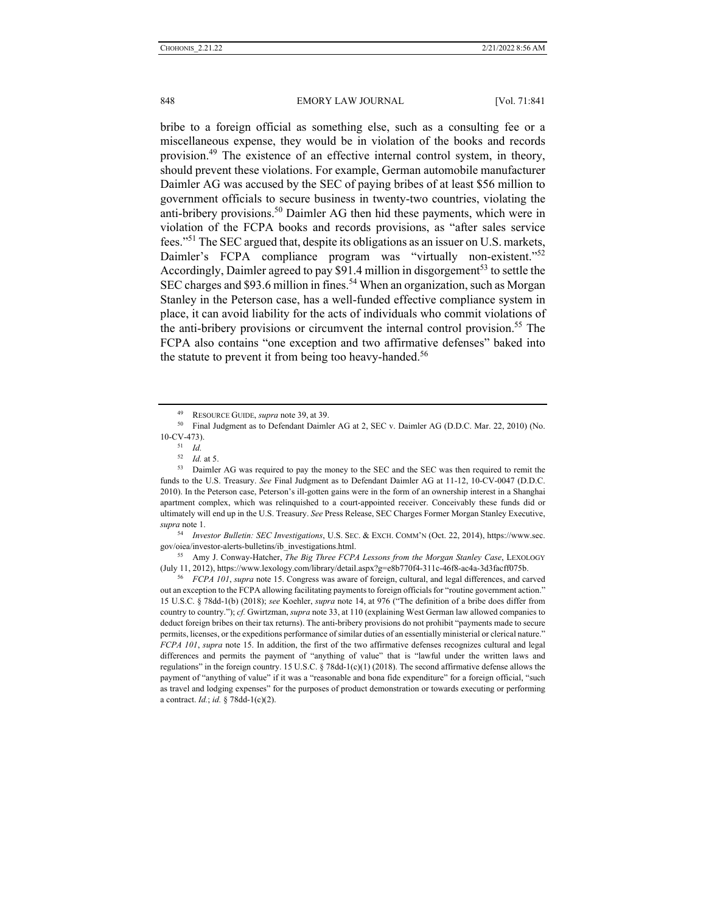bribe to a foreign official as something else, such as a consulting fee or a miscellaneous expense, they would be in violation of the books and records provision.49 The existence of an effective internal control system, in theory, should prevent these violations. For example, German automobile manufacturer Daimler AG was accused by the SEC of paying bribes of at least \$56 million to government officials to secure business in twenty-two countries, violating the anti-bribery provisions.<sup>50</sup> Daimler AG then hid these payments, which were in violation of the FCPA books and records provisions, as "after sales service fees."51 The SEC argued that, despite its obligations as an issuer on U.S. markets, Daimler's FCPA compliance program was "virtually non-existent."<sup>52</sup> Accordingly, Daimler agreed to pay \$91.4 million in disgorgement<sup>53</sup> to settle the SEC charges and \$93.6 million in fines.<sup>54</sup> When an organization, such as Morgan Stanley in the Peterson case, has a well-funded effective compliance system in place, it can avoid liability for the acts of individuals who commit violations of the anti-bribery provisions or circumvent the internal control provision.<sup>55</sup> The FCPA also contains "one exception and two affirmative defenses" baked into the statute to prevent it from being too heavy-handed.<sup>56</sup>

<sup>54</sup> *Investor Bulletin: SEC Investigations*, U.S. SEC. & EXCH. COMM'N (Oct. 22, 2014), https://www.sec. gov/oiea/investor-alerts-bulletins/ib\_investigations.html. 55 Amy J. Conway-Hatcher, *The Big Three FCPA Lessons from the Morgan Stanley Case*, LEXOLOGY

(July 11, 2012), https://www.lexology.com/library/detail.aspx?g=e8b770f4-311c-46f8-ac4a-3d3facff075b. 56 *FCPA 101*, *supra* note 15. Congress was aware of foreign, cultural, and legal differences, and carved

out an exception to the FCPA allowing facilitating payments to foreign officials for "routine government action." 15 U.S.C. § 78dd-1(b) (2018); *see* Koehler, *supra* note 14, at 976 ("The definition of a bribe does differ from country to country."); *cf.* Gwirtzman, *supra* note 33, at 110 (explaining West German law allowed companies to deduct foreign bribes on their tax returns). The anti-bribery provisions do not prohibit "payments made to secure permits, licenses, or the expeditions performance of similar duties of an essentially ministerial or clerical nature." *FCPA 101*, *supra* note 15. In addition, the first of the two affirmative defenses recognizes cultural and legal differences and permits the payment of "anything of value" that is "lawful under the written laws and regulations" in the foreign country. 15 U.S.C. § 78dd-1(c)(1) (2018). The second affirmative defense allows the payment of "anything of value" if it was a "reasonable and bona fide expenditure" for a foreign official, "such as travel and lodging expenses" for the purposes of product demonstration or towards executing or performing a contract. *Id.*; *id.* § 78dd-1(c)(2).

<sup>&</sup>lt;sup>49</sup> RESOURCE GUIDE, *supra* note 39, at 39.<br><sup>50</sup> Final Judgment as to Defendant Daimler AG at 2, SEC v. Daimler AG (D.D.C. Mar. 22, 2010) (No. 10-CV-473).<br> $\frac{51}{52}$  *Id.*<br> $\frac{52}{16}$  at 5.

<sup>53</sup> Daimler AG was required to pay the money to the SEC and the SEC was then required to remit the funds to the U.S. Treasury. *See* Final Judgment as to Defendant Daimler AG at 11-12, 10-CV-0047 (D.D.C. 2010). In the Peterson case, Peterson's ill-gotten gains were in the form of an ownership interest in a Shanghai apartment complex, which was relinquished to a court-appointed receiver. Conceivably these funds did or ultimately will end up in the U.S. Treasury. *See* Press Release, SEC Charges Former Morgan Stanley Executive, *supra* note 1.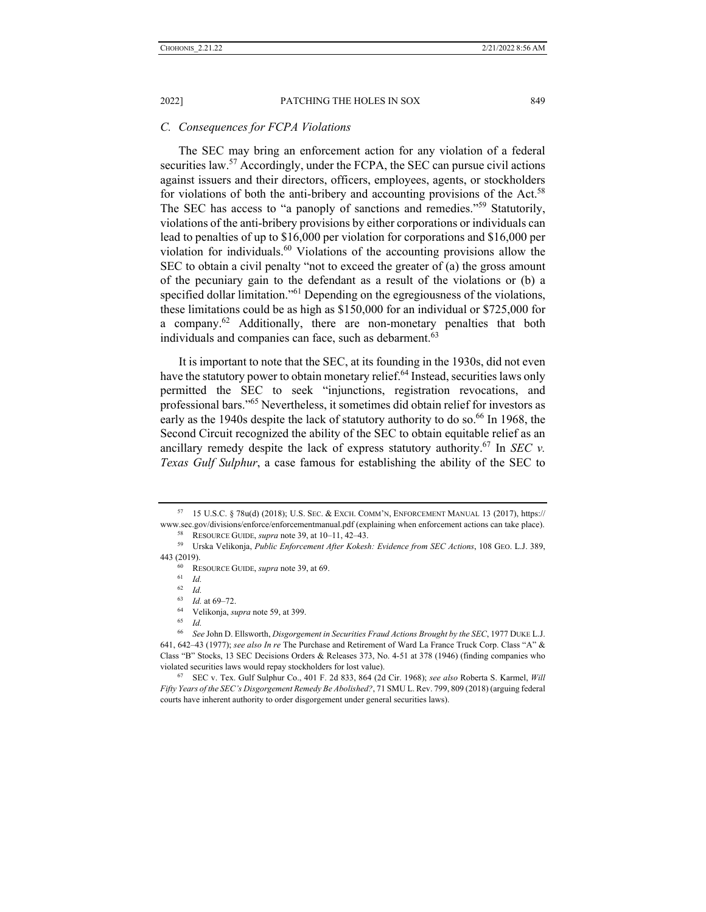#### *C. Consequences for FCPA Violations*

The SEC may bring an enforcement action for any violation of a federal securities law.<sup>57</sup> Accordingly, under the FCPA, the SEC can pursue civil actions against issuers and their directors, officers, employees, agents, or stockholders for violations of both the anti-bribery and accounting provisions of the Act.<sup>58</sup> The SEC has access to "a panoply of sanctions and remedies."<sup>59</sup> Statutorily, violations of the anti-bribery provisions by either corporations or individuals can lead to penalties of up to \$16,000 per violation for corporations and \$16,000 per violation for individuals.<sup>60</sup> Violations of the accounting provisions allow the SEC to obtain a civil penalty "not to exceed the greater of (a) the gross amount of the pecuniary gain to the defendant as a result of the violations or (b) a specified dollar limitation."<sup>61</sup> Depending on the egregiousness of the violations, these limitations could be as high as \$150,000 for an individual or \$725,000 for a company.<sup>62</sup> Additionally, there are non-monetary penalties that both individuals and companies can face, such as debarment.<sup>63</sup>

It is important to note that the SEC, at its founding in the 1930s, did not even have the statutory power to obtain monetary relief.<sup>64</sup> Instead, securities laws only permitted the SEC to seek "injunctions, registration revocations, and professional bars."65 Nevertheless, it sometimes did obtain relief for investors as early as the 1940s despite the lack of statutory authority to do so.<sup>66</sup> In 1968, the Second Circuit recognized the ability of the SEC to obtain equitable relief as an ancillary remedy despite the lack of express statutory authority.<sup>67</sup> In *SEC v. Texas Gulf Sulphur*, a case famous for establishing the ability of the SEC to

<sup>57 15</sup> U.S.C. § 78u(d) (2018); U.S. SEC. & EXCH. COMM'N, ENFORCEMENT MANUAL 13 (2017), https://

www.sec.gov/divisions/enforce/enforcementmanual.pdf (explaining when enforcement actions can take place).<br><sup>58</sup> RESOURCE GUIDE, *supra* note 39, at 10-11, 42-43.<br><sup>59</sup> Urska Velikonja, *Public Enforcement After Kokesh: Evide* 443 (2019). 60 RESOURCE GUIDE, *supra* note 39, at 69. 61 *Id.*

<sup>62</sup> *Id.*

<sup>63</sup> *Id.* at 69–72. 64 Velikonja, *supra* note 59, at 399. 65 *Id.*

<sup>66</sup> *See* John D. Ellsworth, *Disgorgement in Securities Fraud Actions Brought by the SEC*, 1977 DUKE L.J. 641, 642–43 (1977); *see also In re* The Purchase and Retirement of Ward La France Truck Corp. Class "A" & Class "B" Stocks, 13 SEC Decisions Orders & Releases 373, No. 4-51 at 378 (1946) (finding companies who violated securities laws would repay stockholders for lost value). 67 SEC v. Tex. Gulf Sulphur Co., 401 F. 2d 833, 864 (2d Cir. 1968); *see also* Roberta S. Karmel, *Will* 

*Fifty Years of the SEC's Disgorgement Remedy Be Abolished?*, 71 SMU L. Rev. 799, 809 (2018) (arguing federal courts have inherent authority to order disgorgement under general securities laws).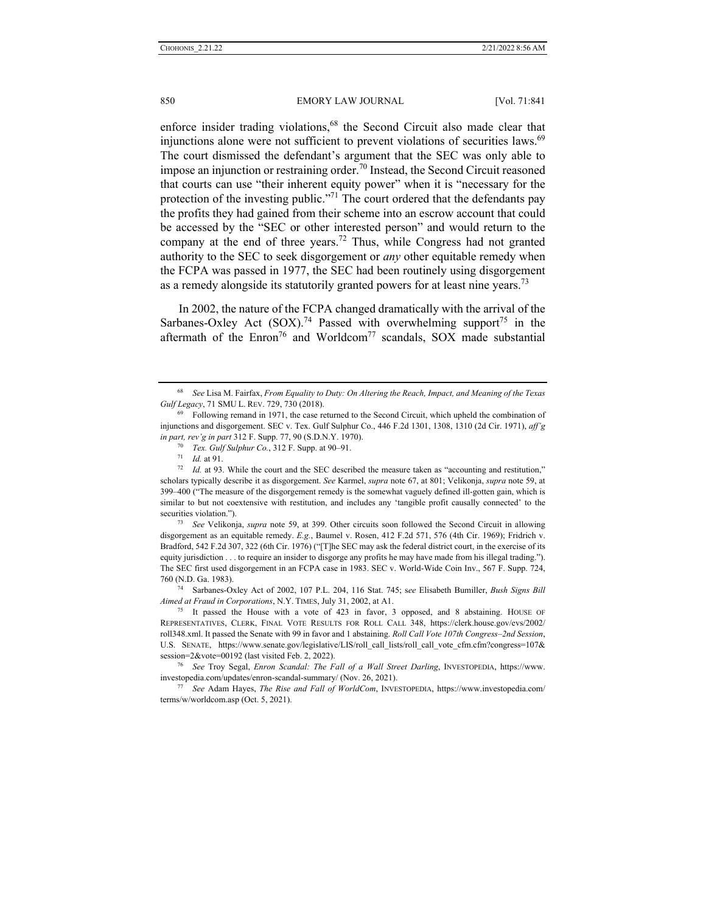enforce insider trading violations,<sup>68</sup> the Second Circuit also made clear that injunctions alone were not sufficient to prevent violations of securities laws.<sup>69</sup> The court dismissed the defendant's argument that the SEC was only able to impose an injunction or restraining order.<sup>70</sup> Instead, the Second Circuit reasoned that courts can use "their inherent equity power" when it is "necessary for the protection of the investing public."<sup>71</sup> The court ordered that the defendants pay the profits they had gained from their scheme into an escrow account that could be accessed by the "SEC or other interested person" and would return to the company at the end of three years.<sup>72</sup> Thus, while Congress had not granted authority to the SEC to seek disgorgement or *any* other equitable remedy when the FCPA was passed in 1977, the SEC had been routinely using disgorgement as a remedy alongside its statutorily granted powers for at least nine years.<sup>73</sup>

In 2002, the nature of the FCPA changed dramatically with the arrival of the Sarbanes-Oxley Act  $(SOX).<sup>74</sup>$  Passed with overwhelming support<sup>75</sup> in the aftermath of the Enron<sup>76</sup> and Worldcom<sup>77</sup> scandals, SOX made substantial

disgorgement as an equitable remedy. *E.g.*, Baumel v. Rosen, 412 F.2d 571, 576 (4th Cir. 1969); Fridrich v. Bradford, 542 F.2d 307, 322 (6th Cir. 1976) ("[T]he SEC may ask the federal district court, in the exercise of its equity jurisdiction . . . to require an insider to disgorge any profits he may have made from his illegal trading."). The SEC first used disgorgement in an FCPA case in 1983. SEC v. World-Wide Coin Inv., 567 F. Supp. 724, 760 (N.D. Ga. 1983). 74 Sarbanes-Oxley Act of 2002, 107 P.L. 204, 116 Stat. 745; s*ee* Elisabeth Bumiller, *Bush Signs Bill* 

*Aimed at Fraud in Corporations*, N.Y. TIMES, July 31, 2002, at A1. <sup>75</sup> It passed the House with a vote of 423 in favor, 3 opposed, and 8 abstaining. HOUSE OF

REPRESENTATIVES, CLERK, FINAL VOTE RESULTS FOR ROLL CALL 348, https://clerk.house.gov/evs/2002/ roll348.xml. It passed the Senate with 99 in favor and 1 abstaining. *Roll Call Vote 107th Congress–2nd Session*, U.S. SENATE, https://www.senate.gov/legislative/LIS/roll\_call\_lists/roll\_call\_vote\_cfm.cfm?congress=107& session=2&vote=00192 (last visited Feb. 2, 2022). 76 *See* Troy Segal, *Enron Scandal: The Fall of a Wall Street Darling*, INVESTOPEDIA, https://www.

investopedia.com/updates/enron-scandal-summary/ (Nov. 26, 2021). 77 *See* Adam Hayes, *The Rise and Fall of WorldCom*, INVESTOPEDIA, https://www.investopedia.com/

terms/w/worldcom.asp (Oct. 5, 2021).

<sup>68</sup> *See* Lisa M. Fairfax, *From Equality to Duty: On Altering the Reach, Impact, and Meaning of the Texas Gulf Legacy*, 71 SMU L. REV. 729, 730 (2018).<br><sup>69</sup> Following remand in 1971, the case returned to the Second Circuit, which upheld the combination of

injunctions and disgorgement. SEC v. Tex. Gulf Sulphur Co., 446 F.2d 1301, 1308, 1310 (2d Cir. 1971), *aff'g* 

in part, rev'g in part 312 F. Supp. 77, 90 (S.D.N.Y. 1970).<br>
<sup>70</sup> Tex. Gulf Sulphur Co., 312 F. Supp. at 90–91.<br>
<sup>71</sup> Id. at 91.<br>
<sup>72</sup> Id. at 93. While the court and the SEC described the measure taken as "accounting and scholars typically describe it as disgorgement. *See* Karmel, *supra* note 67, at 801; Velikonja, *supra* note 59, at 399–400 ("The measure of the disgorgement remedy is the somewhat vaguely defined ill-gotten gain, which is similar to but not coextensive with restitution, and includes any 'tangible profit causally connected' to the securities violation."). 73 *See* Velikonja, *supra* note 59, at 399. Other circuits soon followed the Second Circuit in allowing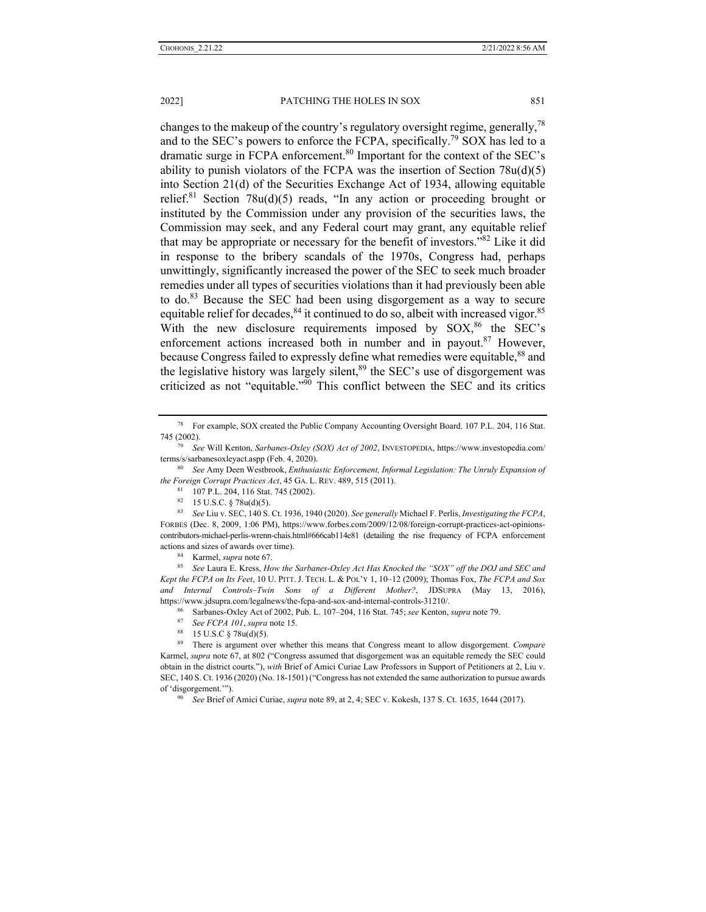changes to the makeup of the country's regulatory oversight regime, generally,  $^{78}$ and to the SEC's powers to enforce the FCPA, specifically.<sup>79</sup> SOX has led to a dramatic surge in FCPA enforcement.<sup>80</sup> Important for the context of the SEC's ability to punish violators of the FCPA was the insertion of Section  $78u(d)(5)$ into Section 21(d) of the Securities Exchange Act of 1934, allowing equitable relief.<sup>81</sup> Section 78u(d)(5) reads, "In any action or proceeding brought or instituted by the Commission under any provision of the securities laws, the Commission may seek, and any Federal court may grant, any equitable relief that may be appropriate or necessary for the benefit of investors."82 Like it did in response to the bribery scandals of the 1970s, Congress had, perhaps unwittingly, significantly increased the power of the SEC to seek much broader remedies under all types of securities violations than it had previously been able to do.83 Because the SEC had been using disgorgement as a way to secure equitable relief for decades,  $84$  it continued to do so, albeit with increased vigor.  $85$ With the new disclosure requirements imposed by  $SOX<sub>1</sub><sup>86</sup>$  the SEC's enforcement actions increased both in number and in payout.<sup>87</sup> However, because Congress failed to expressly define what remedies were equitable,<sup>88</sup> and the legislative history was largely silent, $89$  the SEC's use of disgorgement was criticized as not "equitable." $90$  This conflict between the SEC and its critics

actions and sizes of awards over time).<br><sup>84</sup> Karmel, *supra* note 67. 85 *See Laura E. Kress, How the Sarbanes-Oxley Act Has Knocked the "SOX" off the DOJ and SEC and Kept the FCPA on Its Feet*, 10 U. PITT. J. TECH. L. & POL'Y 1, 10–12 (2009); Thomas Fox, *The FCPA and Sox and Internal Controls–Twin Sons of a Different Mother?*, JDSUPRA (May 13, 2016),

https://www.jdsupra.com/legalnews/the-fcpa-and-sox-and-internal-controls-31210/.<br>
<sup>86</sup> Sarbanes-Oxley Act of 2002, Pub. L. 107–204, 116 Stat. 745; *see* Kenton, *supra* note 79.<br>
<sup>87</sup> See FCPA 101, *supra* note 15.<br>
<sup>87</sup>

- 
- 

89 There is argument over whether this means that Congress meant to allow disgorgement. *Compare*  Karmel, *supra* note 67, at 802 ("Congress assumed that disgorgement was an equitable remedy the SEC could obtain in the district courts."), *with* Brief of Amici Curiae Law Professors in Support of Petitioners at 2, Liu v. SEC, 140 S. Ct. 1936 (2020) (No. 18-1501) ("Congress has not extended the same authorization to pursue awards of 'disgorgement.'"). 90 *See* Brief of Amici Curiae, *supra* note 89, at 2, 4; SEC v. Kokesh, 137 S. Ct. 1635, 1644 (2017).

<sup>78</sup> For example, SOX created the Public Company Accounting Oversight Board. 107 P.L. 204, 116 Stat. 745 (2002). 79 *See* Will Kenton, *Sarbanes-Oxley (SOX) Act of 2002*, INVESTOPEDIA, https://www.investopedia.com/

terms/s/sarbanesoxleyact.aspp (Feb. 4, 2020). 80 *See* Amy Deen Westbrook, *Enthusiastic Enforcement, Informal Legislation: The Unruly Expansion of* 

*the Foreign Corrupt Practices Act*, 45 GA. L. REV. 489, 515 (2011).<br><sup>81</sup> 107 P.L. 204, 116 Stat. 745 (2002).<br><sup>82</sup> 15 U.S.C. § 78u(d)(5).

<sup>83</sup> *See* Liu v. SEC, 140 S. Ct. 1936, 1940 (2020). *See generally* Michael F. Perlis, *Investigating the FCPA*, FORBES (Dec. 8, 2009, 1:06 PM), https://www.forbes.com/2009/12/08/foreign-corrupt-practices-act-opinionscontributors-michael-perlis-wrenn-chais.html#666cab114e81 (detailing the rise frequency of FCPA enforcement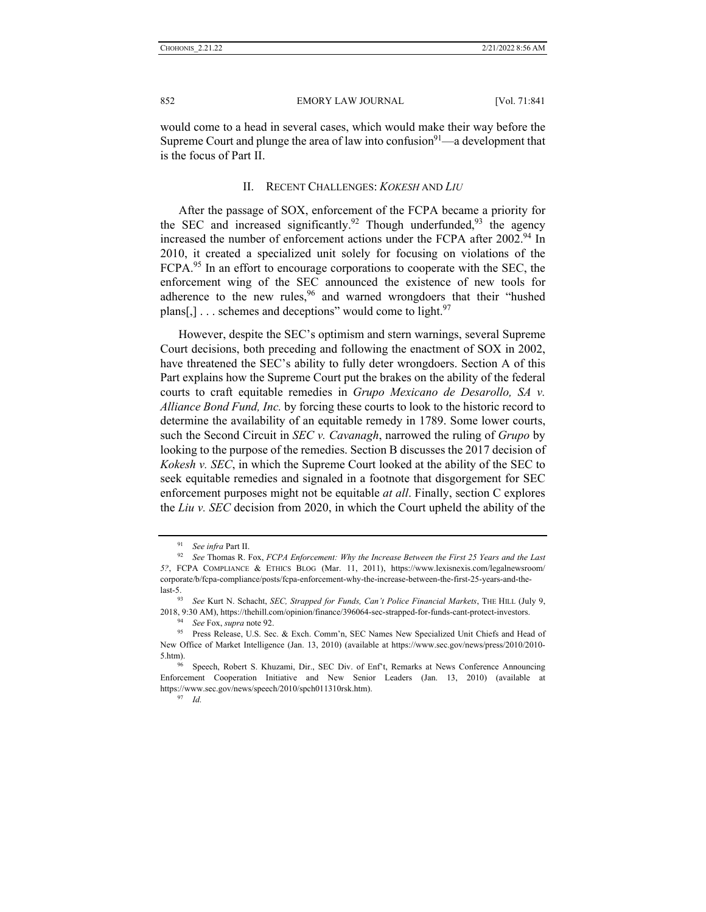would come to a head in several cases, which would make their way before the Supreme Court and plunge the area of law into confusion $9^1$ —a development that is the focus of Part II.

#### II. RECENT CHALLENGES: *KOKESH* AND *LIU*

After the passage of SOX, enforcement of the FCPA became a priority for the SEC and increased significantly.<sup>92</sup> Though underfunded,<sup>93</sup> the agency increased the number of enforcement actions under the FCPA after 2002.<sup>94</sup> In 2010, it created a specialized unit solely for focusing on violations of the FCPA.<sup>95</sup> In an effort to encourage corporations to cooperate with the SEC, the enforcement wing of the SEC announced the existence of new tools for adherence to the new rules,  $96$  and warned wrongdoers that their "hushed" plans[,]  $\ldots$  schemes and deceptions" would come to light.<sup>97</sup>

However, despite the SEC's optimism and stern warnings, several Supreme Court decisions, both preceding and following the enactment of SOX in 2002, have threatened the SEC's ability to fully deter wrongdoers. Section A of this Part explains how the Supreme Court put the brakes on the ability of the federal courts to craft equitable remedies in *Grupo Mexicano de Desarollo, SA v. Alliance Bond Fund, Inc.* by forcing these courts to look to the historic record to determine the availability of an equitable remedy in 1789. Some lower courts, such the Second Circuit in *SEC v. Cavanagh*, narrowed the ruling of *Grupo* by looking to the purpose of the remedies. Section B discusses the 2017 decision of *Kokesh v. SEC*, in which the Supreme Court looked at the ability of the SEC to seek equitable remedies and signaled in a footnote that disgorgement for SEC enforcement purposes might not be equitable *at all*. Finally, section C explores the *Liu v. SEC* decision from 2020, in which the Court upheld the ability of the

<sup>&</sup>lt;sup>91</sup> *See infra Part II. See infra Part II. FCPA Enforcement: Why the Increase Between the First 25 Years and the Last n*<sup>92</sup> *See Thomas R. Fox, <i>FCPA Enforcement: Why the Increase Between the First 25 Years and the 5?*, FCPA COMPLIANCE & ETHICS BLOG (Mar. 11, 2011), https://www.lexisnexis.com/legalnewsroom/ corporate/b/fcpa-compliance/posts/fcpa-enforcement-why-the-increase-between-the-first-25-years-and-the-

last-5. 93 *See* Kurt N. Schacht, *SEC, Strapped for Funds, Can't Police Financial Markets*, THE HILL (July 9, 2018, 9:30 AM), https://thehill.com/opinion/finance/396064-sec-strapped-for-funds-cant-protect-investors.<br><sup>94</sup> See Fox, supra note 92.<br><sup>95</sup> Press Release, U.S. Sec. & Exch. Comm'n, SEC Names New Specialized Unit Chiefs and

New Office of Market Intelligence (Jan. 13, 2010) (available at https://www.sec.gov/news/press/2010/2010- 5.htm). 96 Speech, Robert S. Khuzami, Dir., SEC Div. of Enf't, Remarks at News Conference Announcing

Enforcement Cooperation Initiative and New Senior Leaders (Jan. 13, 2010) (available at https://www.sec.gov/news/speech/2010/spch011310rsk.htm). 97 *Id.*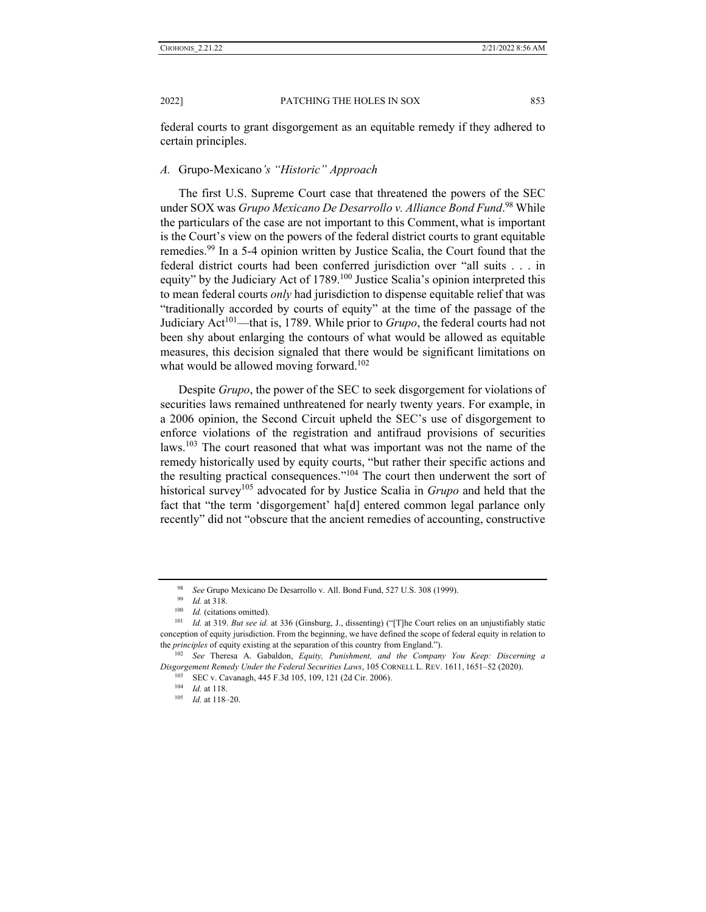federal courts to grant disgorgement as an equitable remedy if they adhered to certain principles.

### *A.* Grupo-Mexicano*'s "Historic" Approach*

The first U.S. Supreme Court case that threatened the powers of the SEC under SOX was *Grupo Mexicano De Desarrollo v. Alliance Bond Fund*. 98 While the particulars of the case are not important to this Comment, what is important is the Court's view on the powers of the federal district courts to grant equitable remedies.99 In a 5-4 opinion written by Justice Scalia, the Court found that the federal district courts had been conferred jurisdiction over "all suits . . . in equity" by the Judiciary Act of 1789.<sup>100</sup> Justice Scalia's opinion interpreted this to mean federal courts *only* had jurisdiction to dispense equitable relief that was "traditionally accorded by courts of equity" at the time of the passage of the Judiciary Act101—that is, 1789. While prior to *Grupo*, the federal courts had not been shy about enlarging the contours of what would be allowed as equitable measures, this decision signaled that there would be significant limitations on what would be allowed moving forward.<sup>102</sup>

Despite *Grupo*, the power of the SEC to seek disgorgement for violations of securities laws remained unthreatened for nearly twenty years. For example, in a 2006 opinion, the Second Circuit upheld the SEC's use of disgorgement to enforce violations of the registration and antifraud provisions of securities laws.<sup>103</sup> The court reasoned that what was important was not the name of the remedy historically used by equity courts, "but rather their specific actions and the resulting practical consequences."104 The court then underwent the sort of historical survey105 advocated for by Justice Scalia in *Grupo* and held that the fact that "the term 'disgorgement' ha[d] entered common legal parlance only recently" did not "obscure that the ancient remedies of accounting, constructive

<sup>&</sup>lt;sup>98</sup> *See* Grupo Mexicano De Desarrollo v. All. Bond Fund, 527 U.S. 308 (1999).<br><sup>99</sup> *Id.* at 318.<br><sup>100</sup> *Id.* (citations omitted).<br><sup>101</sup> *Id.* at 319. *But see id.* at 336 (Ginsburg, J., dissenting) ("[T]he Court relies conception of equity jurisdiction. From the beginning, we have defined the scope of federal equity in relation to the *principles* of equity existing at the separation of this country from England.").<br><sup>102</sup> *See* Theresa A. Gabaldon, *Equity, Punishment, and the Company You Keep: Discerning a* 

*Disgorgement Remedy Under the Federal Securities Laws*, 105 CORNELL L. REV. 1611, 1651–52 (2020).<br><sup>103</sup> SEC v. Cavanagh, 445 F.3d 105, 109, 121 (2d Cir. 2006).<br><sup>104</sup> *Id.* at 118–20.<br><sup>105</sup> *Id.* at 118–20.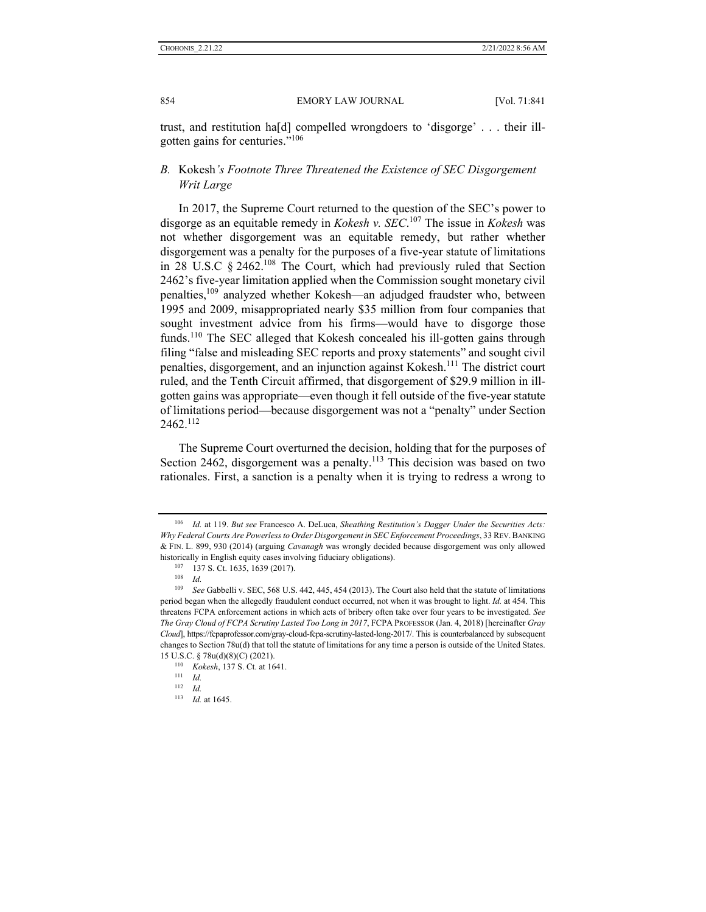trust, and restitution ha[d] compelled wrongdoers to 'disgorge' . . . their illgotten gains for centuries."106

## *B.* Kokesh*'s Footnote Three Threatened the Existence of SEC Disgorgement Writ Large*

In 2017, the Supreme Court returned to the question of the SEC's power to disgorge as an equitable remedy in *Kokesh v. SEC*. 107 The issue in *Kokesh* was not whether disgorgement was an equitable remedy, but rather whether disgorgement was a penalty for the purposes of a five-year statute of limitations in 28 U.S.C § 2462.108 The Court, which had previously ruled that Section 2462's five-year limitation applied when the Commission sought monetary civil penalties,109 analyzed whether Kokesh—an adjudged fraudster who, between 1995 and 2009, misappropriated nearly \$35 million from four companies that sought investment advice from his firms—would have to disgorge those funds.<sup>110</sup> The SEC alleged that Kokesh concealed his ill-gotten gains through filing "false and misleading SEC reports and proxy statements" and sought civil penalties, disgorgement, and an injunction against Kokesh.111 The district court ruled, and the Tenth Circuit affirmed, that disgorgement of \$29.9 million in illgotten gains was appropriate—even though it fell outside of the five-year statute of limitations period—because disgorgement was not a "penalty" under Section 2462.112

The Supreme Court overturned the decision, holding that for the purposes of Section 2462, disgorgement was a penalty.<sup>113</sup> This decision was based on two rationales. First, a sanction is a penalty when it is trying to redress a wrong to

<sup>106</sup> *Id.* at 119. *But see* Francesco A. DeLuca, *Sheathing Restitution's Dagger Under the Securities Acts: Why Federal Courts Are Powerless to Order Disgorgement in SEC Enforcement Proceedings*, 33 REV.BANKING & FIN. L. 899, 930 (2014) (arguing *Cavanagh* was wrongly decided because disgorgement was only allowed historically in English equity cases involving fiduciary obligations).<br>  $^{107}$  137 S. Ct. 1635, 1639 (2017).<br>  $^{108}$  *Id.*<br>  $^{109}$  *See* Gabbelli v. SEC, 568 U.S. 442, 445, 454 (2013). The Court also held that the stat

period began when the allegedly fraudulent conduct occurred, not when it was brought to light. *Id.* at 454. This threatens FCPA enforcement actions in which acts of bribery often take over four years to be investigated. *See The Gray Cloud of FCPA Scrutiny Lasted Too Long in 2017*, FCPA PROFESSOR (Jan. 4, 2018) [hereinafter *Gray Cloud*], https://fcpaprofessor.com/gray-cloud-fcpa-scrutiny-lasted-long-2017/. This is counterbalanced by subsequent changes to Section 78u(d) that toll the statute of limitations for any time a person is outside of the United States. 15 U.S.C. § 78u(d)(8)(C) (2021).<br><sup>110</sup> *Kokesh*, 137 S. Ct. at 1641.<br><sup>111</sup> *Id.* 

<sup>112</sup> *Id.*

<sup>113</sup> *Id.* at 1645.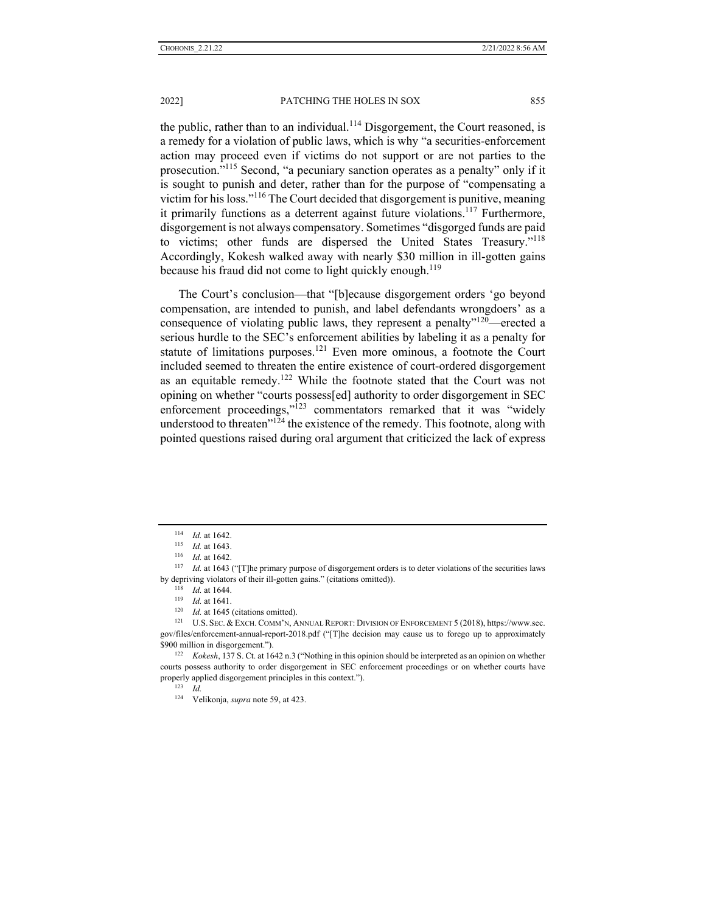the public, rather than to an individual.<sup>114</sup> Disgorgement, the Court reasoned, is a remedy for a violation of public laws, which is why "a securities-enforcement action may proceed even if victims do not support or are not parties to the prosecution."115 Second, "a pecuniary sanction operates as a penalty" only if it is sought to punish and deter, rather than for the purpose of "compensating a victim for his loss."116 The Court decided that disgorgement is punitive, meaning it primarily functions as a deterrent against future violations.<sup>117</sup> Furthermore, disgorgement is not always compensatory. Sometimes "disgorged funds are paid to victims; other funds are dispersed the United States Treasury."<sup>118</sup> Accordingly, Kokesh walked away with nearly \$30 million in ill-gotten gains because his fraud did not come to light quickly enough.<sup>119</sup>

The Court's conclusion—that "[b]ecause disgorgement orders 'go beyond compensation, are intended to punish, and label defendants wrongdoers' as a consequence of violating public laws, they represent a penalty"<sup>120</sup>—erected a serious hurdle to the SEC's enforcement abilities by labeling it as a penalty for statute of limitations purposes.<sup>121</sup> Even more ominous, a footnote the Court included seemed to threaten the entire existence of court-ordered disgorgement as an equitable remedy.<sup>122</sup> While the footnote stated that the Court was not opining on whether "courts possess[ed] authority to order disgorgement in SEC enforcement proceedings,"<sup>123</sup> commentators remarked that it was "widely understood to threaten<sup>"124</sup> the existence of the remedy. This footnote, along with pointed questions raised during oral argument that criticized the lack of express

<sup>114</sup> *Id.* at 1642.<br><sup>115</sup> *Id.* at 1643.<br><sup>116</sup> *Id.* at 1643 ("[T]he primary purpose of disgorgement orders is to deter violations of the securities laws by depriving violators of their ill-gotten gains." (citations omitted)).<br>
<sup>118</sup> *Id.* at 1644.<br>
<sup>119</sup> *Id.* at 1641.<br>
<sup>120</sup> *Id.* at 1645 (citations omitted).<br>
<sup>121</sup> U.S. SEC. & EXCH. COMM'N, ANNUAL REPORT: DIVISION OF EN

gov/files/enforcement-annual-report-2018.pdf ("[T]he decision may cause us to forego up to approximately \$900 million in disgorgement."). 122 *Kokesh*, 137 S. Ct. at 1642 n.3 ("Nothing in this opinion should be interpreted as an opinion on whether

courts possess authority to order disgorgement in SEC enforcement proceedings or on whether courts have properly applied disgorgement principles in this context."). 123 *Id.*

<sup>124</sup> Velikonja, *supra* note 59, at 423.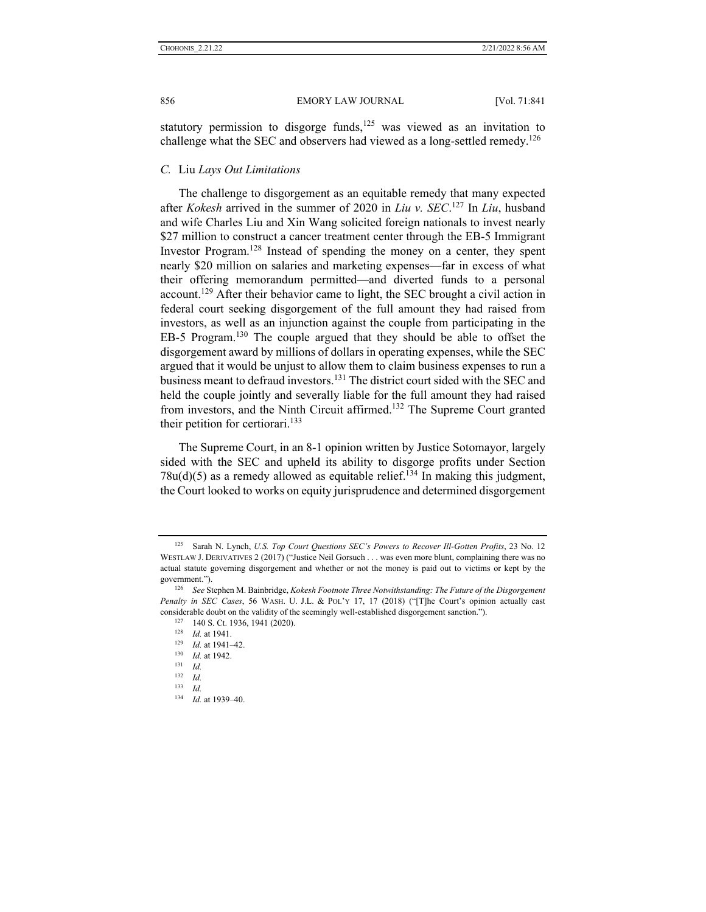statutory permission to disgorge funds,<sup>125</sup> was viewed as an invitation to challenge what the SEC and observers had viewed as a long-settled remedy.<sup>126</sup>

## *C.* Liu *Lays Out Limitations*

The challenge to disgorgement as an equitable remedy that many expected after *Kokesh* arrived in the summer of 2020 in *Liu v. SEC*. <sup>127</sup> In *Liu*, husband and wife Charles Liu and Xin Wang solicited foreign nationals to invest nearly \$27 million to construct a cancer treatment center through the EB-5 Immigrant Investor Program.<sup>128</sup> Instead of spending the money on a center, they spent nearly \$20 million on salaries and marketing expenses—far in excess of what their offering memorandum permitted—and diverted funds to a personal  $account.<sup>129</sup>$  After their behavior came to light, the SEC brought a civil action in federal court seeking disgorgement of the full amount they had raised from investors, as well as an injunction against the couple from participating in the EB-5 Program.130 The couple argued that they should be able to offset the disgorgement award by millions of dollars in operating expenses, while the SEC argued that it would be unjust to allow them to claim business expenses to run a business meant to defraud investors.<sup>131</sup> The district court sided with the SEC and held the couple jointly and severally liable for the full amount they had raised from investors, and the Ninth Circuit affirmed.132 The Supreme Court granted their petition for certiorari. $133$ 

The Supreme Court, in an 8-1 opinion written by Justice Sotomayor, largely sided with the SEC and upheld its ability to disgorge profits under Section  $78u(d)(5)$  as a remedy allowed as equitable relief.<sup>134</sup> In making this judgment, the Court looked to works on equity jurisprudence and determined disgorgement

<sup>125</sup> Sarah N. Lynch, *U.S. Top Court Questions SEC's Powers to Recover Ill-Gotten Profits*, 23 No. 12 WESTLAW J. DERIVATIVES 2 (2017) ("Justice Neil Gorsuch . . . was even more blunt, complaining there was no actual statute governing disgorgement and whether or not the money is paid out to victims or kept by the government."). 126 *See* Stephen M. Bainbridge, *Kokesh Footnote Three Notwithstanding: The Future of the Disgorgement* 

*Penalty in SEC Cases*, 56 WASH. U. J.L. & POL'Y 17, 17 (2018) ("[T]he Court's opinion actually cast considerable doubt on the validity of the seemingly well-established disgorgement sanction.").<br>
<sup>127</sup> 140 S. Ct. 1936, 1941 (2020).<br>
<sup>128</sup> *Id.* at 1941.<br>
<sup>129</sup> *Id.* at 1942.<br>
<sup>131</sup> *Id.* at 1942.<br>
<sup>132</sup> *Id.* 

 $\frac{132}{133}$  *Id.* 

<sup>133</sup> *Id.*

<sup>134</sup> *Id.* at 1939–40.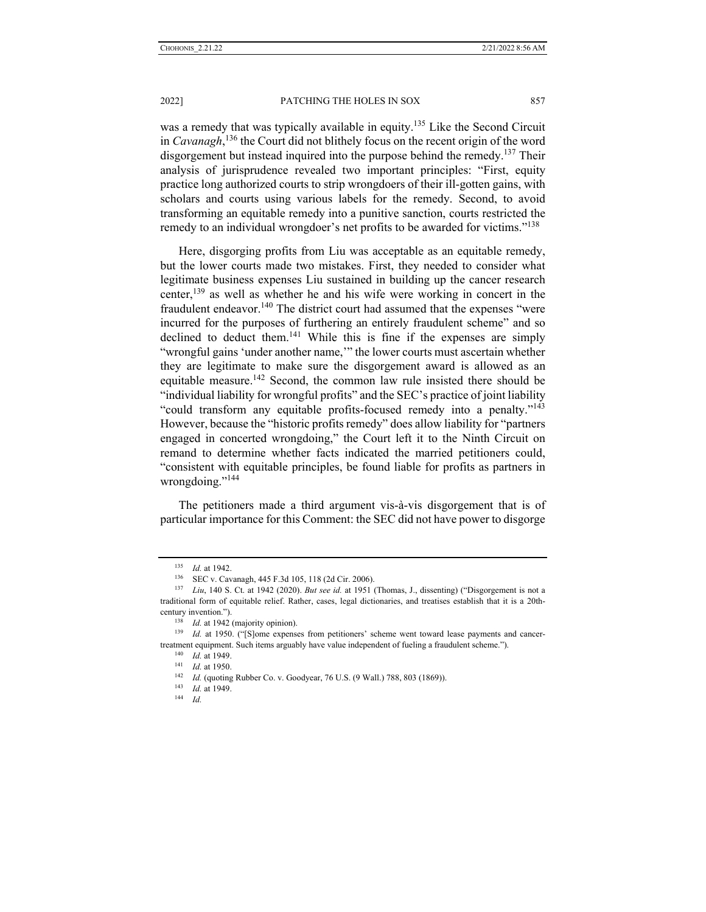was a remedy that was typically available in equity.<sup>135</sup> Like the Second Circuit in *Cavanagh*, 136 the Court did not blithely focus on the recent origin of the word disgorgement but instead inquired into the purpose behind the remedy.<sup>137</sup> Their analysis of jurisprudence revealed two important principles: "First, equity practice long authorized courts to strip wrongdoers of their ill-gotten gains, with scholars and courts using various labels for the remedy. Second, to avoid transforming an equitable remedy into a punitive sanction, courts restricted the remedy to an individual wrongdoer's net profits to be awarded for victims."<sup>138</sup>

Here, disgorging profits from Liu was acceptable as an equitable remedy, but the lower courts made two mistakes. First, they needed to consider what legitimate business expenses Liu sustained in building up the cancer research center,  $^{139}$  as well as whether he and his wife were working in concert in the fraudulent endeavor.<sup>140</sup> The district court had assumed that the expenses "were incurred for the purposes of furthering an entirely fraudulent scheme" and so declined to deduct them.<sup>141</sup> While this is fine if the expenses are simply "wrongful gains 'under another name,'" the lower courts must ascertain whether they are legitimate to make sure the disgorgement award is allowed as an equitable measure.<sup>142</sup> Second, the common law rule insisted there should be "individual liability for wrongful profits" and the SEC's practice of joint liability "could transform any equitable profits-focused remedy into a penalty."143 However, because the "historic profits remedy" does allow liability for "partners engaged in concerted wrongdoing," the Court left it to the Ninth Circuit on remand to determine whether facts indicated the married petitioners could, "consistent with equitable principles, be found liable for profits as partners in wrongdoing."<sup>144</sup>

The petitioners made a third argument vis-à-vis disgorgement that is of particular importance for this Comment: the SEC did not have power to disgorge

<sup>135</sup> *Id.* at 1942. 136 SEC v. Cavanagh, 445 F.3d 105, 118 (2d Cir. 2006). 137 *Liu*, 140 S. Ct. at 1942 (2020). *But see id.* at 1951 (Thomas, J., dissenting) ("Disgorgement is not a traditional form of equitable relief. Rather, cases, legal dictionaries, and treatises establish that it is a 20thcentury invention."). 138 *Id.* at 1942 (majority opinion). 139 *Id.* at 1950. ("[S]ome expenses from petitioners' scheme went toward lease payments and cancer-

treatment equipment. Such items arguably have value independent of fueling a fraudulent scheme.").<br>
<sup>140</sup> *Id.* at 1949.<br>
<sup>141</sup> *Id.* at 1950.<br>
<sup>142</sup> *Id.* (quoting Rubber Co. v. Goodyear, 76 U.S. (9 Wall.) 788, 803 (1869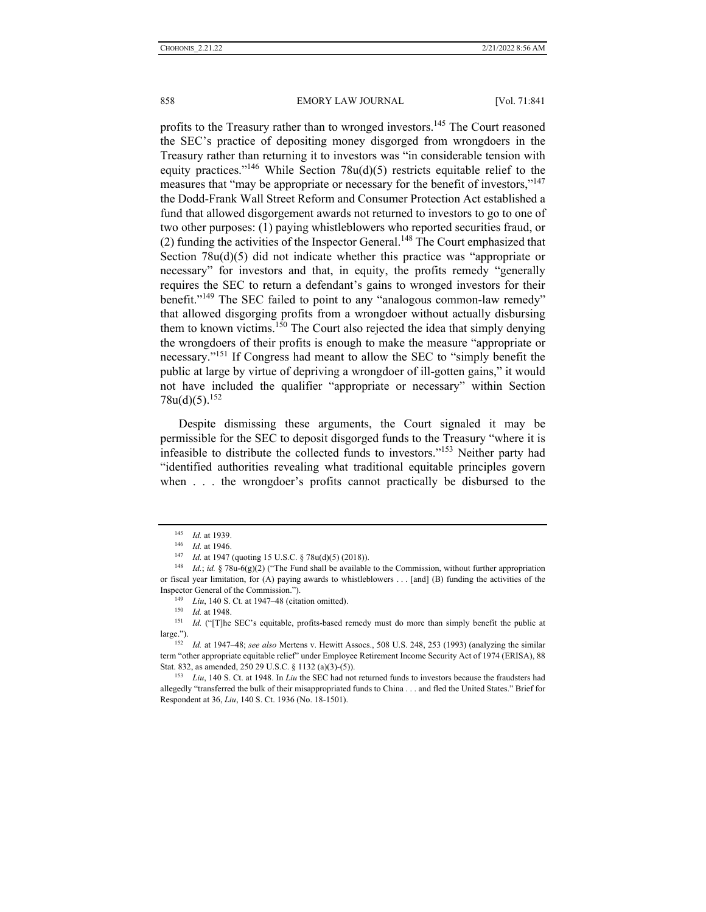profits to the Treasury rather than to wronged investors.<sup>145</sup> The Court reasoned the SEC's practice of depositing money disgorged from wrongdoers in the Treasury rather than returning it to investors was "in considerable tension with equity practices."<sup>146</sup> While Section 78u(d)(5) restricts equitable relief to the measures that "may be appropriate or necessary for the benefit of investors,"<sup>147</sup> the Dodd-Frank Wall Street Reform and Consumer Protection Act established a fund that allowed disgorgement awards not returned to investors to go to one of two other purposes: (1) paying whistleblowers who reported securities fraud, or (2) funding the activities of the Inspector General.148 The Court emphasized that Section 78u(d)(5) did not indicate whether this practice was "appropriate or necessary" for investors and that, in equity, the profits remedy "generally requires the SEC to return a defendant's gains to wronged investors for their benefit."<sup>149</sup> The SEC failed to point to any "analogous common-law remedy" that allowed disgorging profits from a wrongdoer without actually disbursing them to known victims.150 The Court also rejected the idea that simply denying the wrongdoers of their profits is enough to make the measure "appropriate or necessary."151 If Congress had meant to allow the SEC to "simply benefit the public at large by virtue of depriving a wrongdoer of ill-gotten gains," it would not have included the qualifier "appropriate or necessary" within Section  $78u(d)(5).^{152}$ 

Despite dismissing these arguments, the Court signaled it may be permissible for the SEC to deposit disgorged funds to the Treasury "where it is infeasible to distribute the collected funds to investors."153 Neither party had "identified authorities revealing what traditional equitable principles govern when . . . the wrongdoer's profits cannot practically be disbursed to the

Inspector General of the Commission.").<br>
<sup>149</sup> *Liu*, 140 S. Ct. at 1947–48 (citation omitted).<br>
<sup>150</sup> *Id.* at 1948.<br>
<sup>151</sup> *Id.* ("[T]he SEC's equitable, profits-based remedy must do more than simply benefit the public large."). 152 *Id.* at 1947–48; *see also* Mertens v. Hewitt Assocs., 508 U.S. 248, 253 (1993) (analyzing the similar

term "other appropriate equitable relief" under Employee Retirement Income Security Act of 1974 (ERISA), 88 Stat. 832, as amended, 250 29 U.S.C. § 1132 (a)(3)-(5)). <sup>153</sup> *Liu*, 140 S. Ct. at 1948. In *Liu* the SEC had not returned funds to investors because the fraudsters had

allegedly "transferred the bulk of their misappropriated funds to China . . . and fled the United States." Brief for Respondent at 36, *Liu*, 140 S. Ct. 1936 (No. 18-1501).

<sup>&</sup>lt;sup>145</sup> *Id.* at 1939.<br><sup>146</sup> *Id.* at 1946.<br><sup>147</sup> *Id.* at 1947 (quoting 15 U.S.C. § 78u(d)(5) (2018)).<br><sup>148</sup> *Id.*; *id.* § 78u-6(g)(2) ("The Fund shall be available to the Commission, without further appropriation or fiscal year limitation, for (A) paying awards to whistleblowers . . . [and] (B) funding the activities of the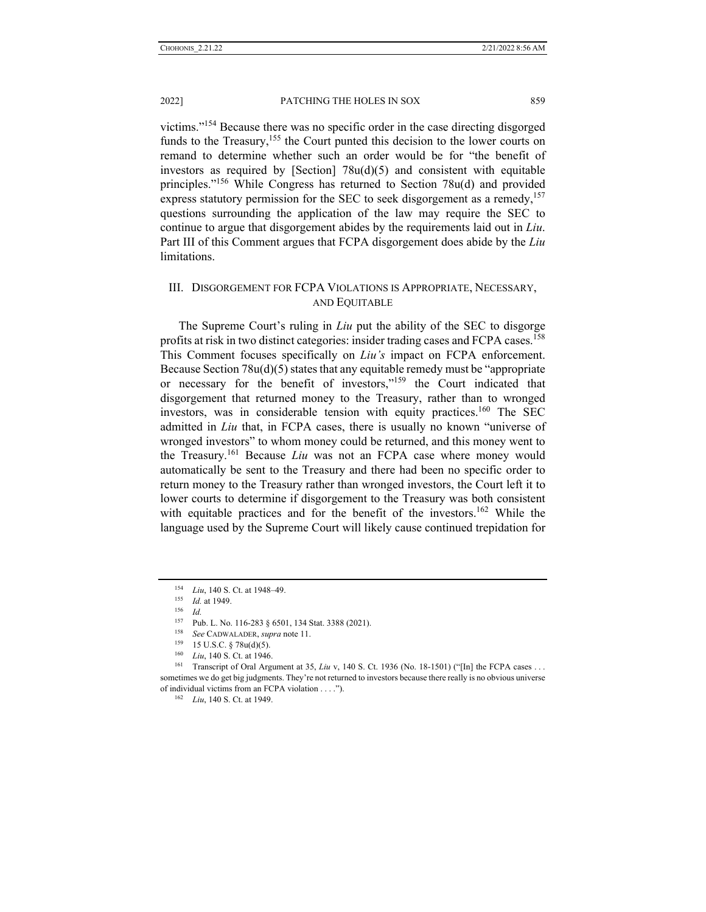victims."154 Because there was no specific order in the case directing disgorged funds to the Treasury,<sup>155</sup> the Court punted this decision to the lower courts on remand to determine whether such an order would be for "the benefit of investors as required by [Section]  $78u(d)(5)$  and consistent with equitable principles."156 While Congress has returned to Section 78u(d) and provided express statutory permission for the SEC to seek disgorgement as a remedy,<sup>157</sup> questions surrounding the application of the law may require the SEC to continue to argue that disgorgement abides by the requirements laid out in *Liu*. Part III of this Comment argues that FCPA disgorgement does abide by the *Liu*  limitations.

## III. DISGORGEMENT FOR FCPA VIOLATIONS IS APPROPRIATE, NECESSARY, AND EQUITABLE

The Supreme Court's ruling in *Liu* put the ability of the SEC to disgorge profits at risk in two distinct categories: insider trading cases and FCPA cases.158 This Comment focuses specifically on *Liu's* impact on FCPA enforcement. Because Section 78u(d)(5) states that any equitable remedy must be "appropriate or necessary for the benefit of investors,"<sup>159</sup> the Court indicated that disgorgement that returned money to the Treasury, rather than to wronged investors, was in considerable tension with equity practices.<sup>160</sup> The SEC admitted in *Liu* that, in FCPA cases, there is usually no known "universe of wronged investors" to whom money could be returned, and this money went to the Treasury.161 Because *Liu* was not an FCPA case where money would automatically be sent to the Treasury and there had been no specific order to return money to the Treasury rather than wronged investors, the Court left it to lower courts to determine if disgorgement to the Treasury was both consistent with equitable practices and for the benefit of the investors.<sup>162</sup> While the language used by the Supreme Court will likely cause continued trepidation for

<sup>154</sup> *Liu*, 140 S. Ct. at 1948–49.<br>
155 *Id.* at 1949.<br>
156 *Id.*<br>
157 Pub. L. No. 116-283 § 6501, 134 Stat. 3388 (2021).

<sup>&</sup>lt;sup>158</sup> *See* CADWALADER, *supra* note 11.<br>
<sup>159</sup> 15 U.S.C. § 78u(d)(5).<br>
<sup>160</sup> *Liu*, 140 S. Ct. at 1946.<br>
<sup>160</sup> Transcript of Oral Argument at 35, *Liu* v, 140 S. Ct. 1936 (No. 18-1501) ("[In] the FCPA cases... sometimes we do get big judgments. They're not returned to investors because there really is no obvious universe of individual victims from an FCPA violation . . . ."). 162 *Liu*, 140 S. Ct. at 1949.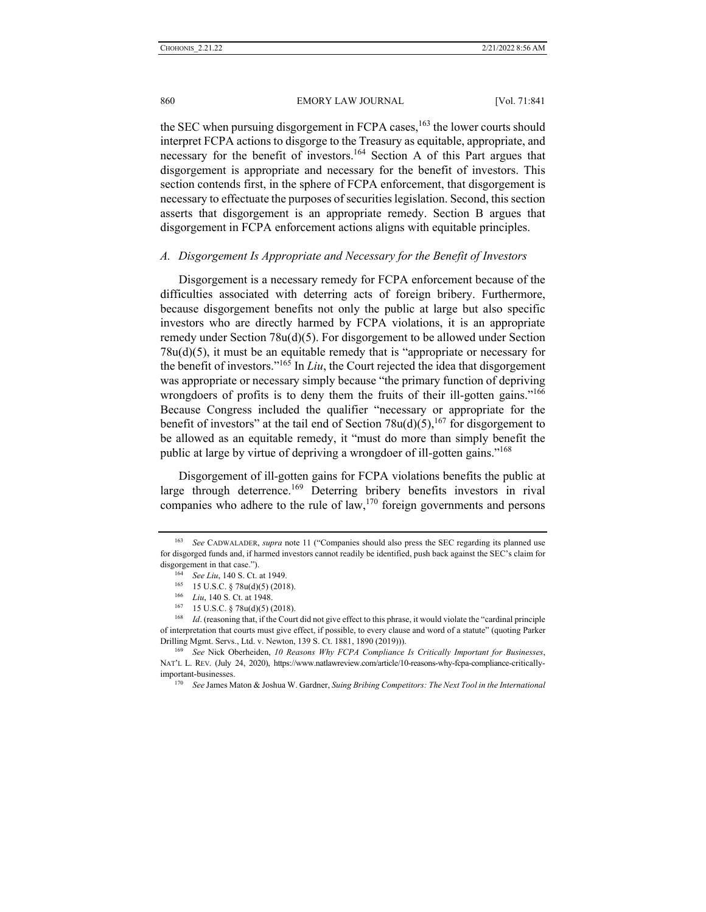860 EMORY LAW JOURNAL [Vol. 71:841]

the SEC when pursuing disgorgement in FCPA cases,  $163$  the lower courts should interpret FCPA actions to disgorge to the Treasury as equitable, appropriate, and necessary for the benefit of investors.164 Section A of this Part argues that disgorgement is appropriate and necessary for the benefit of investors. This section contends first, in the sphere of FCPA enforcement, that disgorgement is necessary to effectuate the purposes of securities legislation. Second, this section asserts that disgorgement is an appropriate remedy. Section B argues that disgorgement in FCPA enforcement actions aligns with equitable principles.

#### *A. Disgorgement Is Appropriate and Necessary for the Benefit of Investors*

Disgorgement is a necessary remedy for FCPA enforcement because of the difficulties associated with deterring acts of foreign bribery. Furthermore, because disgorgement benefits not only the public at large but also specific investors who are directly harmed by FCPA violations, it is an appropriate remedy under Section  $78u(d)(5)$ . For disgorgement to be allowed under Section 78u(d)(5), it must be an equitable remedy that is "appropriate or necessary for the benefit of investors."165 In *Liu*, the Court rejected the idea that disgorgement was appropriate or necessary simply because "the primary function of depriving wrongdoers of profits is to deny them the fruits of their ill-gotten gains."<sup>166</sup> Because Congress included the qualifier "necessary or appropriate for the benefit of investors" at the tail end of Section  $78u(d)(5)$ , <sup>167</sup> for disgorgement to be allowed as an equitable remedy, it "must do more than simply benefit the public at large by virtue of depriving a wrongdoer of ill-gotten gains."168

Disgorgement of ill-gotten gains for FCPA violations benefits the public at large through deterrence.<sup>169</sup> Deterring bribery benefits investors in rival companies who adhere to the rule of  $law<sub>1</sub><sup>170</sup>$  foreign governments and persons

<sup>163</sup> *See* CADWALADER, *supra* note 11 ("Companies should also press the SEC regarding its planned use for disgorged funds and, if harmed investors cannot readily be identified, push back against the SEC's claim for disgorgement in that case.").<br>
<sup>164</sup> See Liu, 140 S. Ct. at 1949.<br>
<sup>165</sup> 15 U.S.C. § 78u(d)(5) (2018).<br>
<sup>166</sup> Liu, 140 S. Ct. at 1948.<br>
<sup>167</sup> 15 U.S.C. § 78u(d)(5) (2018).<br>
<sup>167</sup> 15 U.S.C. § 78u(d)(5) (2018).

of interpretation that courts must give effect, if possible, to every clause and word of a statute" (quoting Parker Drilling Mgmt. Servs., Ltd. v. Newton, 139 S. Ct. 1881, 1890 (2019))). 169 *See* Nick Oberheiden, *10 Reasons Why FCPA Compliance Is Critically Important for Businesses*,

NAT'L L. REV. (July 24, 2020), https://www.natlawreview.com/article/10-reasons-why-fcpa-compliance-criticallyimportant-businesses. 170 *See* James Maton & Joshua W. Gardner, *Suing Bribing Competitors: The Next Tool in the International*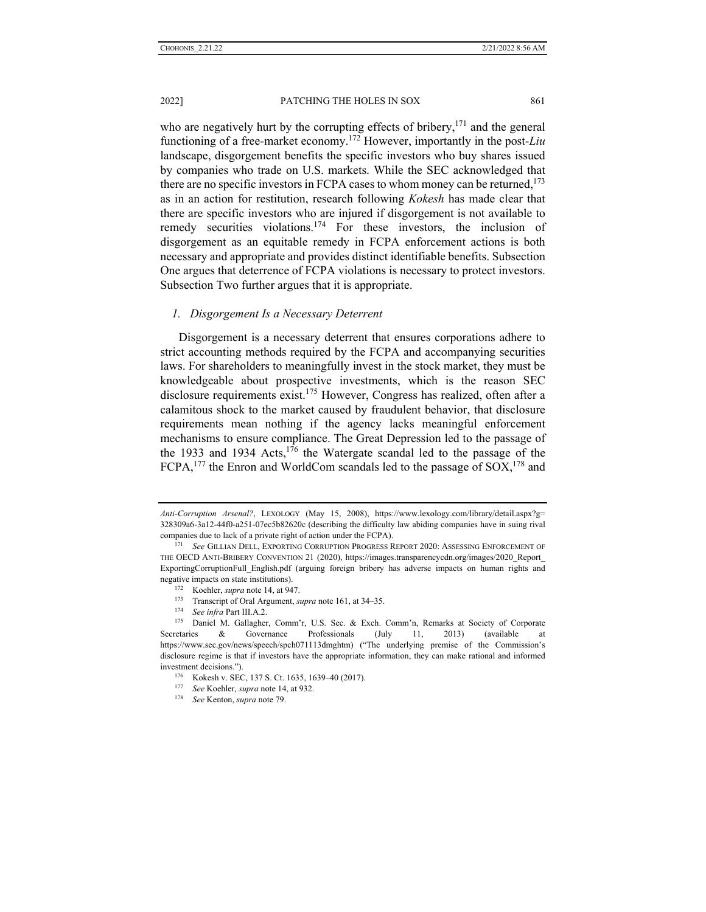who are negatively hurt by the corrupting effects of bribery,  $171$  and the general functioning of a free-market economy.172 However, importantly in the post-*Liu* landscape, disgorgement benefits the specific investors who buy shares issued by companies who trade on U.S. markets. While the SEC acknowledged that there are no specific investors in FCPA cases to whom money can be returned,  $173$ as in an action for restitution, research following *Kokesh* has made clear that there are specific investors who are injured if disgorgement is not available to remedy securities violations.<sup>174</sup> For these investors, the inclusion of disgorgement as an equitable remedy in FCPA enforcement actions is both necessary and appropriate and provides distinct identifiable benefits. Subsection One argues that deterrence of FCPA violations is necessary to protect investors. Subsection Two further argues that it is appropriate.

### *1. Disgorgement Is a Necessary Deterrent*

Disgorgement is a necessary deterrent that ensures corporations adhere to strict accounting methods required by the FCPA and accompanying securities laws. For shareholders to meaningfully invest in the stock market, they must be knowledgeable about prospective investments, which is the reason SEC disclosure requirements exist.<sup>175</sup> However, Congress has realized, often after a calamitous shock to the market caused by fraudulent behavior, that disclosure requirements mean nothing if the agency lacks meaningful enforcement mechanisms to ensure compliance. The Great Depression led to the passage of the 1933 and 1934 Acts, $176$  the Watergate scandal led to the passage of the FCPA,<sup>177</sup> the Enron and WorldCom scandals led to the passage of SOX.<sup>178</sup> and

*Anti-Corruption Arsenal?*, LEXOLOGY (May 15, 2008), https://www.lexology.com/library/detail.aspx?g= 328309a6-3a12-44f0-a251-07ec5b82620c (describing the difficulty law abiding companies have in suing rival companies due to lack of a private right of action under the FCPA). 171 *See* GILLIAN DELL, EXPORTING CORRUPTION PROGRESS REPORT 2020: ASSESSING ENFORCEMENT OF

THE OECD ANTI-BRIBERY CONVENTION 21 (2020), https://images.transparencycdn.org/images/2020\_Report\_ ExportingCorruptionFull\_English.pdf (arguing foreign bribery has adverse impacts on human rights and

negative impacts on state institutions).<br>
<sup>172</sup> Koehler, *supra* note 14, at 947.<br>
<sup>173</sup> Transcript of Oral Argument, *supra* note 161, at 34–35.<br>
<sup>174</sup> See infra Part III.A.2.<br>
<sup>174</sup> Daniel M. Gallagher, Comm'r, U.S. Sec. Secretaries & Governance Professionals  $(July 11, 2013)$  (available https://www.sec.gov/news/speech/spch071113dmghtm) ("The underlying premise of the Commission's disclosure regime is that if investors have the appropriate information, they can make rational and informed investment decisions."). 176 Kokesh v. SEC, 137 S. Ct. 1635, 1639–40 (2017). 177 *See* Koehler, *supra* note 14, at 932. 178 *See* Kenton, *supra* note 79.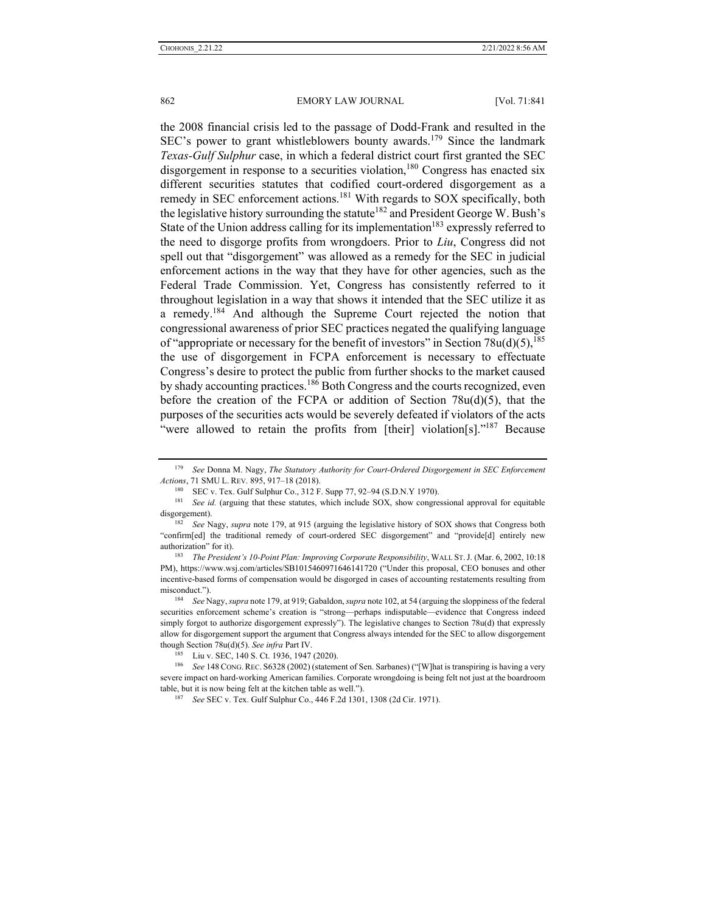the 2008 financial crisis led to the passage of Dodd-Frank and resulted in the SEC's power to grant whistleblowers bounty awards.<sup>179</sup> Since the landmark *Texas-Gulf Sulphur* case, in which a federal district court first granted the SEC disgorgement in response to a securities violation,<sup>180</sup> Congress has enacted six different securities statutes that codified court-ordered disgorgement as a remedy in SEC enforcement actions.<sup>181</sup> With regards to SOX specifically, both the legislative history surrounding the statute<sup>182</sup> and President George W. Bush's State of the Union address calling for its implementation<sup>183</sup> expressly referred to the need to disgorge profits from wrongdoers. Prior to *Liu*, Congress did not spell out that "disgorgement" was allowed as a remedy for the SEC in judicial enforcement actions in the way that they have for other agencies, such as the Federal Trade Commission. Yet, Congress has consistently referred to it throughout legislation in a way that shows it intended that the SEC utilize it as a remedy.184 And although the Supreme Court rejected the notion that congressional awareness of prior SEC practices negated the qualifying language of "appropriate or necessary for the benefit of investors" in Section 78u(d)(5),  $^{185}$ the use of disgorgement in FCPA enforcement is necessary to effectuate Congress's desire to protect the public from further shocks to the market caused by shady accounting practices.<sup>186</sup> Both Congress and the courts recognized, even before the creation of the FCPA or addition of Section  $78u(d)(5)$ , that the purposes of the securities acts would be severely defeated if violators of the acts "were allowed to retain the profits from [their] violation[s]."<sup>187</sup> Because

<sup>179</sup> *See* Donna M. Nagy, *The Statutory Authority for Court-Ordered Disgorgement in SEC Enforcement*  Actions, 71 SMU L. REV. 895, 917–18 (2018).<br><sup>180</sup> SEC v. Tex. Gulf Sulphur Co., 312 F. Supp 77, 92–94 (S.D.N.Y 1970).<br><sup>181</sup> See id. (arguing that these statutes, which include SOX, show congressional approval for equitable

disgorgement). 182 *See* Nagy, *supra* note 179, at 915 (arguing the legislative history of SOX shows that Congress both

<sup>&</sup>quot;confirm[ed] the traditional remedy of court-ordered SEC disgorgement" and "provide[d] entirely new authorization" for it). 183 *The President's 10-Point Plan: Improving Corporate Responsibility*, WALL ST.J. (Mar. 6, 2002, 10:18

PM), https://www.wsj.com/articles/SB1015460971646141720 ("Under this proposal, CEO bonuses and other incentive-based forms of compensation would be disgorged in cases of accounting restatements resulting from misconduct."). 184 *See* Nagy, *supra* note 179, at 919; Gabaldon, *supra* note 102, at 54 (arguing the sloppiness of the federal

securities enforcement scheme's creation is "strong—perhaps indisputable—evidence that Congress indeed simply forgot to authorize disgorgement expressly"). The legislative changes to Section 78u(d) that expressly allow for disgorgement support the argument that Congress always intended for the SEC to allow disgorgement though Section 78u(d)(5). *See infra* Part IV.<br><sup>185</sup> Liu v. SEC, 140 S. Ct. 1936, 1947 (2020). 186 *See 148 CoNG.REC. S6328 (2002)* (statement of Sen. Sarbanes) ("[W]hat is transpiring is having a very

severe impact on hard-working American families. Corporate wrongdoing is being felt not just at the boardroom table, but it is now being felt at the kitchen table as well."). 187 *See* SEC v. Tex. Gulf Sulphur Co., 446 F.2d 1301, 1308 (2d Cir. 1971).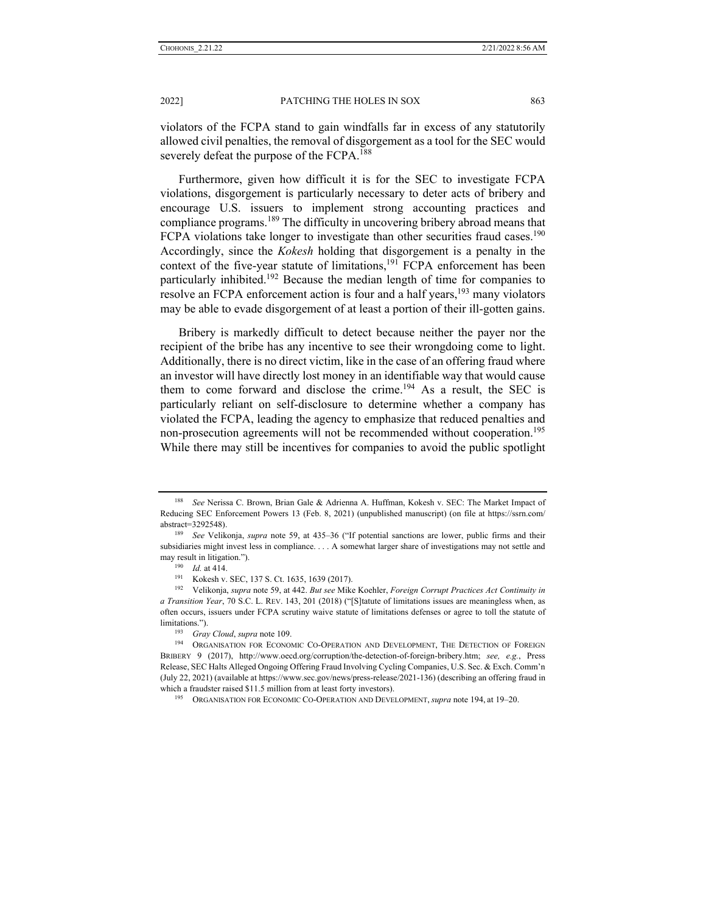violators of the FCPA stand to gain windfalls far in excess of any statutorily allowed civil penalties, the removal of disgorgement as a tool for the SEC would severely defeat the purpose of the FCPA.<sup>188</sup>

Furthermore, given how difficult it is for the SEC to investigate FCPA violations, disgorgement is particularly necessary to deter acts of bribery and encourage U.S. issuers to implement strong accounting practices and compliance programs.<sup>189</sup> The difficulty in uncovering bribery abroad means that FCPA violations take longer to investigate than other securities fraud cases.<sup>190</sup> Accordingly, since the *Kokesh* holding that disgorgement is a penalty in the context of the five-year statute of limitations, $191$  FCPA enforcement has been particularly inhibited.192 Because the median length of time for companies to resolve an FCPA enforcement action is four and a half years,<sup>193</sup> many violators may be able to evade disgorgement of at least a portion of their ill-gotten gains.

Bribery is markedly difficult to detect because neither the payer nor the recipient of the bribe has any incentive to see their wrongdoing come to light. Additionally, there is no direct victim, like in the case of an offering fraud where an investor will have directly lost money in an identifiable way that would cause them to come forward and disclose the crime.<sup>194</sup> As a result, the SEC is particularly reliant on self-disclosure to determine whether a company has violated the FCPA, leading the agency to emphasize that reduced penalties and non-prosecution agreements will not be recommended without cooperation.<sup>195</sup> While there may still be incentives for companies to avoid the public spotlight

<sup>188</sup> *See* Nerissa C. Brown, Brian Gale & Adrienna A. Huffman, Kokesh v. SEC: The Market Impact of Reducing SEC Enforcement Powers 13 (Feb. 8, 2021) (unpublished manuscript) (on file at https://ssrn.com/ abstract=3292548). 189 *See* Velikonja, *supra* note 59, at 435–36 ("If potential sanctions are lower, public firms and their

subsidiaries might invest less in compliance. . . . A somewhat larger share of investigations may not settle and

may result in litigation.").<br>
<sup>190</sup> *Id.* at 414.<br>
<sup>191</sup> Kokesh v. SEC, 137 S. Ct. 1635, 1639 (2017).<br>
<sup>192</sup> Velikonja, *supra* note 59, at 442. *But see* Mike Koehler, *Foreign Corrupt Practices Act Continuity in a Transition Year*, 70 S.C. L. REV. 143, 201 (2018) ("[S]tatute of limitations issues are meaningless when, as often occurs, issuers under FCPA scrutiny waive statute of limitations defenses or agree to toll the statute of limitations.").<br><sup>193</sup> *Gray Cloud*, *supra* note 109.<br><sup>194</sup> ORGANISATION FOR ECONOMIC CO-OPERATION AND DEVELOPMENT, THE DETECTION OF FOREIGN

BRIBERY 9 (2017), http://www.oecd.org/corruption/the-detection-of-foreign-bribery.htm; *see, e.g.*, Press Release, SEC Halts Alleged Ongoing Offering Fraud Involving Cycling Companies, U.S. Sec. & Exch. Comm'n (July 22, 2021) (available at https://www.sec.gov/news/press-release/2021-136) (describing an offering fraud in which a fraudster raised \$11.5 million from at least forty investors).<br><sup>195</sup> ORGANISATION FOR ECONOMIC CO-OPERATION AND DEVELOPMENT, *supra* note 194, at 19–20.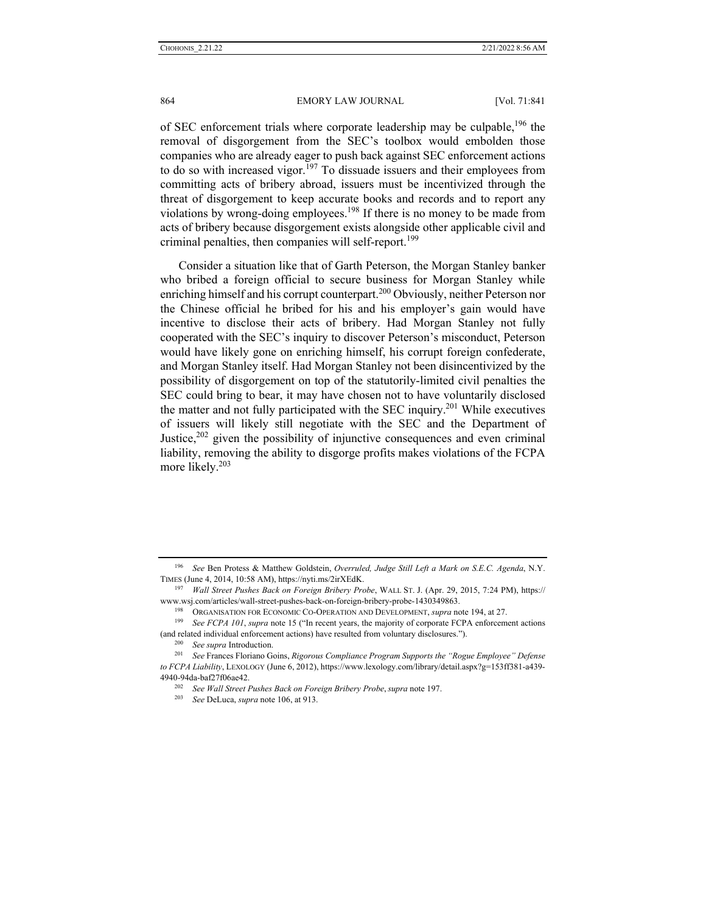of SEC enforcement trials where corporate leadership may be culpable,<sup>196</sup> the removal of disgorgement from the SEC's toolbox would embolden those companies who are already eager to push back against SEC enforcement actions to do so with increased vigor.<sup>197</sup> To dissuade issuers and their employees from committing acts of bribery abroad, issuers must be incentivized through the threat of disgorgement to keep accurate books and records and to report any violations by wrong-doing employees.<sup>198</sup> If there is no money to be made from acts of bribery because disgorgement exists alongside other applicable civil and criminal penalties, then companies will self-report.<sup>199</sup>

Consider a situation like that of Garth Peterson, the Morgan Stanley banker who bribed a foreign official to secure business for Morgan Stanley while enriching himself and his corrupt counterpart.<sup>200</sup> Obviously, neither Peterson nor the Chinese official he bribed for his and his employer's gain would have incentive to disclose their acts of bribery. Had Morgan Stanley not fully cooperated with the SEC's inquiry to discover Peterson's misconduct, Peterson would have likely gone on enriching himself, his corrupt foreign confederate, and Morgan Stanley itself. Had Morgan Stanley not been disincentivized by the possibility of disgorgement on top of the statutorily-limited civil penalties the SEC could bring to bear, it may have chosen not to have voluntarily disclosed the matter and not fully participated with the SEC inquiry.<sup>201</sup> While executives of issuers will likely still negotiate with the SEC and the Department of Justice,  $202$  given the possibility of injunctive consequences and even criminal liability, removing the ability to disgorge profits makes violations of the FCPA more likely.<sup>203</sup>

<sup>196</sup> *See* Ben Protess & Matthew Goldstein, *Overruled, Judge Still Left a Mark on S.E.C. Agenda*, N.Y. TIMES (June 4, 2014, 10:58 AM), https://nyti.ms/2irXEdK. 197 *Wall Street Pushes Back on Foreign Bribery Probe*, WALL ST. J. (Apr. 29, 2015, 7:24 PM), https://

www.wsj.com/articles/wall-street-pushes-back-on-foreign-bribery-probe-1430349863.<br><sup>198</sup> ORGANISATION FOR ECONOMIC CO-OPERATION AND DEVELOPMENT, *supra* note 194, at 27.<br><sup>199</sup> See FCPA 101, *supra* note 15 ("In recent years

<sup>(</sup>and related individual enforcement actions) have resulted from voluntary disclosures.").<br><sup>200</sup> See supra Introduction.<br><sup>201</sup> See Frances Floriano Goins, *Rigorous Compliance Program Supports the "Rogue Employee" Defense* 

*to FCPA Liability*, LEXOLOGY (June 6, 2012), https://www.lexology.com/library/detail.aspx?g=153ff381-a439- 4940-94da-baf27f06ae42. 202 *See Wall Street Pushes Back on Foreign Bribery Probe*, *supra* note 197. 203 *See* DeLuca, *supra* note 106, at 913.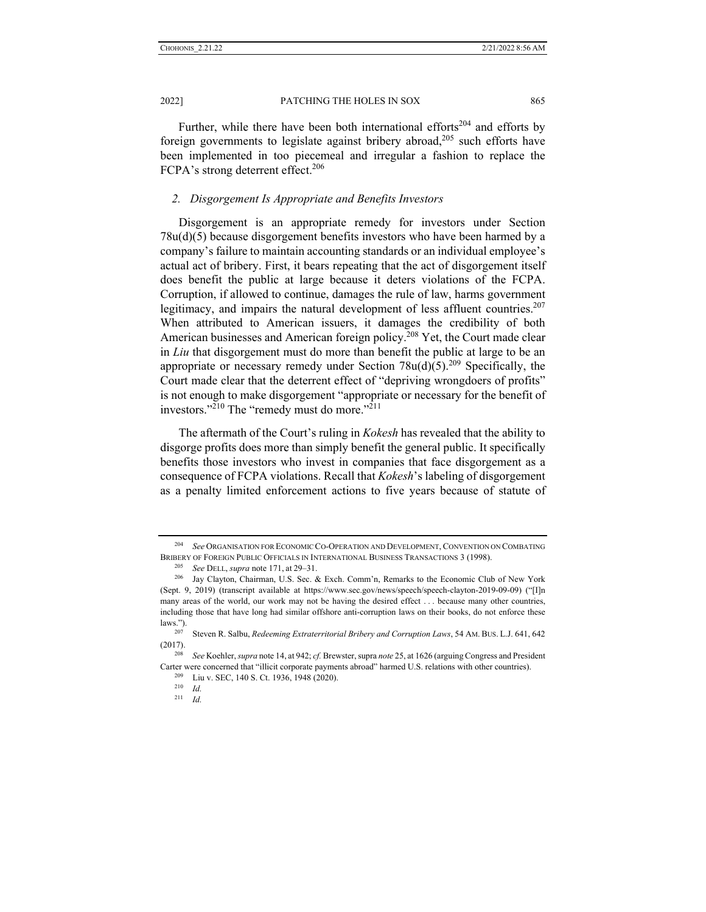Further, while there have been both international efforts<sup>204</sup> and efforts by foreign governments to legislate against bribery abroad, $205$  such efforts have been implemented in too piecemeal and irregular a fashion to replace the FCPA's strong deterrent effect.<sup>206</sup>

## *2. Disgorgement Is Appropriate and Benefits Investors*

Disgorgement is an appropriate remedy for investors under Section 78u(d)(5) because disgorgement benefits investors who have been harmed by a company's failure to maintain accounting standards or an individual employee's actual act of bribery. First, it bears repeating that the act of disgorgement itself does benefit the public at large because it deters violations of the FCPA. Corruption, if allowed to continue, damages the rule of law, harms government legitimacy, and impairs the natural development of less affluent countries.<sup>207</sup> When attributed to American issuers, it damages the credibility of both American businesses and American foreign policy.<sup>208</sup> Yet, the Court made clear in *Liu* that disgorgement must do more than benefit the public at large to be an appropriate or necessary remedy under Section  $78u(d)(5).^{209}$  Specifically, the Court made clear that the deterrent effect of "depriving wrongdoers of profits" is not enough to make disgorgement "appropriate or necessary for the benefit of investors."<sup>210</sup> The "remedy must do more."<sup>211</sup>

The aftermath of the Court's ruling in *Kokesh* has revealed that the ability to disgorge profits does more than simply benefit the general public. It specifically benefits those investors who invest in companies that face disgorgement as a consequence of FCPA violations. Recall that *Kokesh*'s labeling of disgorgement as a penalty limited enforcement actions to five years because of statute of

<sup>204</sup> *See* ORGANISATION FOR ECONOMIC CO-OPERATION AND DEVELOPMENT, CONVENTION ON COMBATING BRIBERY OF FOREIGN PUBLIC OFFICIALS IN INTERNATIONAL BUSINESS TRANSACTIONS 3 (1998).<br><sup>205</sup> See DELL, supra note 171, at 29–31.<br><sup>206</sup> Jay Clayton, Chairman, U.S. Sec. & Exch. Comm'n, Remarks to the Economic Club of New York

<sup>(</sup>Sept. 9, 2019) (transcript available at https://www.sec.gov/news/speech/speech-clayton-2019-09-09) ("[I]n many areas of the world, our work may not be having the desired effect . . . because many other countries, including those that have long had similar offshore anti-corruption laws on their books, do not enforce these laws."). 207 Steven R. Salbu, *Redeeming Extraterritorial Bribery and Corruption Laws*, 54 AM. BUS. L.J. 641, 642

<sup>(2017). 208</sup> *See* Koehler, *supra* note 14, at 942; *cf.* Brewster, supra *note* 25, at 1626 (arguing Congress and President

Carter were concerned that "illicit corporate payments abroad" harmed U.S. relations with other countries). <sup>209</sup> Liu v. SEC, 140 S. Ct. 1936, 1948 (2020). <sup>210</sup> *Id* 

<sup>211</sup> *Id.*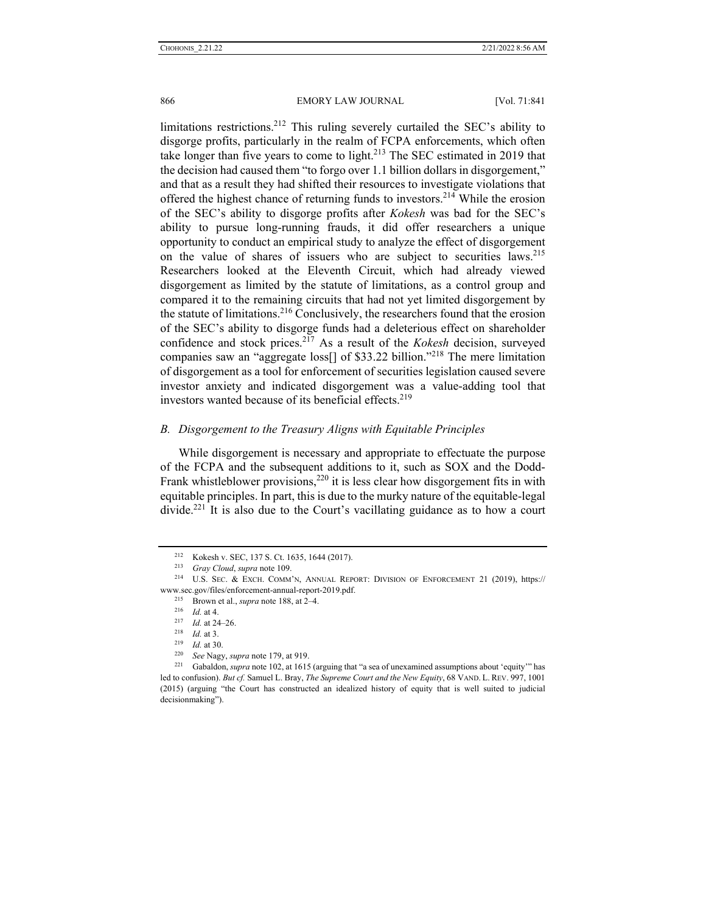limitations restrictions.<sup>212</sup> This ruling severely curtailed the SEC's ability to disgorge profits, particularly in the realm of FCPA enforcements, which often take longer than five years to come to light.<sup>213</sup> The SEC estimated in 2019 that the decision had caused them "to forgo over 1.1 billion dollars in disgorgement," and that as a result they had shifted their resources to investigate violations that offered the highest chance of returning funds to investors.<sup>214</sup> While the erosion of the SEC's ability to disgorge profits after *Kokesh* was bad for the SEC's ability to pursue long-running frauds, it did offer researchers a unique opportunity to conduct an empirical study to analyze the effect of disgorgement on the value of shares of issuers who are subject to securities laws.<sup>215</sup> Researchers looked at the Eleventh Circuit, which had already viewed disgorgement as limited by the statute of limitations, as a control group and compared it to the remaining circuits that had not yet limited disgorgement by the statute of limitations.<sup>216</sup> Conclusively, the researchers found that the erosion of the SEC's ability to disgorge funds had a deleterious effect on shareholder confidence and stock prices.217 As a result of the *Kokesh* decision, surveyed companies saw an "aggregate loss<sup>[]</sup> of \$33.22 billion."<sup>218</sup> The mere limitation of disgorgement as a tool for enforcement of securities legislation caused severe investor anxiety and indicated disgorgement was a value-adding tool that investors wanted because of its beneficial effects.<sup>219</sup>

## *B. Disgorgement to the Treasury Aligns with Equitable Principles*

While disgorgement is necessary and appropriate to effectuate the purpose of the FCPA and the subsequent additions to it, such as SOX and the Dodd-Frank whistleblower provisions, $220$  it is less clear how disgorgement fits in with equitable principles. In part, this is due to the murky nature of the equitable-legal divide.<sup>221</sup> It is also due to the Court's vacillating guidance as to how a court

<sup>212</sup> Kokesh v. SEC, 137 S. Ct. 1635, 1644 (2017). 213 *Gray Cloud*, *supra* note 109. 214 U.S. SEC. & EXCH. COMM'N, ANNUAL REPORT: DIVISION OF ENFORCEMENT 21 (2019), https:// www.sec.gov/files/enforcement-annual-report-2019.pdf.<br>
<sup>215</sup> Brown et al., *supra* note 188, at 2–4.<br>
<sup>216</sup> Id. at 4.<br>
<sup>217</sup> Id. at 24–26.<br>
<sup>218</sup> Id. at 3.<br>
<sup>219</sup> Id. at 30.<br>
<sup>220</sup> See Nagy, *supra* note 179, at 919.<br>
<sup>22</sup>

led to confusion). *But cf.* Samuel L. Bray, *The Supreme Court and the New Equity*, 68 VAND. L. REV. 997, 1001 (2015) (arguing "the Court has constructed an idealized history of equity that is well suited to judicial decisionmaking").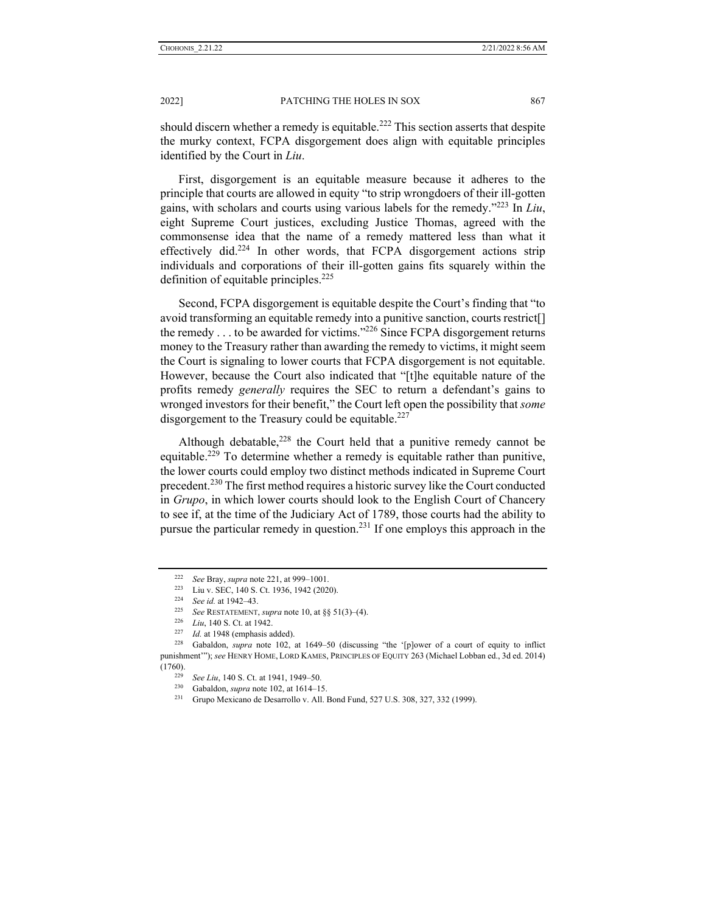should discern whether a remedy is equitable.<sup>222</sup> This section asserts that despite the murky context, FCPA disgorgement does align with equitable principles identified by the Court in *Liu*.

First, disgorgement is an equitable measure because it adheres to the principle that courts are allowed in equity "to strip wrongdoers of their ill-gotten gains, with scholars and courts using various labels for the remedy."223 In *Liu*, eight Supreme Court justices, excluding Justice Thomas, agreed with the commonsense idea that the name of a remedy mattered less than what it effectively did.<sup>224</sup> In other words, that FCPA disgorgement actions strip individuals and corporations of their ill-gotten gains fits squarely within the definition of equitable principles.<sup>225</sup>

Second, FCPA disgorgement is equitable despite the Court's finding that "to avoid transforming an equitable remedy into a punitive sanction, courts restrict[] the remedy  $\dots$  to be awarded for victims."<sup>226</sup> Since FCPA disgorgement returns money to the Treasury rather than awarding the remedy to victims, it might seem the Court is signaling to lower courts that FCPA disgorgement is not equitable. However, because the Court also indicated that "[t]he equitable nature of the profits remedy *generally* requires the SEC to return a defendant's gains to wronged investors for their benefit," the Court left open the possibility that *some* disgorgement to the Treasury could be equitable.<sup>227</sup>

Although debatable, $228$  the Court held that a punitive remedy cannot be equitable.<sup>229</sup> To determine whether a remedy is equitable rather than punitive, the lower courts could employ two distinct methods indicated in Supreme Court precedent.230 The first method requires a historic survey like the Court conducted in *Grupo*, in which lower courts should look to the English Court of Chancery to see if, at the time of the Judiciary Act of 1789, those courts had the ability to pursue the particular remedy in question.231 If one employs this approach in the

<sup>&</sup>lt;sup>222</sup> See Bray, supra note 221, at 999–1001.<br>
<sup>223</sup> Liu v. SEC, 140 S. Ct. 1936, 1942 (2020).<br>
<sup>224</sup> See id. at 1942–43.<br>
<sup>225</sup> See RESTATEMENT, supra note 10, at §§ 51(3)–(4).<br>
<sup>226</sup> Liu, 140 S. Ct. at 1942.<br>
<sup>227</sup> Id. a punishment'"); *see* HENRY HOME, LORD KAMES, PRINCIPLES OF EQUITY 263 (Michael Lobban ed., 3d ed. 2014) (1760). 229 *See Liu*, 140 S. Ct. at 1941, 1949–50. 230 Gabaldon, *supra* note 102, at 1614–15. 231 Grupo Mexicano de Desarrollo v. All. Bond Fund, 527 U.S. 308, 327, 332 (1999).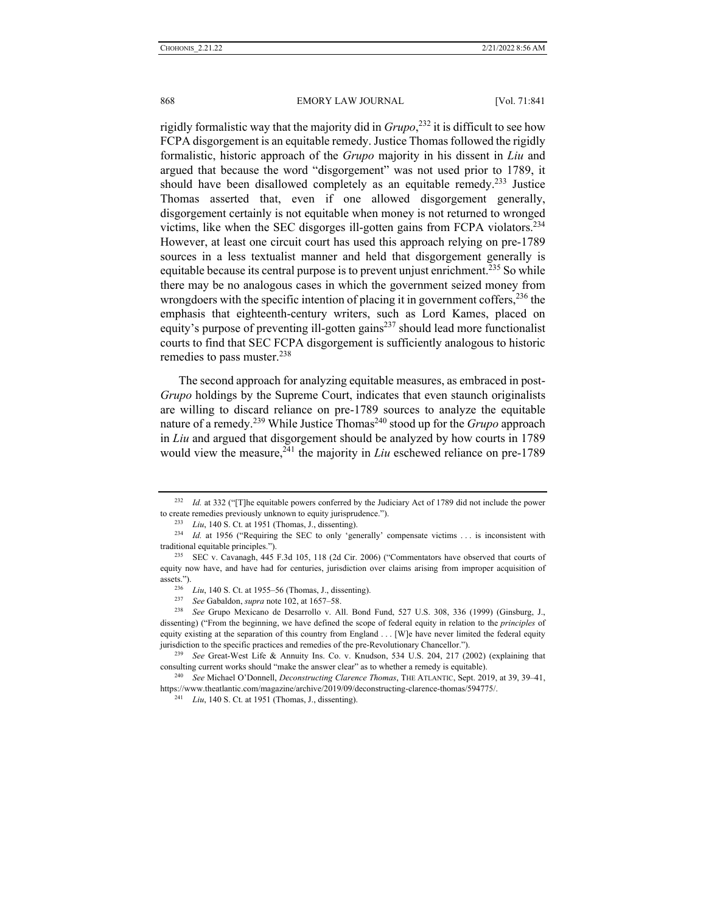rigidly formalistic way that the majority did in *Grupo*, 232 it is difficult to see how FCPA disgorgement is an equitable remedy. Justice Thomas followed the rigidly formalistic, historic approach of the *Grupo* majority in his dissent in *Liu* and argued that because the word "disgorgement" was not used prior to 1789, it should have been disallowed completely as an equitable remedy.<sup>233</sup> Justice Thomas asserted that, even if one allowed disgorgement generally, disgorgement certainly is not equitable when money is not returned to wronged victims, like when the SEC disgorges ill-gotten gains from FCPA violators.234 However, at least one circuit court has used this approach relying on pre-1789 sources in a less textualist manner and held that disgorgement generally is equitable because its central purpose is to prevent unjust enrichment.<sup>235</sup> So while there may be no analogous cases in which the government seized money from wrongdoers with the specific intention of placing it in government coffers,  $2^{36}$  the emphasis that eighteenth-century writers, such as Lord Kames, placed on equity's purpose of preventing ill-gotten gains $^{237}$  should lead more functionalist courts to find that SEC FCPA disgorgement is sufficiently analogous to historic remedies to pass muster.<sup>238</sup>

The second approach for analyzing equitable measures, as embraced in post-*Grupo* holdings by the Supreme Court, indicates that even staunch originalists are willing to discard reliance on pre-1789 sources to analyze the equitable nature of a remedy.<sup>239</sup> While Justice Thomas<sup>240</sup> stood up for the *Grupo* approach in *Liu* and argued that disgorgement should be analyzed by how courts in 1789 would view the measure,<sup>241</sup> the majority in *Liu* eschewed reliance on pre-1789

<sup>232</sup> *Id.* at 332 ("[T]he equitable powers conferred by the Judiciary Act of 1789 did not include the power to create remedies previously unknown to equity jurisprudence.").<br>
<sup>233</sup> *Liu*, 140 S. Ct. at 1951 (Thomas, J., dissenting).<br>
<sup>234</sup> *Id.* at 1956 ("Requiring the SEC to only 'generally' compensate victims ... is inconsist

traditional equitable principles."). 235 SEC v. Cavanagh, 445 F.3d 105, 118 (2d Cir. 2006) ("Commentators have observed that courts of

equity now have, and have had for centuries, jurisdiction over claims arising from improper acquisition of assets.").<br>
<sup>236</sup> *Liu*, 140 S. Ct. at 1955–56 (Thomas, J., dissenting).<br>
<sup>237</sup> *See* Gabaldon, *supra* note 102, at 1657–58.<br>
<sup>238</sup> *See* Grupo Mexicano de Desarrollo v. All. Bond Fund, 527 U.S. 308, 336 (1999) (Ginsburg,

dissenting) ("From the beginning, we have defined the scope of federal equity in relation to the *principles* of equity existing at the separation of this country from England . . . [W]e have never limited the federal equity jurisdiction to the specific practices and remedies of the pre-Revolutionary Chancellor."). 239 *See* Great-West Life & Annuity Ins. Co. v. Knudson, 534 U.S. 204, 217 (2002) (explaining that

consulting current works should "make the answer clear" as to whether a remedy is equitable). 240 *See* Michael O'Donnell, *Deconstructing Clarence Thomas*, THE ATLANTIC, Sept. 2019, at 39, 39–41,

https://www.theatlantic.com/magazine/archive/2019/09/deconstructing-clarence-thomas/594775/. 241 *Liu*, 140 S. Ct. at 1951 (Thomas, J., dissenting).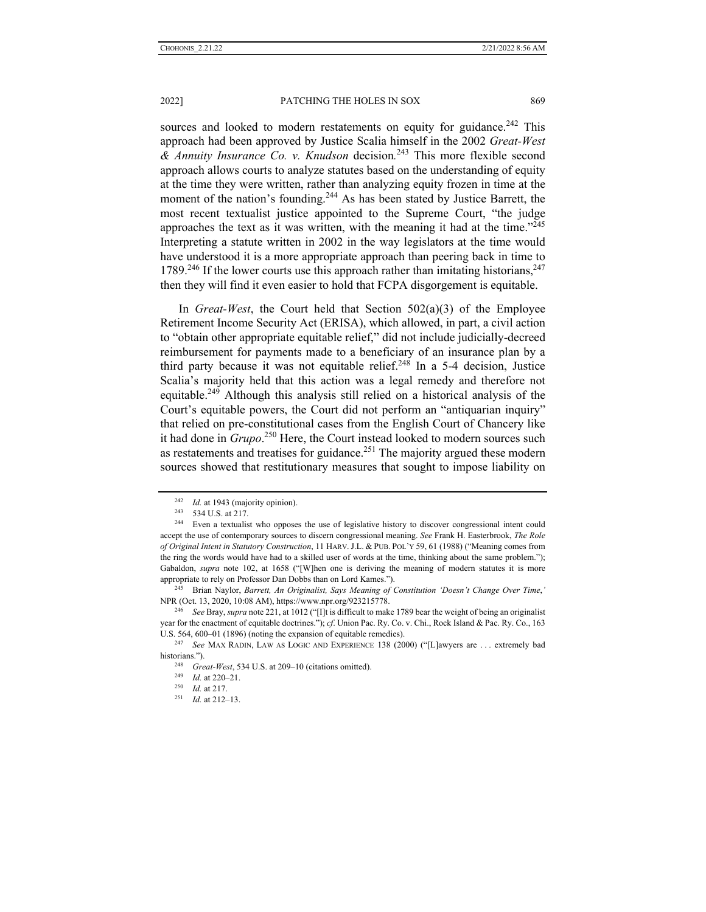sources and looked to modern restatements on equity for guidance.<sup>242</sup> This approach had been approved by Justice Scalia himself in the 2002 *Great-West & Annuity Insurance Co. v. Knudson* decision*.* 243 This more flexible second approach allows courts to analyze statutes based on the understanding of equity at the time they were written, rather than analyzing equity frozen in time at the moment of the nation's founding.<sup>244</sup> As has been stated by Justice Barrett, the most recent textualist justice appointed to the Supreme Court, "the judge approaches the text as it was written, with the meaning it had at the time." $245$ Interpreting a statute written in 2002 in the way legislators at the time would have understood it is a more appropriate approach than peering back in time to 1789.<sup>246</sup> If the lower courts use this approach rather than imitating historians,  $247$ then they will find it even easier to hold that FCPA disgorgement is equitable.

In *Great-West*, the Court held that Section 502(a)(3) of the Employee Retirement Income Security Act (ERISA), which allowed, in part, a civil action to "obtain other appropriate equitable relief," did not include judicially-decreed reimbursement for payments made to a beneficiary of an insurance plan by a third party because it was not equitable relief.<sup>248</sup> In a 5-4 decision, Justice Scalia's majority held that this action was a legal remedy and therefore not equitable.249 Although this analysis still relied on a historical analysis of the Court's equitable powers, the Court did not perform an "antiquarian inquiry" that relied on pre-constitutional cases from the English Court of Chancery like it had done in *Grupo*. 250 Here, the Court instead looked to modern sources such as restatements and treatises for guidance.<sup>251</sup> The majority argued these modern sources showed that restitutionary measures that sought to impose liability on

<sup>242</sup> *Id.* at 1943 (majority opinion). 243 534 U.S. at 217. 244 Even a textualist who opposes the use of legislative history to discover congressional intent could accept the use of contemporary sources to discern congressional meaning. *See* Frank H. Easterbrook, *The Role of Original Intent in Statutory Construction*, 11 HARV. J.L. & PUB. POL'Y 59, 61 (1988) ("Meaning comes from the ring the words would have had to a skilled user of words at the time, thinking about the same problem."); Gabaldon, *supra* note 102, at 1658 ("[W]hen one is deriving the meaning of modern statutes it is more appropriate to rely on Professor Dan Dobbs than on Lord Kames."). 245 Brian Naylor, *Barrett, An Originalist, Says Meaning of Constitution 'Doesn't Change Over Time*,*'* 

NPR (Oct. 13, 2020, 10:08 AM), https://www.npr.org/923215778. 246 *See* Bray, *supra* note 221, at 1012 ("[I]t is difficult to make 1789 bear the weight of being an originalist

year for the enactment of equitable doctrines."); *cf*. Union Pac. Ry. Co. v. Chi., Rock Island & Pac. Ry. Co., 163 U.S. 564, 600–01 (1896) (noting the expansion of equitable remedies). 247 *See* MAX RADIN, LAW AS LOGIC AND EXPERIENCE 138 (2000) ("[L]awyers are . . . extremely bad

historians."). 248 *Great-West*, 534 U.S. at 209–10 (citations omitted). 249 *Id.* at 220–21. 250 *Id.* at 217. 251 *Id.* at 212–13.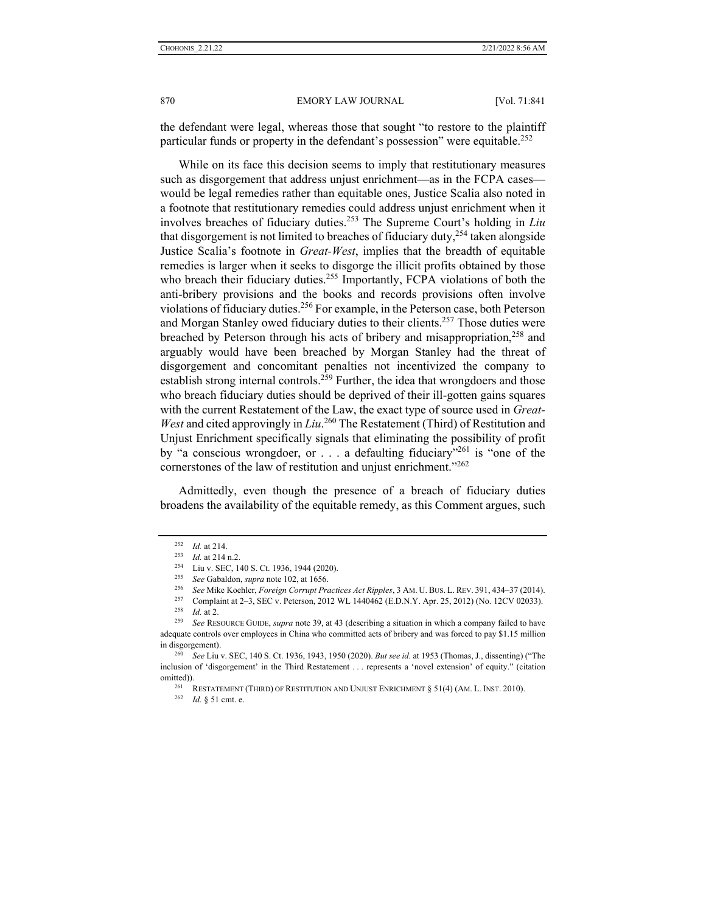870 **EMORY LAW JOURNAL** [Vol. 71:841]

the defendant were legal, whereas those that sought "to restore to the plaintiff particular funds or property in the defendant's possession" were equitable.<sup>252</sup>

While on its face this decision seems to imply that restitutionary measures such as disgorgement that address unjust enrichment—as in the FCPA cases would be legal remedies rather than equitable ones, Justice Scalia also noted in a footnote that restitutionary remedies could address unjust enrichment when it involves breaches of fiduciary duties.253 The Supreme Court's holding in *Liu*  that disgorgement is not limited to breaches of fiduciary duty, $254$  taken alongside Justice Scalia's footnote in *Great-West*, implies that the breadth of equitable remedies is larger when it seeks to disgorge the illicit profits obtained by those who breach their fiduciary duties.<sup>255</sup> Importantly, FCPA violations of both the anti-bribery provisions and the books and records provisions often involve violations of fiduciary duties.<sup>256</sup> For example, in the Peterson case, both Peterson and Morgan Stanley owed fiduciary duties to their clients.<sup>257</sup> Those duties were breached by Peterson through his acts of bribery and misappropriation,<sup>258</sup> and arguably would have been breached by Morgan Stanley had the threat of disgorgement and concomitant penalties not incentivized the company to establish strong internal controls.<sup>259</sup> Further, the idea that wrongdoers and those who breach fiduciary duties should be deprived of their ill-gotten gains squares with the current Restatement of the Law, the exact type of source used in *Great-*West and cited approvingly in *Liu*.<sup>260</sup> The Restatement (Third) of Restitution and Unjust Enrichment specifically signals that eliminating the possibility of profit by "a conscious wrongdoer, or  $\ldots$  a defaulting fiduciary"<sup>261</sup> is "one of the cornerstones of the law of restitution and unjust enrichment."<sup>262</sup>

Admittedly, even though the presence of a breach of fiduciary duties broadens the availability of the equitable remedy, as this Comment argues, such

<sup>&</sup>lt;sup>252</sup> *Id.* at 214.<br>
<sup>253</sup> *Id.* at 214 n.2.<br>
<sup>253</sup> *Id.* at 214 n.2.<br>
<sup>254</sup> Liu v. SEC, 140 S. Ct. 1936, 1944 (2020).<br>
<sup>255</sup> *See* Gabaldon, *supra* note 102, at 1656.<br>
<sup>256</sup> *See* Mike Koehler, *Foreign Corrupt Practice* 

adequate controls over employees in China who committed acts of bribery and was forced to pay \$1.15 million in disgorgement). 260 *See* Liu v. SEC, 140 S. Ct. 1936, 1943, 1950 (2020). *But see id*. at 1953 (Thomas, J., dissenting) ("The

inclusion of 'disgorgement' in the Third Restatement . . . represents a 'novel extension' of equity." (citation omitted)).<br><sup>261</sup> RESTATEMENT (THIRD) OF RESTITUTION AND UNJUST ENRICHMENT § 51(4) (AM. L. INST. 2010).<br><sup>262</sup> *Id.* § 51 cmt. e.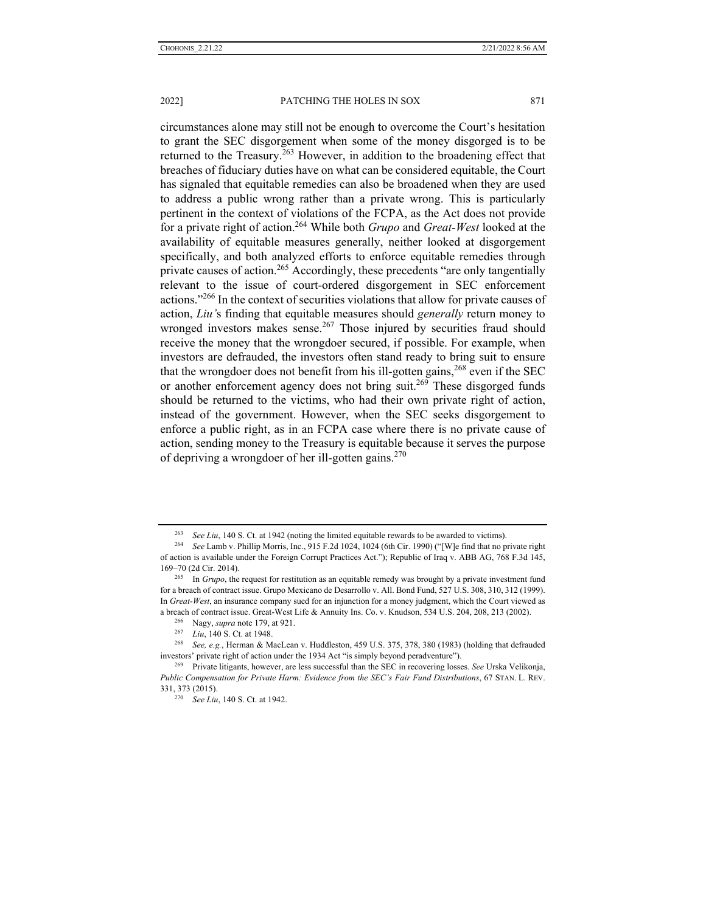circumstances alone may still not be enough to overcome the Court's hesitation to grant the SEC disgorgement when some of the money disgorged is to be returned to the Treasury.263 However, in addition to the broadening effect that breaches of fiduciary duties have on what can be considered equitable, the Court has signaled that equitable remedies can also be broadened when they are used to address a public wrong rather than a private wrong. This is particularly pertinent in the context of violations of the FCPA, as the Act does not provide for a private right of action.264 While both *Grupo* and *Great-West* looked at the availability of equitable measures generally, neither looked at disgorgement specifically, and both analyzed efforts to enforce equitable remedies through private causes of action.<sup>265</sup> Accordingly, these precedents "are only tangentially relevant to the issue of court-ordered disgorgement in SEC enforcement actions."266 In the context of securities violations that allow for private causes of action, *Liu'*s finding that equitable measures should *generally* return money to wronged investors makes sense.<sup>267</sup> Those injured by securities fraud should receive the money that the wrongdoer secured, if possible. For example, when investors are defrauded, the investors often stand ready to bring suit to ensure that the wrongdoer does not benefit from his ill-gotten gains,<sup>268</sup> even if the SEC or another enforcement agency does not bring suit.<sup>269</sup> These disgorged funds should be returned to the victims, who had their own private right of action, instead of the government. However, when the SEC seeks disgorgement to

enforce a public right, as in an FCPA case where there is no private cause of action, sending money to the Treasury is equitable because it serves the purpose of depriving a wrongdoer of her ill-gotten gains.<sup>270</sup>

<sup>263</sup> *See Liu*, 140 S. Ct. at 1942 (noting the limited equitable rewards to be awarded to victims). 264 *See* Lamb v. Phillip Morris, Inc., 915 F.2d 1024, 1024 (6th Cir. 1990) ("[W]e find that no private right of action is available under the Foreign Corrupt Practices Act."); Republic of Iraq v. ABB AG, 768 F.3d 145, 169–70 (2d Cir. 2014). 265 In *Grupo*, the request for restitution as an equitable remedy was brought by a private investment fund

for a breach of contract issue. Grupo Mexicano de Desarrollo v. All. Bond Fund, 527 U.S. 308, 310, 312 (1999). In *Great-West*, an insurance company sued for an injunction for a money judgment, which the Court viewed as

a breach of contract issue. Great-West Life & Annuity Ins. Co. v. Knudson, 534 U.S. 204, 208, 213 (2002).<br><sup>266</sup> Nagy, *supra* note 179, at 921.<br><sup>267</sup> Liu, 140 S. Ct. at 1948.<br><sup>268</sup> See, e.g., Herman & MacLean v. Huddlesto investors' private right of action under the 1934 Act "is simply beyond peradventure"). 269 Private litigants, however, are less successful than the SEC in recovering losses. *See* Urska Velikonja,

*Public Compensation for Private Harm: Evidence from the SEC's Fair Fund Distributions*, 67 STAN. L. REV. 331, 373 (2015). 270 *See Liu*, 140 S. Ct. at 1942.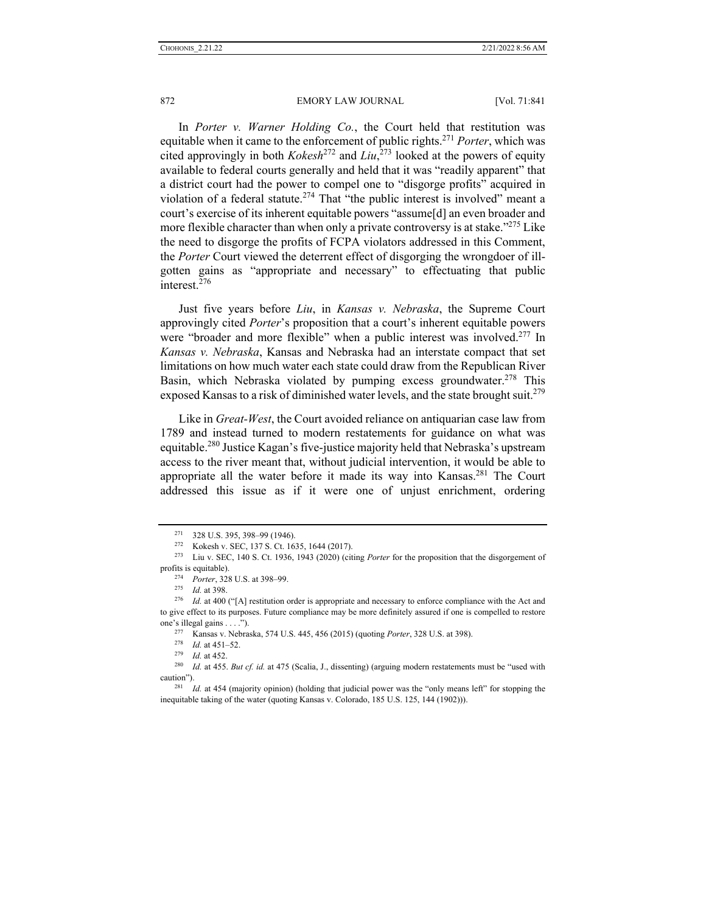In *Porter v. Warner Holding Co.*, the Court held that restitution was equitable when it came to the enforcement of public rights.271 *Porter*, which was cited approvingly in both *Kokesh*<sup>272</sup> and *Liu*, 273 looked at the powers of equity available to federal courts generally and held that it was "readily apparent" that a district court had the power to compel one to "disgorge profits" acquired in violation of a federal statute.<sup>274</sup> That "the public interest is involved" meant a court's exercise of its inherent equitable powers "assume[d] an even broader and more flexible character than when only a private controversy is at stake."<sup>275</sup> Like the need to disgorge the profits of FCPA violators addressed in this Comment, the *Porter* Court viewed the deterrent effect of disgorging the wrongdoer of illgotten gains as "appropriate and necessary" to effectuating that public interest.<sup>276</sup>

Just five years before *Liu*, in *Kansas v. Nebraska*, the Supreme Court approvingly cited *Porter*'s proposition that a court's inherent equitable powers were "broader and more flexible" when a public interest was involved.<sup>277</sup> In *Kansas v. Nebraska*, Kansas and Nebraska had an interstate compact that set limitations on how much water each state could draw from the Republican River Basin, which Nebraska violated by pumping excess groundwater.<sup>278</sup> This exposed Kansas to a risk of diminished water levels, and the state brought suit.<sup>279</sup>

Like in *Great-West*, the Court avoided reliance on antiquarian case law from 1789 and instead turned to modern restatements for guidance on what was equitable.<sup>280</sup> Justice Kagan's five-justice majority held that Nebraska's upstream access to the river meant that, without judicial intervention, it would be able to appropriate all the water before it made its way into Kansas.<sup>281</sup> The Court addressed this issue as if it were one of unjust enrichment, ordering

<sup>271 328</sup> U.S. 395, 398–99 (1946). 272 Kokesh v. SEC, 137 S. Ct. 1635, 1644 (2017). 273 Liu v. SEC, 140 S. Ct. 1936, 1943 (2020) (citing *Porter* for the proposition that the disgorgement of

profits is equitable).<br><sup>274</sup> *Porter*, 328 U.S. at 398–99.<br><sup>275</sup> *Id.* at 398.<br><sup>276</sup> *Id.* at 400 ("[A] restitution order is appropriate and necessary to enforce compliance with the Act and to give effect to its purposes. Future compliance may be more definitely assured if one is compelled to restore

one's illegal gains . . . .").<br>
<sup>277</sup> Kansas v. Nebraska, 574 U.S. 445, 456 (2015) (quoting *Porter*, 328 U.S. at 398).<br>
<sup>278</sup> Id. at 451–52.<br>
<sup>279</sup> Id. at 452.<br>
<sup>280</sup> Id. at 455. *But cf. id.* at 475 (Scalia, J., dissent caution"). 281 *Id.* at 454 (majority opinion) (holding that judicial power was the "only means left" for stopping the

inequitable taking of the water (quoting Kansas v. Colorado, 185 U.S. 125, 144 (1902))).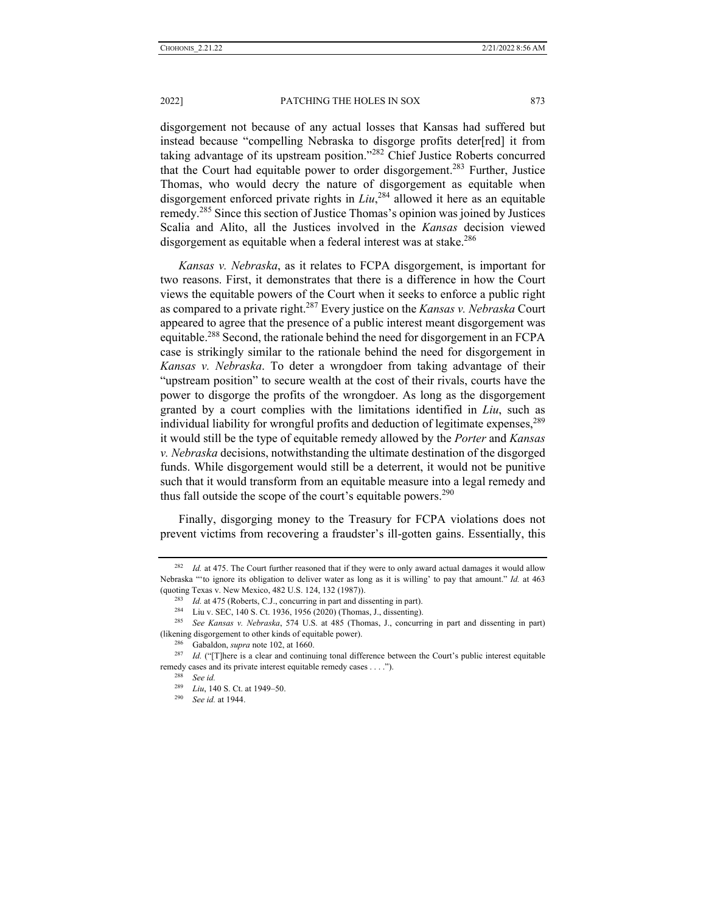disgorgement not because of any actual losses that Kansas had suffered but instead because "compelling Nebraska to disgorge profits deter[red] it from taking advantage of its upstream position."282 Chief Justice Roberts concurred that the Court had equitable power to order disgorgement.283 Further, Justice Thomas, who would decry the nature of disgorgement as equitable when disgorgement enforced private rights in *Liu*, 284 allowed it here as an equitable remedy.285 Since this section of Justice Thomas's opinion was joined by Justices Scalia and Alito, all the Justices involved in the *Kansas* decision viewed disgorgement as equitable when a federal interest was at stake.<sup>286</sup>

*Kansas v. Nebraska*, as it relates to FCPA disgorgement, is important for two reasons. First, it demonstrates that there is a difference in how the Court views the equitable powers of the Court when it seeks to enforce a public right as compared to a private right.287 Every justice on the *Kansas v. Nebraska* Court appeared to agree that the presence of a public interest meant disgorgement was equitable.<sup>288</sup> Second, the rationale behind the need for disgorgement in an FCPA case is strikingly similar to the rationale behind the need for disgorgement in *Kansas v. Nebraska*. To deter a wrongdoer from taking advantage of their "upstream position" to secure wealth at the cost of their rivals, courts have the power to disgorge the profits of the wrongdoer. As long as the disgorgement granted by a court complies with the limitations identified in *Liu*, such as individual liability for wrongful profits and deduction of legitimate expenses,  $289$ it would still be the type of equitable remedy allowed by the *Porter* and *Kansas v. Nebraska* decisions, notwithstanding the ultimate destination of the disgorged funds. While disgorgement would still be a deterrent, it would not be punitive such that it would transform from an equitable measure into a legal remedy and thus fall outside the scope of the court's equitable powers.<sup>290</sup>

Finally, disgorging money to the Treasury for FCPA violations does not prevent victims from recovering a fraudster's ill-gotten gains. Essentially, this

<sup>&</sup>lt;sup>282</sup> *Id.* at 475. The Court further reasoned that if they were to only award actual damages it would allow Nebraska "'to ignore its obligation to deliver water as long as it is willing' to pay that amount." *Id.* at 463

<sup>(</sup>quoting Texas v. New Mexico, 482 U.S. 124, 132 (1987)).<br>
<sup>283</sup> *Id.* at 475 (Roberts, C.J., concurring in part and dissenting in part).<br>
<sup>284</sup> Liu v. SEC, 140 S. Ct. 1936, 1956 (2020) (Thomas, J., dissenting).<br>
<sup>285</sup> *Se* (likening disgorgement to other kinds of equitable power). 286 Gabaldon, *supra* note 102, at 1660. 287 *Id.* ("[T]here is a clear and continuing tonal difference between the Court's public interest equitable

remedy cases and its private interest equitable remedy cases . . . ."). 288 *See id.*

<sup>289</sup> *Liu*, 140 S. Ct. at 1949–50. 290 *See id.* at 1944.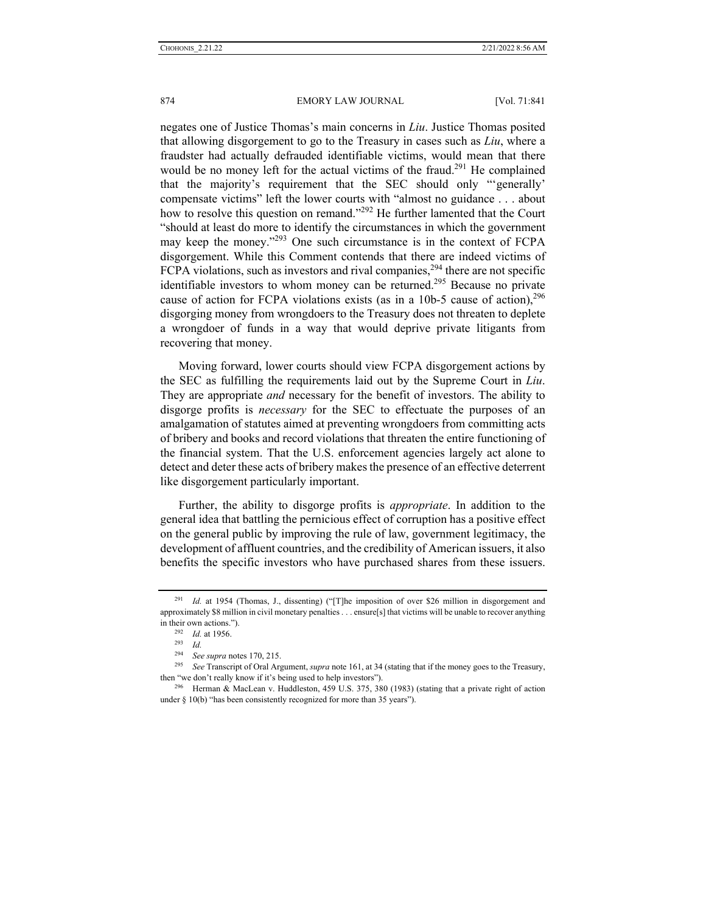negates one of Justice Thomas's main concerns in *Liu*. Justice Thomas posited that allowing disgorgement to go to the Treasury in cases such as *Liu*, where a fraudster had actually defrauded identifiable victims, would mean that there would be no money left for the actual victims of the fraud.<sup>291</sup> He complained that the majority's requirement that the SEC should only "'generally' compensate victims" left the lower courts with "almost no guidance . . . about how to resolve this question on remand."<sup>292</sup> He further lamented that the Court "should at least do more to identify the circumstances in which the government may keep the money."293 One such circumstance is in the context of FCPA disgorgement. While this Comment contends that there are indeed victims of FCPA violations, such as investors and rival companies,  $294$  there are not specific identifiable investors to whom money can be returned.<sup>295</sup> Because no private cause of action for FCPA violations exists (as in a 10b-5 cause of action),  $296$ disgorging money from wrongdoers to the Treasury does not threaten to deplete a wrongdoer of funds in a way that would deprive private litigants from recovering that money.

Moving forward, lower courts should view FCPA disgorgement actions by the SEC as fulfilling the requirements laid out by the Supreme Court in *Liu*. They are appropriate *and* necessary for the benefit of investors. The ability to disgorge profits is *necessary* for the SEC to effectuate the purposes of an amalgamation of statutes aimed at preventing wrongdoers from committing acts of bribery and books and record violations that threaten the entire functioning of the financial system. That the U.S. enforcement agencies largely act alone to detect and deter these acts of bribery makes the presence of an effective deterrent like disgorgement particularly important.

Further, the ability to disgorge profits is *appropriate*. In addition to the general idea that battling the pernicious effect of corruption has a positive effect on the general public by improving the rule of law, government legitimacy, the development of affluent countries, and the credibility of American issuers, it also benefits the specific investors who have purchased shares from these issuers.

<sup>&</sup>lt;sup>291</sup> *Id.* at 1954 (Thomas, J., dissenting) ("[T]he imposition of over \$26 million in disgorgement and approximately \$8 million in civil monetary penalties . . . ensure[s] that victims will be unable to recover anything in their own actions.").<br>
<sup>292</sup> *Id.* at 1956.<br>
<sup>293</sup> *Id.*<br>
<sup>294</sup> *Seasurement* 

<sup>294</sup> *See supra* notes 170, 215. 295 *See* Transcript of Oral Argument, *supra* note 161, at 34 (stating that if the money goes to the Treasury, then "we don't really know if it's being used to help investors").<br><sup>296</sup> Herman & MacLean v. Huddleston, 459 U.S. 375, 380 (1983) (stating that a private right of action

under § 10(b) "has been consistently recognized for more than 35 years").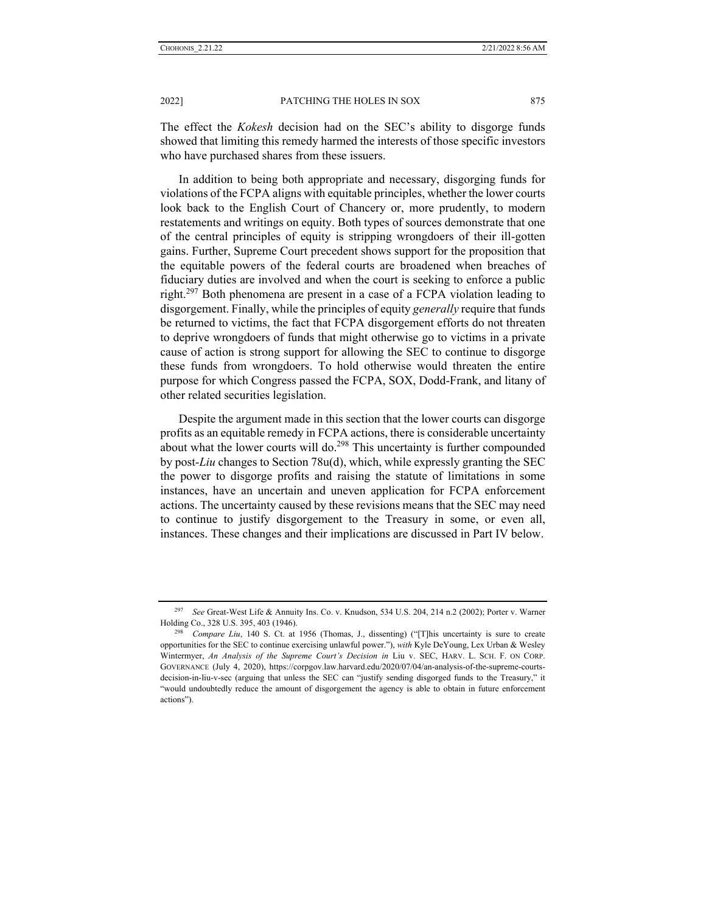The effect the *Kokesh* decision had on the SEC's ability to disgorge funds showed that limiting this remedy harmed the interests of those specific investors who have purchased shares from these issuers.

In addition to being both appropriate and necessary, disgorging funds for violations of the FCPA aligns with equitable principles, whether the lower courts look back to the English Court of Chancery or, more prudently, to modern restatements and writings on equity. Both types of sources demonstrate that one of the central principles of equity is stripping wrongdoers of their ill-gotten gains. Further, Supreme Court precedent shows support for the proposition that the equitable powers of the federal courts are broadened when breaches of fiduciary duties are involved and when the court is seeking to enforce a public right.<sup>297</sup> Both phenomena are present in a case of a FCPA violation leading to disgorgement. Finally, while the principles of equity *generally* require that funds be returned to victims, the fact that FCPA disgorgement efforts do not threaten to deprive wrongdoers of funds that might otherwise go to victims in a private cause of action is strong support for allowing the SEC to continue to disgorge these funds from wrongdoers. To hold otherwise would threaten the entire purpose for which Congress passed the FCPA, SOX, Dodd-Frank, and litany of other related securities legislation.

Despite the argument made in this section that the lower courts can disgorge profits as an equitable remedy in FCPA actions, there is considerable uncertainty about what the lower courts will do.<sup>298</sup> This uncertainty is further compounded by post-*Liu* changes to Section 78u(d), which, while expressly granting the SEC the power to disgorge profits and raising the statute of limitations in some instances, have an uncertain and uneven application for FCPA enforcement actions. The uncertainty caused by these revisions means that the SEC may need to continue to justify disgorgement to the Treasury in some, or even all, instances. These changes and their implications are discussed in Part IV below.

<sup>297</sup> *See* Great-West Life & Annuity Ins. Co. v. Knudson, 534 U.S. 204, 214 n.2 (2002); Porter v. Warner

Holding Co., 328 U.S. 395, 403 (1946). 298 *Compare Liu*, 140 S. Ct. at 1956 (Thomas, J., dissenting) ("[T]his uncertainty is sure to create opportunities for the SEC to continue exercising unlawful power."), *with* Kyle DeYoung, Lex Urban & Wesley Wintermyer, *An Analysis of the Supreme Court's Decision in* Liu v. SEC, HARV. L. SCH. F. ON CORP. GOVERNANCE (July 4, 2020), https://corpgov.law.harvard.edu/2020/07/04/an-analysis-of-the-supreme-courtsdecision-in-liu-v-sec (arguing that unless the SEC can "justify sending disgorged funds to the Treasury," it "would undoubtedly reduce the amount of disgorgement the agency is able to obtain in future enforcement actions").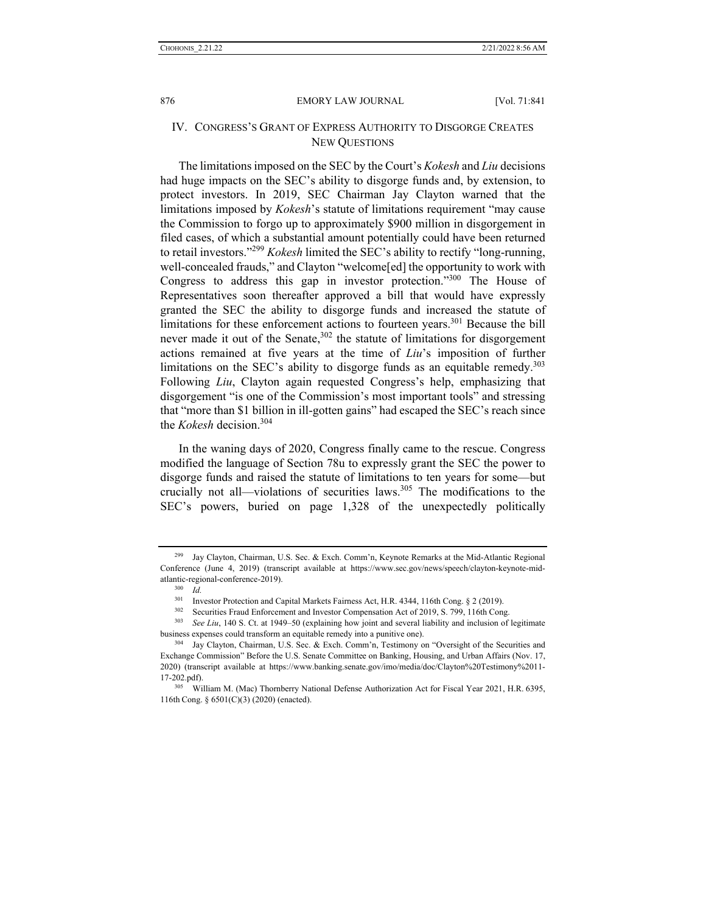## IV. CONGRESS'S GRANT OF EXPRESS AUTHORITY TO DISGORGE CREATES NEW QUESTIONS

The limitations imposed on the SEC by the Court's *Kokesh* and *Liu* decisions had huge impacts on the SEC's ability to disgorge funds and, by extension, to protect investors. In 2019, SEC Chairman Jay Clayton warned that the limitations imposed by *Kokesh*'s statute of limitations requirement "may cause the Commission to forgo up to approximately \$900 million in disgorgement in filed cases, of which a substantial amount potentially could have been returned to retail investors."299 *Kokesh* limited the SEC's ability to rectify "long-running, well-concealed frauds," and Clayton "welcome[ed] the opportunity to work with Congress to address this gap in investor protection."<sup>300</sup> The House of Representatives soon thereafter approved a bill that would have expressly granted the SEC the ability to disgorge funds and increased the statute of limitations for these enforcement actions to fourteen years.<sup>301</sup> Because the bill never made it out of the Senate,<sup>302</sup> the statute of limitations for disgorgement actions remained at five years at the time of *Liu*'s imposition of further limitations on the SEC's ability to disgorge funds as an equitable remedy.<sup>303</sup> Following *Liu*, Clayton again requested Congress's help, emphasizing that disgorgement "is one of the Commission's most important tools" and stressing that "more than \$1 billion in ill-gotten gains" had escaped the SEC's reach since the *Kokesh* decision.304

In the waning days of 2020, Congress finally came to the rescue. Congress modified the language of Section 78u to expressly grant the SEC the power to disgorge funds and raised the statute of limitations to ten years for some—but crucially not all—violations of securities laws.305 The modifications to the SEC's powers, buried on page 1,328 of the unexpectedly politically

<sup>299</sup> Jay Clayton, Chairman, U.S. Sec. & Exch. Comm'n, Keynote Remarks at the Mid-Atlantic Regional Conference (June 4, 2019) (transcript available at https://www.sec.gov/news/speech/clayton-keynote-midatlantic-regional-conference-2019).<br><sup>300</sup> *Id.*<br><sup>301</sup> Investor Protection and Capital Markets Fairness Act, H.R. 4344, 116th Cong. § 2 (2019).

<sup>&</sup>lt;sup>302</sup> Securities Fraud Enforcement and Investor Compensation Act of 2019, S. 799, 116th Cong.<br><sup>303</sup> See Liu, 140 S. Ct. at 1949–50 (explaining how joint and several liability and inclusion of legitimate business expenses could transform an equitable remedy into a punitive one).<br><sup>304</sup> Jay Clayton, Chairman, U.S. Sec. & Exch. Comm'n, Testimony on "Oversight of the Securities and

Exchange Commission" Before the U.S. Senate Committee on Banking, Housing, and Urban Affairs (Nov. 17, 2020) (transcript available at https://www.banking.senate.gov/imo/media/doc/Clayton%20Testimony%2011- 17-202.pdf).<br><sup>305</sup> William M. (Mac) Thornberry National Defense Authorization Act for Fiscal Year 2021, H.R. 6395,

<sup>116</sup>th Cong. § 6501(C)(3) (2020) (enacted).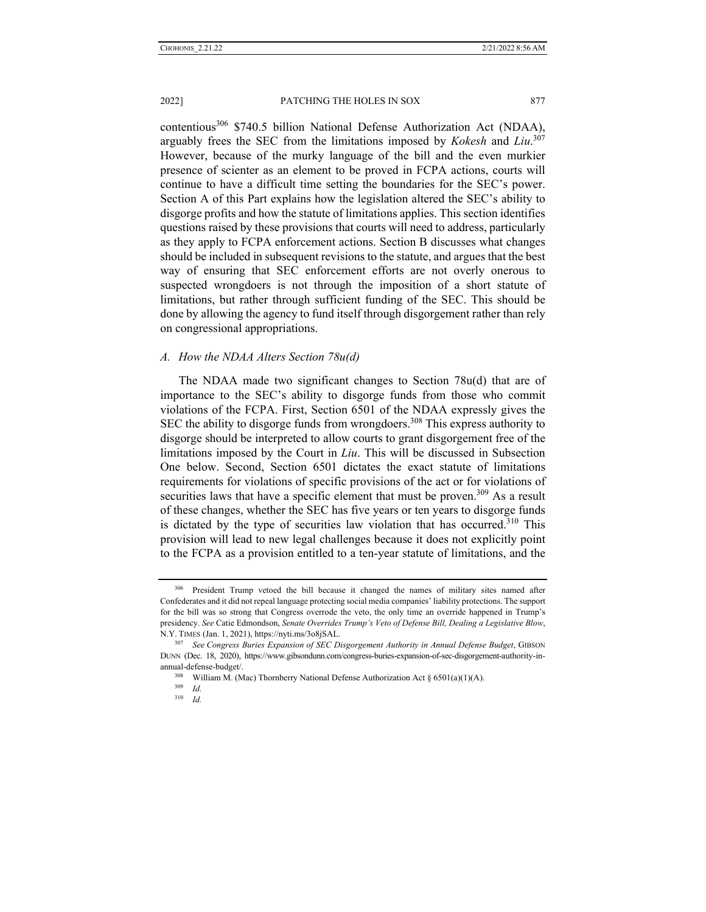contentious<sup>306</sup> \$740.5 billion National Defense Authorization Act (NDAA), arguably frees the SEC from the limitations imposed by *Kokesh* and *Liu*. 307 However, because of the murky language of the bill and the even murkier presence of scienter as an element to be proved in FCPA actions, courts will continue to have a difficult time setting the boundaries for the SEC's power. Section A of this Part explains how the legislation altered the SEC's ability to disgorge profits and how the statute of limitations applies. This section identifies questions raised by these provisions that courts will need to address, particularly as they apply to FCPA enforcement actions. Section B discusses what changes should be included in subsequent revisions to the statute, and argues that the best way of ensuring that SEC enforcement efforts are not overly onerous to suspected wrongdoers is not through the imposition of a short statute of limitations, but rather through sufficient funding of the SEC. This should be done by allowing the agency to fund itself through disgorgement rather than rely on congressional appropriations.

### *A. How the NDAA Alters Section 78u(d)*

The NDAA made two significant changes to Section 78u(d) that are of importance to the SEC's ability to disgorge funds from those who commit violations of the FCPA. First, Section 6501 of the NDAA expressly gives the SEC the ability to disgorge funds from wrongdoers.<sup>308</sup> This express authority to disgorge should be interpreted to allow courts to grant disgorgement free of the limitations imposed by the Court in *Liu*. This will be discussed in Subsection One below. Second, Section 6501 dictates the exact statute of limitations requirements for violations of specific provisions of the act or for violations of securities laws that have a specific element that must be proven.<sup>309</sup> As a result of these changes, whether the SEC has five years or ten years to disgorge funds is dictated by the type of securities law violation that has occurred.<sup>310</sup> This provision will lead to new legal challenges because it does not explicitly point to the FCPA as a provision entitled to a ten-year statute of limitations, and the

<sup>306</sup> President Trump vetoed the bill because it changed the names of military sites named after Confederates and it did not repeal language protecting social media companies' liability protections. The support for the bill was so strong that Congress overrode the veto, the only time an override happened in Trump's presidency. *See* Catie Edmondson, *Senate Overrides Trump's Veto of Defense Bill, Dealing a Legislative Blow*, N.Y. TIMES (Jan. 1, 2021), https://nyti.ms/3o8jSAL. 307 *See Congress Buries Expansion of SEC Disgorgement Authority in Annual Defense Budget*, GIBSON

DUNN (Dec. 18, 2020), https://www.gibsondunn.com/congress-buries-expansion-of-sec-disgorgement-authority-in-

annual-defense-budget/.<br><sup>308</sup> William M. (Mac) Thornberry National Defense Authorization Act § 6501(a)(1)(A).<br><sup>309</sup> *Id* 

<sup>310</sup> *Id.*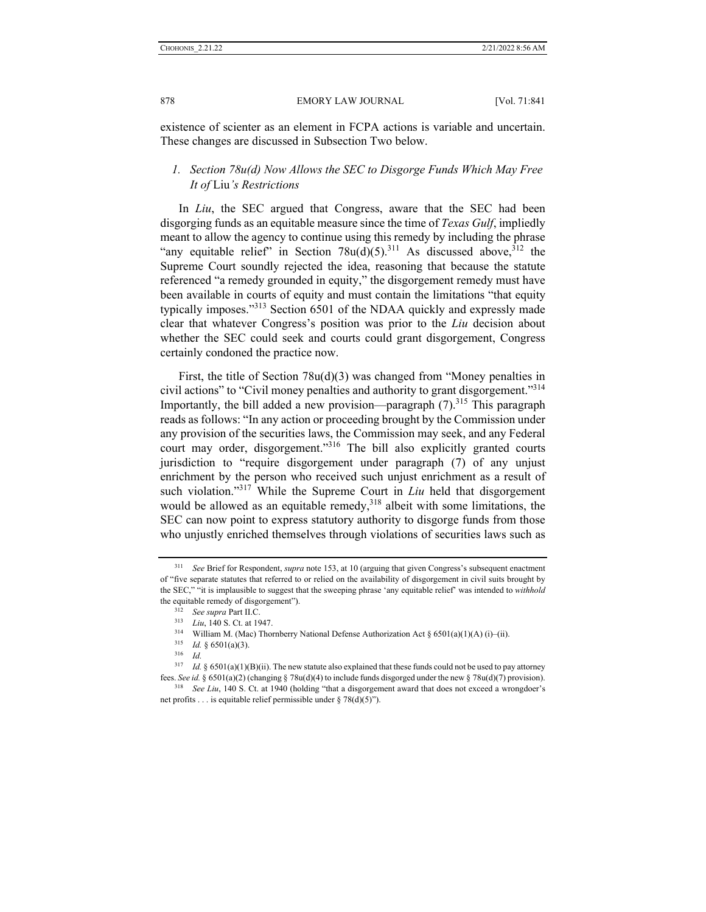existence of scienter as an element in FCPA actions is variable and uncertain. These changes are discussed in Subsection Two below.

## *1. Section 78u(d) Now Allows the SEC to Disgorge Funds Which May Free It of* Liu*'s Restrictions*

In *Liu*, the SEC argued that Congress, aware that the SEC had been disgorging funds as an equitable measure since the time of *Texas Gulf*, impliedly meant to allow the agency to continue using this remedy by including the phrase "any equitable relief" in Section  $78u(d)(5)$ .<sup>311</sup> As discussed above, <sup>312</sup> the Supreme Court soundly rejected the idea, reasoning that because the statute referenced "a remedy grounded in equity," the disgorgement remedy must have been available in courts of equity and must contain the limitations "that equity typically imposes."313 Section 6501 of the NDAA quickly and expressly made clear that whatever Congress's position was prior to the *Liu* decision about whether the SEC could seek and courts could grant disgorgement, Congress certainly condoned the practice now.

First, the title of Section 78u(d)(3) was changed from "Money penalties in civil actions" to "Civil money penalties and authority to grant disgorgement."314 Importantly, the bill added a new provision—paragraph  $(7)$ .<sup>315</sup> This paragraph reads as follows: "In any action or proceeding brought by the Commission under any provision of the securities laws, the Commission may seek, and any Federal court may order, disgorgement."<sup>316</sup> The bill also explicitly granted courts jurisdiction to "require disgorgement under paragraph (7) of any unjust enrichment by the person who received such unjust enrichment as a result of such violation."<sup>317</sup> While the Supreme Court in *Liu* held that disgorgement would be allowed as an equitable remedy,  $318$  albeit with some limitations, the SEC can now point to express statutory authority to disgorge funds from those who unjustly enriched themselves through violations of securities laws such as

<sup>311</sup> *See* Brief for Respondent, *supra* note 153, at 10 (arguing that given Congress's subsequent enactment of "five separate statutes that referred to or relied on the availability of disgorgement in civil suits brought by the SEC," "it is implausible to suggest that the sweeping phrase 'any equitable relief' was intended to *withhold*

the equitable remedy of disgorgement").<br>
<sup>312</sup> See supra Part II.C.<br>
<sup>313</sup> Liu, 140 S. Ct. at 1947.<br>
<sup>314</sup> William M. (Mac) Thornberry National Defense Authorization Act § 6501(a)(1)(A) (i)–(ii).<br>
<sup>315</sup> Id. § 6501(a)(3).

<sup>317</sup> *Id.* § 6501(a)(1)(B)(ii). The new statute also explained that these funds could not be used to pay attorney fees. See id. § 6501(a)(2) (changing § 78u(d)(4) to include funds disgorged under the new § 78u(d)(7) provision).<br><sup>318</sup> See Liu, 140 S. Ct. at 1940 (holding "that a disgorgement award that does not exceed a wrongdoer's

net profits . . . is equitable relief permissible under § 78(d)(5)").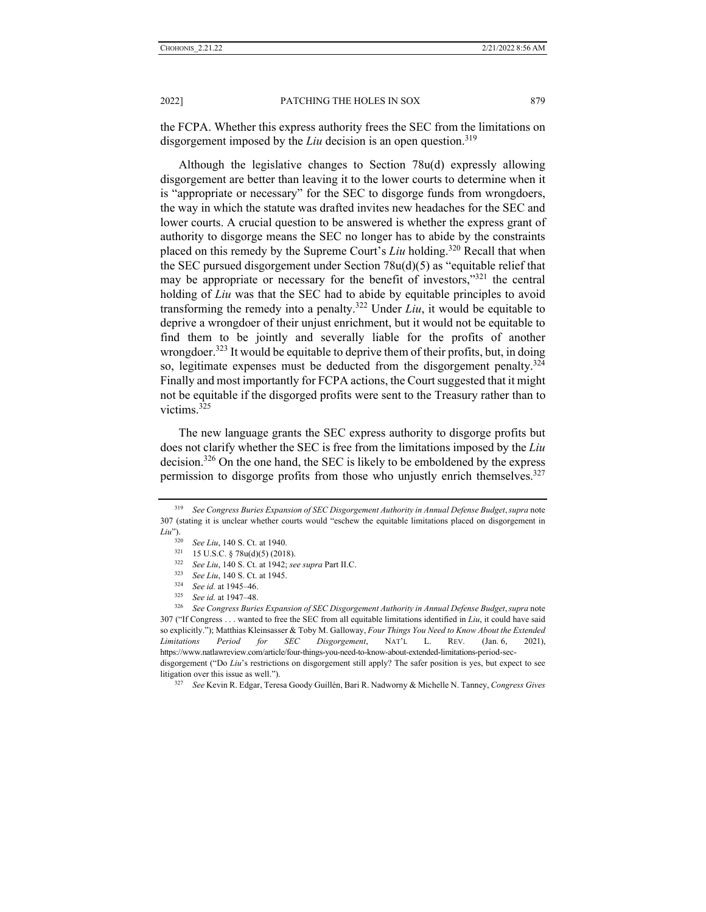the FCPA. Whether this express authority frees the SEC from the limitations on disgorgement imposed by the *Liu* decision is an open question.<sup>319</sup>

Although the legislative changes to Section 78u(d) expressly allowing disgorgement are better than leaving it to the lower courts to determine when it is "appropriate or necessary" for the SEC to disgorge funds from wrongdoers, the way in which the statute was drafted invites new headaches for the SEC and lower courts. A crucial question to be answered is whether the express grant of authority to disgorge means the SEC no longer has to abide by the constraints placed on this remedy by the Supreme Court's *Liu* holding.320 Recall that when the SEC pursued disgorgement under Section 78u(d)(5) as "equitable relief that may be appropriate or necessary for the benefit of investors,"<sup>321</sup> the central holding of *Liu* was that the SEC had to abide by equitable principles to avoid transforming the remedy into a penalty.<sup>322</sup> Under  $Liu$ , it would be equitable to deprive a wrongdoer of their unjust enrichment, but it would not be equitable to find them to be jointly and severally liable for the profits of another wrongdoer.<sup>323</sup> It would be equitable to deprive them of their profits, but, in doing so, legitimate expenses must be deducted from the disgorgement penalty.<sup>324</sup> Finally and most importantly for FCPA actions, the Court suggested that it might not be equitable if the disgorged profits were sent to the Treasury rather than to victims.325

The new language grants the SEC express authority to disgorge profits but does not clarify whether the SEC is free from the limitations imposed by the *Liu*  decision.<sup>326</sup> On the one hand, the SEC is likely to be emboldened by the express permission to disgorge profits from those who unjustly enrich themselves.<sup>327</sup>

<sup>319</sup> *See Congress Buries Expansion of SEC Disgorgement Authority in Annual Defense Budget*,*supra* note 307 (stating it is unclear whether courts would "eschew the equitable limitations placed on disgorgement in *Liu*").  $rac{320}{ }$ 

<sup>320</sup> See Liu, 140 S. Ct. at 1940.<br>
321 15 U.S.C. § 78u(d)(5) (2018).<br>
322 See Liu, 140 S. Ct. at 1942; see supra Part II.C.<br>
323 See Liu, 140 S. Ct. at 1945.<br>
324 See id. at 1945–46.<br>
326 See Congress Buries Expansion of S 307 ("If Congress . . . wanted to free the SEC from all equitable limitations identified in *Liu*, it could have said so explicitly."); Matthias Kleinsasser & Toby M. Galloway, *Four Things You Need to Know About the Extended Limitations Period for SEC Disgorgement*, NAT'L L. REV. (Jan. 6, 2021), https://www.natlawreview.com/article/four-things-you-need-to-know-about-extended-limitations-period-secdisgorgement ("Do *Liu*'s restrictions on disgorgement still apply? The safer position is yes, but expect to see

litigation over this issue as well."). 327 *See* Kevin R. Edgar, Teresa Goody Guillén, Bari R. Nadworny & Michelle N. Tanney, *Congress Gives*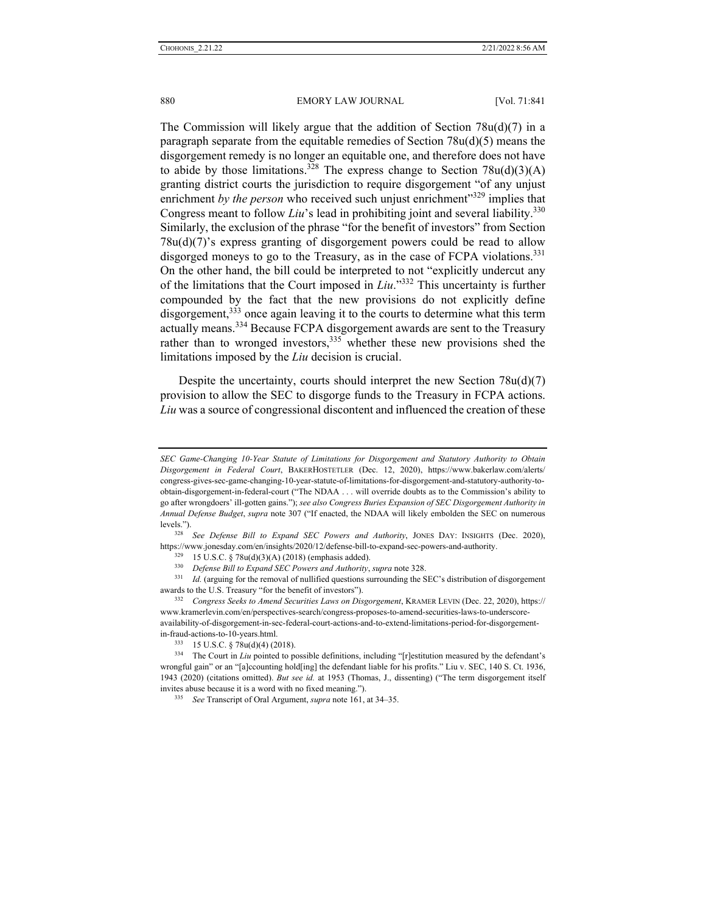The Commission will likely argue that the addition of Section  $78u(d)(7)$  in a paragraph separate from the equitable remedies of Section 78u(d)(5) means the disgorgement remedy is no longer an equitable one, and therefore does not have to abide by those limitations.<sup>328</sup> The express change to Section 78u(d)(3)(A) granting district courts the jurisdiction to require disgorgement "of any unjust enrichment by the person who received such unjust enrichment"<sup>329</sup> implies that Congress meant to follow *Liu*'s lead in prohibiting joint and several liability.<sup>330</sup> Similarly, the exclusion of the phrase "for the benefit of investors" from Section 78u(d)(7)'s express granting of disgorgement powers could be read to allow disgorged moneys to go to the Treasury, as in the case of FCPA violations.<sup>331</sup> On the other hand, the bill could be interpreted to not "explicitly undercut any of the limitations that the Court imposed in *Liu*."332 This uncertainty is further compounded by the fact that the new provisions do not explicitly define disgorgement,<sup>333</sup> once again leaving it to the courts to determine what this term actually means.<sup>334</sup> Because FCPA disgorgement awards are sent to the Treasury rather than to wronged investors,  $335$  whether these new provisions shed the limitations imposed by the *Liu* decision is crucial.

Despite the uncertainty, courts should interpret the new Section 78u(d)(7) provision to allow the SEC to disgorge funds to the Treasury in FCPA actions. *Liu* was a source of congressional discontent and influenced the creation of these

levels."). 328 *See Defense Bill to Expand SEC Powers and Authority*, JONES DAY: INSIGHTS (Dec. 2020), https://www.jonesday.com/en/insights/2020/12/defense-bill-to-expand-sec-powers-and-authority.<br><sup>329</sup> 15 U.S.C. § 78u(d)(3)(A) (2018) (emphasis added).<br><sup>330</sup> *Defense Bill to Expand SEC Powers and Authority, supra* note 328

awards to the U.S. Treasury "for the benefit of investors"). 332 *Congress Seeks to Amend Securities Laws on Disgorgement*, KRAMER LEVIN (Dec. 22, 2020), https://

www.kramerlevin.com/en/perspectives-search/congress-proposes-to-amend-securities-laws-to-underscoreavailability-of-disgorgement-in-sec-federal-court-actions-and-to-extend-limitations-period-for-disgorgement-

in-fraud-actions-to-10-years.html.<br><sup>333</sup> 15 U.S.C. § 78u(d)(4) (2018).<br><sup>334</sup> The Court in *Liu* pointed to possible definitions, including "[r]estitution measured by the defendant's wrongful gain" or an "[a]ccounting hold[ing] the defendant liable for his profits." Liu v. SEC, 140 S. Ct. 1936, 1943 (2020) (citations omitted). *But see id.* at 1953 (Thomas, J., dissenting) ("The term disgorgement itself invites abuse because it is a word with no fixed meaning."). 335 *See* Transcript of Oral Argument, *supra* note 161, at 34–35.

*SEC Game-Changing 10-Year Statute of Limitations for Disgorgement and Statutory Authority to Obtain Disgorgement in Federal Court*, BAKERHOSTETLER (Dec. 12, 2020), https://www.bakerlaw.com/alerts/ congress-gives-sec-game-changing-10-year-statute-of-limitations-for-disgorgement-and-statutory-authority-toobtain-disgorgement-in-federal-court ("The NDAA . . . will override doubts as to the Commission's ability to go after wrongdoers' ill-gotten gains."); *see also Congress Buries Expansion of SEC Disgorgement Authority in Annual Defense Budget*, *supra* note 307 ("If enacted, the NDAA will likely embolden the SEC on numerous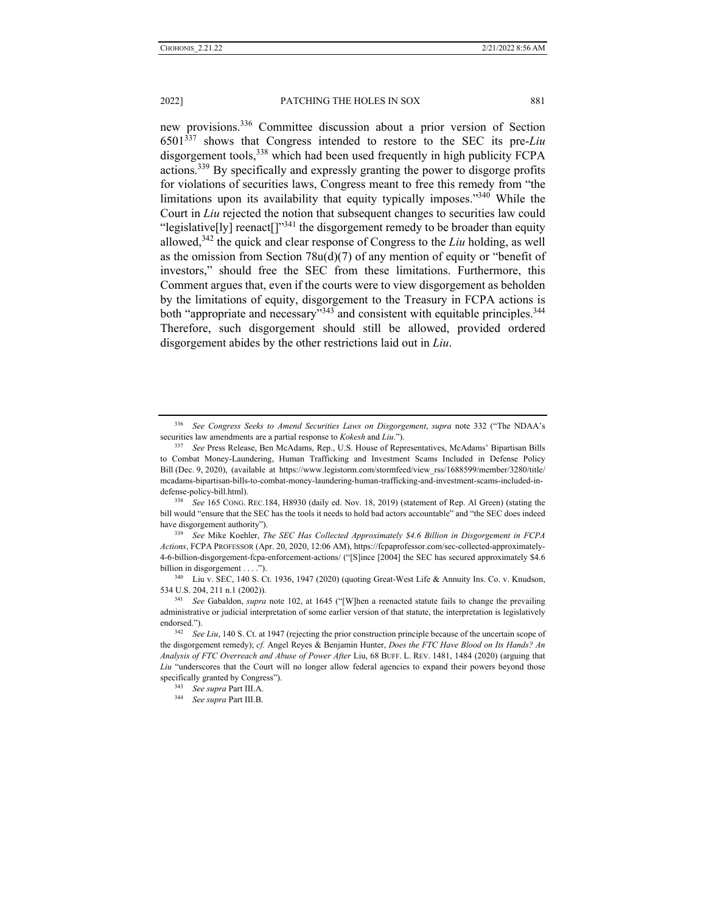new provisions.336 Committee discussion about a prior version of Section 6501337 shows that Congress intended to restore to the SEC its pre-*Liu* disgorgement tools,<sup>338</sup> which had been used frequently in high publicity FCPA actions.339 By specifically and expressly granting the power to disgorge profits for violations of securities laws, Congress meant to free this remedy from "the limitations upon its availability that equity typically imposes."340 While the Court in *Liu* rejected the notion that subsequent changes to securities law could "legislative[ly] reenact[]"<sup>341</sup> the disgorgement remedy to be broader than equity allowed,342 the quick and clear response of Congress to the *Liu* holding, as well as the omission from Section  $78u(d)(7)$  of any mention of equity or "benefit of investors," should free the SEC from these limitations. Furthermore, this Comment argues that, even if the courts were to view disgorgement as beholden by the limitations of equity, disgorgement to the Treasury in FCPA actions is both "appropriate and necessary"<sup>343</sup> and consistent with equitable principles.<sup>344</sup> Therefore, such disgorgement should still be allowed, provided ordered disgorgement abides by the other restrictions laid out in *Liu*.

*Actions*, FCPA PROFESSOR (Apr. 20, 2020, 12:06 AM), https://fcpaprofessor.com/sec-collected-approximately-4-6-billion-disgorgement-fcpa-enforcement-actions/ ("[S]ince [2004] the SEC has secured approximately \$4.6 billion in disgorgement . . . .").<br><sup>340</sup> Liu v. SEC, 140 S. Ct. 1936, 1947 (2020) (quoting Great-West Life & Annuity Ins. Co. v. Knudson,

<sup>336</sup> *See Congress Seeks to Amend Securities Laws on Disgorgement*, *supra* note 332 ("The NDAA's securities law amendments are a partial response to *Kokesh* and *Liu*."). 337 *See* Press Release, Ben McAdams, Rep., U.S. House of Representatives, McAdams' Bipartisan Bills

to Combat Money-Laundering, Human Trafficking and Investment Scams Included in Defense Policy Bill (Dec. 9, 2020), (available at https://www.legistorm.com/stormfeed/view\_rss/1688599/member/3280/title/ mcadams-bipartisan-bills-to-combat-money-laundering-human-trafficking-and-investment-scams-included-indefense-policy-bill.html). 338 *See* 165 CONG. REC.184, H8930 (daily ed. Nov. 18, 2019) (statement of Rep. Al Green) (stating the

bill would "ensure that the SEC has the tools it needs to hold bad actors accountable" and "the SEC does indeed have disgorgement authority"). 339 *See* Mike Koehler, *The SEC Has Collected Approximately \$4.6 Billion in Disgorgement in FCPA* 

<sup>534</sup> U.S. 204, 211 n.1 (2002)). 341 *See* Gabaldon, *supra* note 102, at 1645 ("[W]hen a reenacted statute fails to change the prevailing

administrative or judicial interpretation of some earlier version of that statute, the interpretation is legislatively endorsed."). 342 *See Liu*, 140 S. Ct. at 1947 (rejecting the prior construction principle because of the uncertain scope of

the disgorgement remedy); *cf.* Angel Reyes & Benjamin Hunter, *Does the FTC Have Blood on Its Hands? An Analysis of FTC Overreach and Abuse of Power After* Liu, 68 BUFF. L. REV. 1481, 1484 (2020) (arguing that *Liu* "underscores that the Court will no longer allow federal agencies to expand their powers beyond those specifically granted by Congress"). 343 *See supra* Part III.A. 344 *See supra* Part III.B.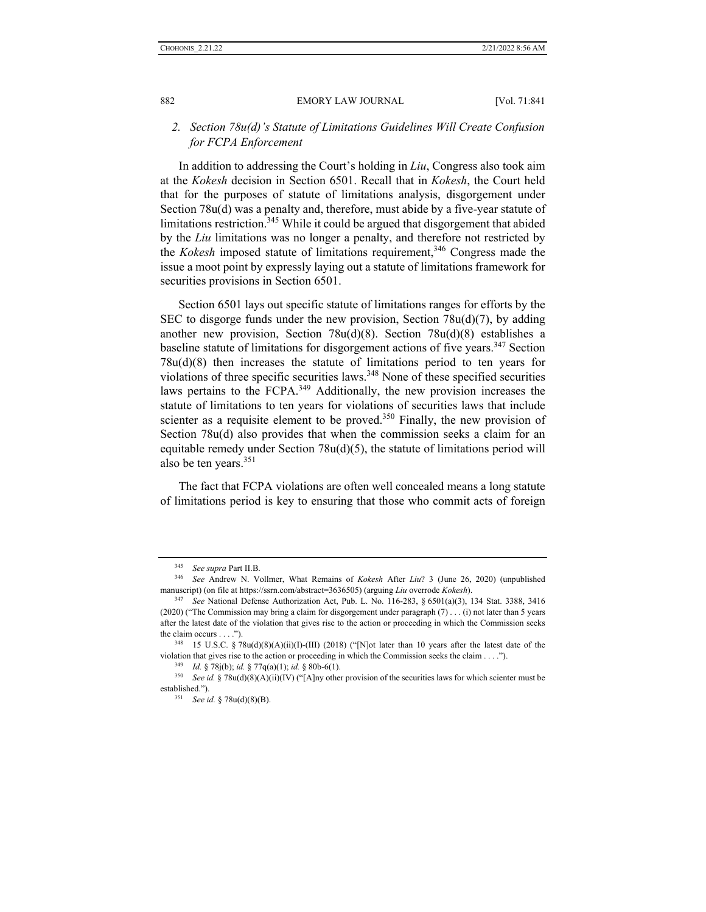## *2. Section 78u(d)'s Statute of Limitations Guidelines Will Create Confusion for FCPA Enforcement*

In addition to addressing the Court's holding in *Liu*, Congress also took aim at the *Kokesh* decision in Section 6501. Recall that in *Kokesh*, the Court held that for the purposes of statute of limitations analysis, disgorgement under Section 78u(d) was a penalty and, therefore, must abide by a five-year statute of limitations restriction.<sup>345</sup> While it could be argued that disgorgement that abided by the *Liu* limitations was no longer a penalty, and therefore not restricted by the *Kokesh* imposed statute of limitations requirement,<sup>346</sup> Congress made the issue a moot point by expressly laying out a statute of limitations framework for securities provisions in Section 6501.

Section 6501 lays out specific statute of limitations ranges for efforts by the SEC to disgorge funds under the new provision, Section  $78u(d)(7)$ , by adding another new provision, Section 78u(d)(8). Section 78u(d)(8) establishes a baseline statute of limitations for disgorgement actions of five years.<sup>347</sup> Section 78u(d)(8) then increases the statute of limitations period to ten years for violations of three specific securities laws.348 None of these specified securities laws pertains to the FCPA.<sup>349</sup> Additionally, the new provision increases the statute of limitations to ten years for violations of securities laws that include scienter as a requisite element to be proved. $350$  Finally, the new provision of Section 78u(d) also provides that when the commission seeks a claim for an equitable remedy under Section 78u(d)(5), the statute of limitations period will also be ten years.<sup>351</sup>

The fact that FCPA violations are often well concealed means a long statute of limitations period is key to ensuring that those who commit acts of foreign

<sup>345</sup> *See supra* Part II.B. 346 *See* Andrew N. Vollmer, What Remains of *Kokesh* After *Liu*? 3 (June 26, 2020) (unpublished manuscript) (on file at https://ssrn.com/abstract=3636505) (arguing *Liu* overrode *Kokesh*). 347 *See* National Defense Authorization Act, Pub. L. No. 116-283, § 6501(a)(3), 134 Stat. 3388, 3416

<sup>(2020) (&</sup>quot;The Commission may bring a claim for disgorgement under paragraph (7) . . . (i) not later than 5 years after the latest date of the violation that gives rise to the action or proceeding in which the Commission seeks the claim occurs . . . .").<br><sup>348</sup> 15 U.S.C. § 78u(d)(8)(A)(ii)(I)-(III) (2018) ("[N]ot later than 10 years after the latest date of the

violation that gives rise to the action or proceeding in which the Commission seeks the claim ....").<br><sup>349</sup> *Id.* § 78j(b); *id.* § 77q(a)(1); *id.* § 80b-6(1).<br><sup>350</sup> *See id.* § 78u(d)(8)(A)(ii)(IV) ("[A]ny other provisi

established."). 351 *See id.* § 78u(d)(8)(B).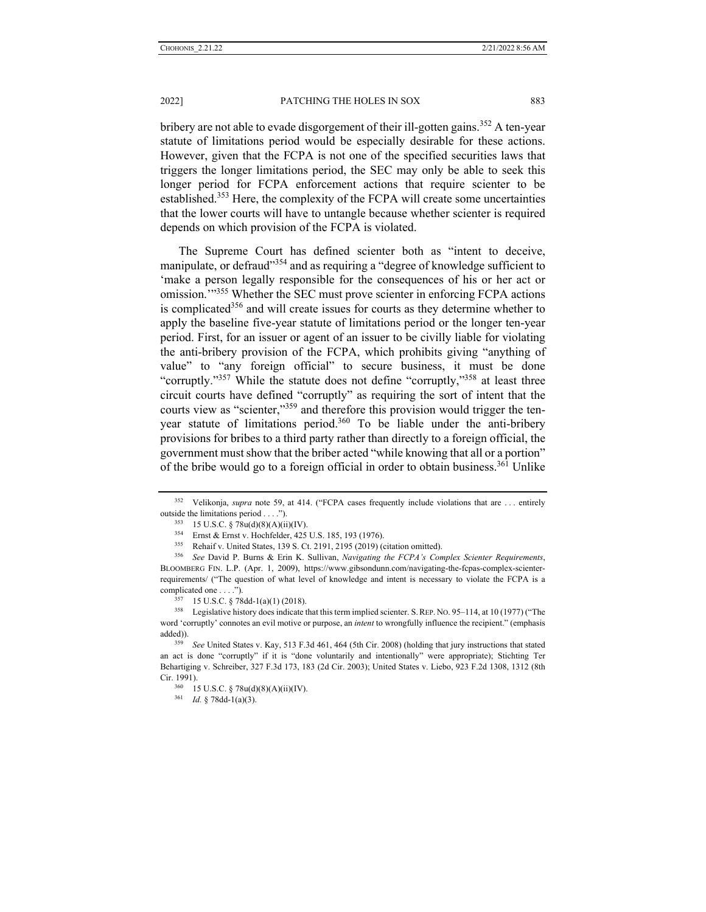bribery are not able to evade disgorgement of their ill-gotten gains.<sup>352</sup> A ten-year statute of limitations period would be especially desirable for these actions. However, given that the FCPA is not one of the specified securities laws that triggers the longer limitations period, the SEC may only be able to seek this longer period for FCPA enforcement actions that require scienter to be established.<sup>353</sup> Here, the complexity of the FCPA will create some uncertainties that the lower courts will have to untangle because whether scienter is required depends on which provision of the FCPA is violated.

The Supreme Court has defined scienter both as "intent to deceive, manipulate, or defraud<sup>3354</sup> and as requiring a "degree of knowledge sufficient to 'make a person legally responsible for the consequences of his or her act or omission.<sup>"355</sup> Whether the SEC must prove scienter in enforcing FCPA actions is complicated<sup>356</sup> and will create issues for courts as they determine whether to apply the baseline five-year statute of limitations period or the longer ten-year period. First, for an issuer or agent of an issuer to be civilly liable for violating the anti-bribery provision of the FCPA, which prohibits giving "anything of value" to "any foreign official" to secure business, it must be done "corruptly."<sup>357</sup> While the statute does not define "corruptly,"<sup>358</sup> at least three circuit courts have defined "corruptly" as requiring the sort of intent that the courts view as "scienter,"<sup>359</sup> and therefore this provision would trigger the tenyear statute of limitations period.<sup>360</sup> To be liable under the anti-bribery provisions for bribes to a third party rather than directly to a foreign official, the government must show that the briber acted "while knowing that all or a portion" of the bribe would go to a foreign official in order to obtain business.<sup>361</sup> Unlike

<sup>352</sup> Velikonja, *supra* note 59, at 414. ("FCPA cases frequently include violations that are . . . entirely outside the limitations period . . . .").<br>
<sup>353</sup> 15 U.S.C. § 78u(d)(8)(A)(ii)(IV).<br>
<sup>354</sup> Ernst & Ernst v. Hochfelder, 425 U.S. 185, 193 (1976).<br>
<sup>355</sup> Rehaif v. United States, 139 S. Ct. 2191, 2195 (2019) (citation omitt

BLOOMBERG FIN. L.P. (Apr. 1, 2009), https://www.gibsondunn.com/navigating-the-fcpas-complex-scienterrequirements/ ("The question of what level of knowledge and intent is necessary to violate the FCPA is a complicated one . . . .").<br><sup>357</sup> 15 U.S.C. § 78dd-1(a)(1) (2018).<br><sup>358</sup> Legislative history does indicate that this term implied scienter. S. REP. NO. 95–114, at 10 (1977) ("The

word 'corruptly' connotes an evil motive or purpose, an *intent* to wrongfully influence the recipient." (emphasis added)). 359 *See* United States v. Kay, 513 F.3d 461, 464 (5th Cir. 2008) (holding that jury instructions that stated

an act is done "corruptly" if it is "done voluntarily and intentionally" were appropriate); Stichting Ter Behartiging v. Schreiber, 327 F.3d 173, 183 (2d Cir. 2003); United States v. Liebo, 923 F.2d 1308, 1312 (8th Cir. 1991). 360 15 U.S.C. § 78u(d)(8)(A)(ii)(IV). 361 *Id.* § 78dd-1(a)(3).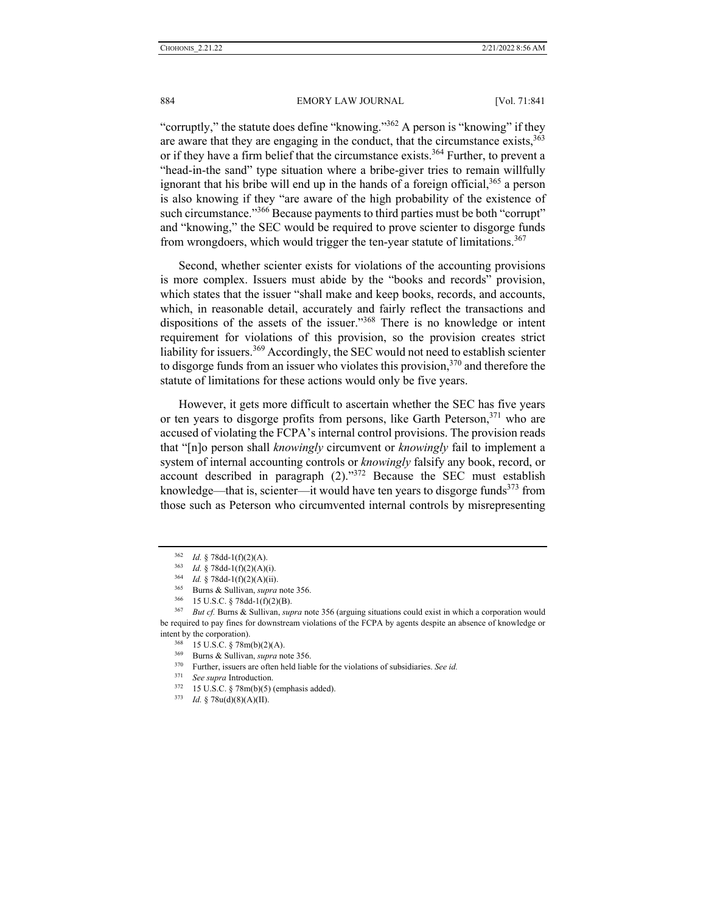884 EMORY LAW JOURNAL [Vol. 71:841]

"corruptly," the statute does define "knowing."<sup>362</sup> A person is "knowing" if they are aware that they are engaging in the conduct, that the circumstance exists,  $363$ or if they have a firm belief that the circumstance exists.<sup>364</sup> Further, to prevent a "head-in-the sand" type situation where a bribe-giver tries to remain willfully ignorant that his bribe will end up in the hands of a foreign official,  $365$  a person is also knowing if they "are aware of the high probability of the existence of such circumstance."<sup>366</sup> Because payments to third parties must be both "corrupt" and "knowing," the SEC would be required to prove scienter to disgorge funds from wrongdoers, which would trigger the ten-year statute of limitations.<sup>367</sup>

Second, whether scienter exists for violations of the accounting provisions is more complex. Issuers must abide by the "books and records" provision, which states that the issuer "shall make and keep books, records, and accounts, which, in reasonable detail, accurately and fairly reflect the transactions and dispositions of the assets of the issuer."368 There is no knowledge or intent requirement for violations of this provision, so the provision creates strict liability for issuers.<sup>369</sup> Accordingly, the SEC would not need to establish scienter to disgorge funds from an issuer who violates this provision,  $370$  and therefore the statute of limitations for these actions would only be five years.

However, it gets more difficult to ascertain whether the SEC has five years or ten years to disgorge profits from persons, like Garth Peterson,  $371$  who are accused of violating the FCPA's internal control provisions. The provision reads that "[n]o person shall *knowingly* circumvent or *knowingly* fail to implement a system of internal accounting controls or *knowingly* falsify any book, record, or account described in paragraph  $(2)$ ."<sup>372</sup> Because the SEC must establish knowledge—that is, scienter—it would have ten years to disgorge funds<sup>373</sup> from those such as Peterson who circumvented internal controls by misrepresenting

<sup>&</sup>lt;sup>362</sup> *Id.* § 78dd-1(f)(2)(A).<br><sup>363</sup> *Id.* § 78dd-1(f)(2)(A)(i).<br><sup>364</sup> *Id.* § 78dd-1(f)(2)(A)(ii).<br><sup>365</sup> Burns & Sullivan, *supra* note 356.<br><sup>366</sup> 15 U.S.C. § 78dd-1(f)(2)(B).<br><sup>367</sup> *But cf.* Burns & Sullivan, *supra* no be required to pay fines for downstream violations of the FCPA by agents despite an absence of knowledge or intent by the corporation).<br><sup>368</sup> 15 U.S.C. § 78m(b)(2)(A).<br><sup>369</sup> Burns & Sullivan, *supra* note 356.<br><sup>370</sup> Further, issuers are often held liable for the violations of subsidiaries. *See id.*<br><sup>371</sup> *See supra* Introductio

<sup>371</sup> *See supra* Introduction. 372 15 U.S.C. § 78m(b)(5) (emphasis added). 373 *Id.* § 78u(d)(8)(A)(II).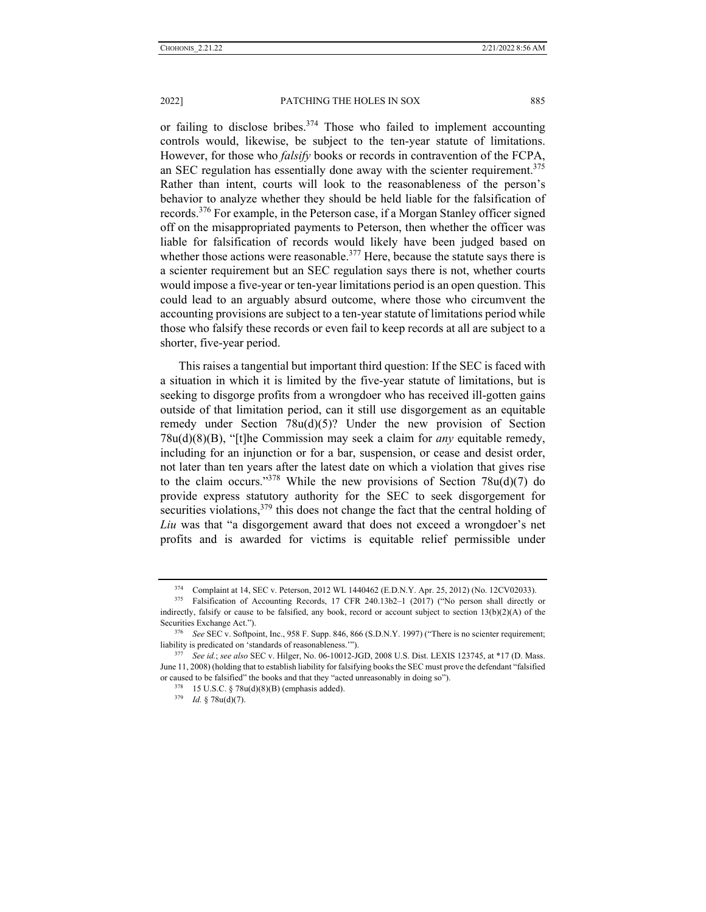or failing to disclose bribes.<sup>374</sup> Those who failed to implement accounting controls would, likewise, be subject to the ten-year statute of limitations. However, for those who *falsify* books or records in contravention of the FCPA, an SEC regulation has essentially done away with the scienter requirement.<sup>375</sup> Rather than intent, courts will look to the reasonableness of the person's behavior to analyze whether they should be held liable for the falsification of records.376 For example, in the Peterson case, if a Morgan Stanley officer signed off on the misappropriated payments to Peterson, then whether the officer was liable for falsification of records would likely have been judged based on whether those actions were reasonable.<sup>377</sup> Here, because the statute says there is a scienter requirement but an SEC regulation says there is not, whether courts would impose a five-year or ten-year limitations period is an open question. This could lead to an arguably absurd outcome, where those who circumvent the accounting provisions are subject to a ten-year statute of limitations period while those who falsify these records or even fail to keep records at all are subject to a shorter, five-year period.

This raises a tangential but important third question: If the SEC is faced with a situation in which it is limited by the five-year statute of limitations, but is seeking to disgorge profits from a wrongdoer who has received ill-gotten gains outside of that limitation period, can it still use disgorgement as an equitable remedy under Section 78u(d)(5)? Under the new provision of Section 78u(d)(8)(B), "[t]he Commission may seek a claim for *any* equitable remedy, including for an injunction or for a bar, suspension, or cease and desist order, not later than ten years after the latest date on which a violation that gives rise to the claim occurs."<sup>378</sup> While the new provisions of Section 78u(d)(7) do provide express statutory authority for the SEC to seek disgorgement for securities violations,<sup>379</sup> this does not change the fact that the central holding of *Liu* was that "a disgorgement award that does not exceed a wrongdoer's net profits and is awarded for victims is equitable relief permissible under

<sup>&</sup>lt;sup>374</sup> Complaint at 14, SEC v. Peterson, 2012 WL 1440462 (E.D.N.Y. Apr. 25, 2012) (No. 12CV02033).<br><sup>375</sup> Falsification of Accounting Records, 17 CFR 240.13b2–1 (2017) ("No person shall directly or

indirectly, falsify or cause to be falsified, any book, record or account subject to section 13(b)(2)(A) of the Securities Exchange Act.").<br><sup>376</sup> *See* SEC v. Softpoint, Inc., 958 F. Supp. 846, 866 (S.D.N.Y. 1997) ("There is no scienter requirement;

liability is predicated on 'standards of reasonableness.'"). 377 *See id.*; *see also* SEC v. Hilger, No. 06-10012-JGD, 2008 U.S. Dist. LEXIS 123745, at \*17 (D. Mass.

June 11, 2008) (holding that to establish liability for falsifying books the SEC must prove the defendant "falsified or caused to be falsified" the books and that they "acted unreasonably in doing so"). <sup>378</sup> 15 U.S.C. § 78u(d)(8)(B) (emphasis added). <sup>379</sup> *Id.* § 78u(d)(7).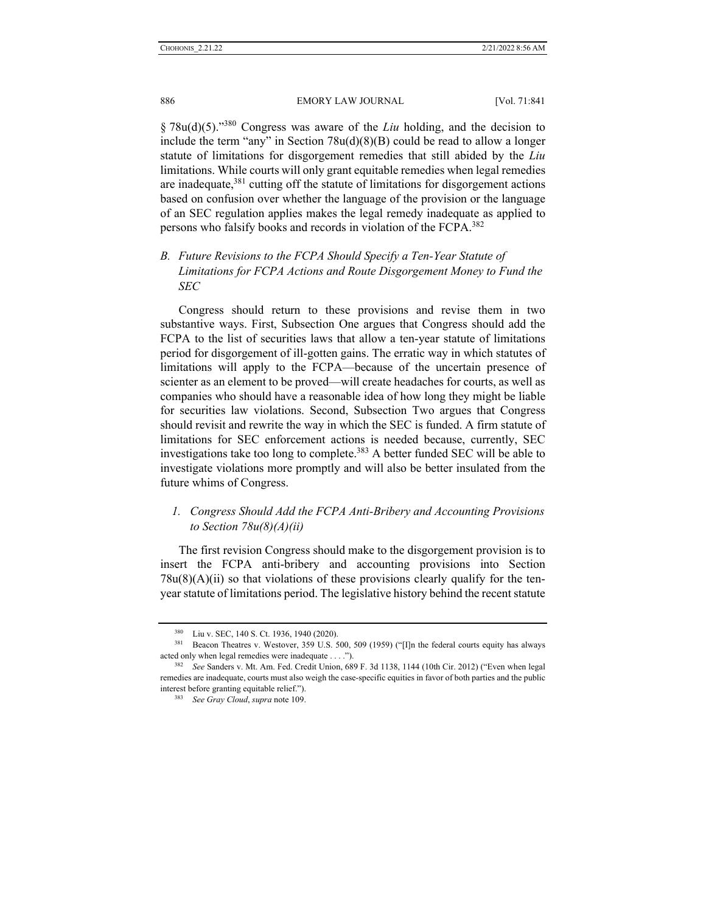§ 78u(d)(5)."380 Congress was aware of the *Liu* holding, and the decision to include the term "any" in Section  $78u(d)(8)(B)$  could be read to allow a longer statute of limitations for disgorgement remedies that still abided by the *Liu*  limitations. While courts will only grant equitable remedies when legal remedies are inadequate, $381$  cutting off the statute of limitations for disgorgement actions based on confusion over whether the language of the provision or the language of an SEC regulation applies makes the legal remedy inadequate as applied to persons who falsify books and records in violation of the FCPA.<sup>382</sup>

*B. Future Revisions to the FCPA Should Specify a Ten-Year Statute of Limitations for FCPA Actions and Route Disgorgement Money to Fund the SEC* 

Congress should return to these provisions and revise them in two substantive ways. First, Subsection One argues that Congress should add the FCPA to the list of securities laws that allow a ten-year statute of limitations period for disgorgement of ill-gotten gains. The erratic way in which statutes of limitations will apply to the FCPA—because of the uncertain presence of scienter as an element to be proved—will create headaches for courts, as well as companies who should have a reasonable idea of how long they might be liable for securities law violations. Second, Subsection Two argues that Congress should revisit and rewrite the way in which the SEC is funded. A firm statute of limitations for SEC enforcement actions is needed because, currently, SEC investigations take too long to complete.<sup>383</sup> A better funded SEC will be able to investigate violations more promptly and will also be better insulated from the future whims of Congress.

## *1. Congress Should Add the FCPA Anti-Bribery and Accounting Provisions to Section 78u(8)(A)(ii)*

The first revision Congress should make to the disgorgement provision is to insert the FCPA anti-bribery and accounting provisions into Section  $78u(8)(A)(ii)$  so that violations of these provisions clearly qualify for the tenyear statute of limitations period. The legislative history behind the recent statute

<sup>&</sup>lt;sup>380</sup> Liu v. SEC, 140 S. Ct. 1936, 1940 (2020).<br><sup>381</sup> Beacon Theatres v. Westover, 359 U.S. 500, 509 (1959) ("[I]n the federal courts equity has always acted only when legal remedies were inadequate . . . ."). 382 *See* Sanders v. Mt. Am. Fed. Credit Union, 689 F. 3d 1138, 1144 (10th Cir. 2012) ("Even when legal

remedies are inadequate, courts must also weigh the case-specific equities in favor of both parties and the public interest before granting equitable relief."). 383 *See Gray Cloud*, *supra* note 109.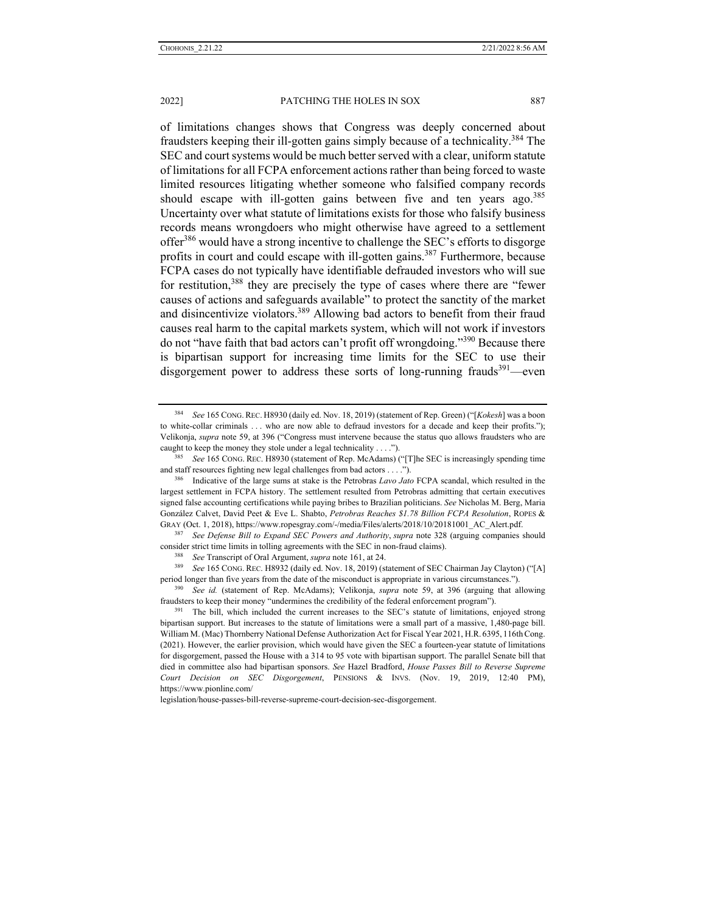of limitations changes shows that Congress was deeply concerned about fraudsters keeping their ill-gotten gains simply because of a technicality.<sup>384</sup> The SEC and court systems would be much better served with a clear, uniform statute of limitations for all FCPA enforcement actions rather than being forced to waste limited resources litigating whether someone who falsified company records should escape with ill-gotten gains between five and ten years ago.<sup>385</sup> Uncertainty over what statute of limitations exists for those who falsify business records means wrongdoers who might otherwise have agreed to a settlement offer<sup>386</sup> would have a strong incentive to challenge the SEC's efforts to disgorge profits in court and could escape with ill-gotten gains.<sup>387</sup> Furthermore, because FCPA cases do not typically have identifiable defrauded investors who will sue for restitution,<sup>388</sup> they are precisely the type of cases where there are "fewer causes of actions and safeguards available" to protect the sanctity of the market and disincentivize violators.389 Allowing bad actors to benefit from their fraud causes real harm to the capital markets system, which will not work if investors do not "have faith that bad actors can't profit off wrongdoing."<sup>390</sup> Because there is bipartisan support for increasing time limits for the SEC to use their disgorgement power to address these sorts of long-running frauds<sup>391</sup>—even

<sup>387</sup> *See Defense Bill to Expand SEC Powers and Authority*, *supra* note 328 (arguing companies should consider strict time limits in tolling agreements with the SEC in non-fraud claims).<br><sup>388</sup> See Transcript of Oral Argument, *supra* note 161, at 24.<br><sup>389</sup> See 165 CONG. REC. H8932 (daily ed. Nov. 18, 2019) (statement of SE

legislation/house-passes-bill-reverse-supreme-court-decision-sec-disgorgement.

<sup>384</sup> *See* 165 CONG.REC. H8930 (daily ed. Nov. 18, 2019) (statement of Rep. Green) ("[*Kokesh*] was a boon to white-collar criminals . . . who are now able to defraud investors for a decade and keep their profits."); Velikonja, *supra* note 59, at 396 ("Congress must intervene because the status quo allows fraudsters who are caught to keep the money they stole under a legal technicality . . . ."). 385 *See* 165 CONG. REC. H8930 (statement of Rep. McAdams) ("[T]he SEC is increasingly spending time

and staff resources fighting new legal challenges from bad actors . . . .").<br><sup>386</sup> Indicative of the large sums at stake is the Petrobras *Lavo Jato* FCPA scandal, which resulted in the

largest settlement in FCPA history. The settlement resulted from Petrobras admitting that certain executives signed false accounting certifications while paying bribes to Brazilian politicians. *See* Nicholas M. Berg, Maria González Calvet, David Peet & Eve L. Shabto, *Petrobras Reaches \$1.78 Billion FCPA Resolution*, ROPES & GRAY (Oct. 1, 2018), https://www.ropesgray.com/-/media/Files/alerts/2018/10/20181001\_AC\_Alert.pdf.

period longer than five years from the date of the misconduct is appropriate in various circumstances."). 390 *See id.* (statement of Rep. McAdams); Velikonja, *supra* note 59, at 396 (arguing that allowing

fraudsters to keep their money "undermines the credibility of the federal enforcement program").<br><sup>391</sup> The bill, which included the current increases to the SEC's statute of limitations, enjoyed strong

bipartisan support. But increases to the statute of limitations were a small part of a massive, 1,480-page bill. William M. (Mac) Thornberry National Defense Authorization Act for Fiscal Year 2021, H.R. 6395, 116th Cong. (2021). However, the earlier provision, which would have given the SEC a fourteen-year statute of limitations for disgorgement, passed the House with a 314 to 95 vote with bipartisan support. The parallel Senate bill that died in committee also had bipartisan sponsors. *See* Hazel Bradford, *House Passes Bill to Reverse Supreme Court Decision on SEC Disgorgement*, PENSIONS & INVS. (Nov. 19, 2019, 12:40 PM), https://www.pionline.com/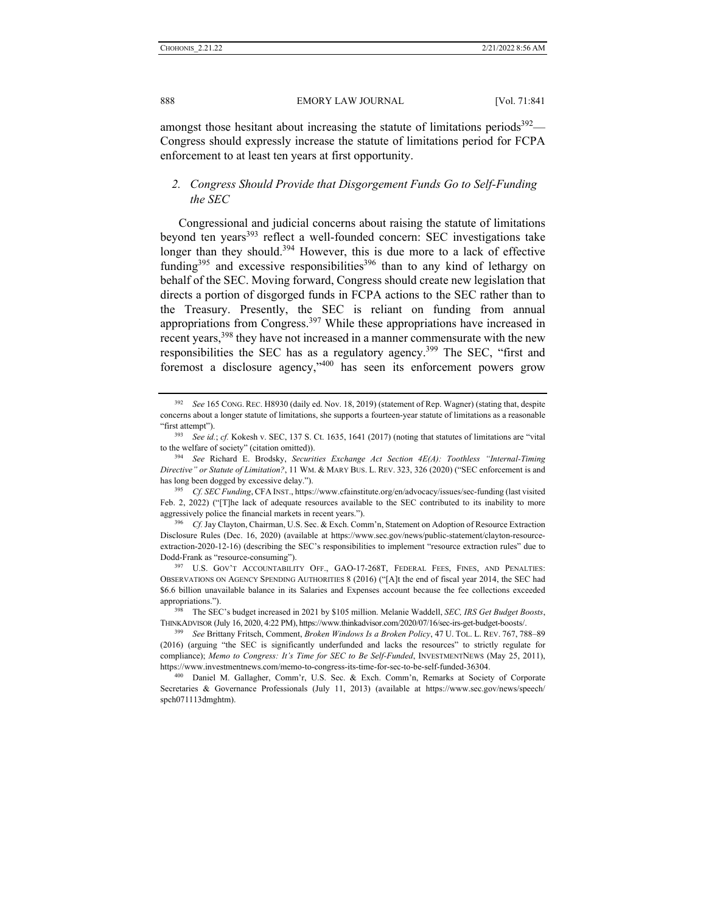amongst those hesitant about increasing the statute of limitations periods<sup>392</sup>— Congress should expressly increase the statute of limitations period for FCPA enforcement to at least ten years at first opportunity.

## *2. Congress Should Provide that Disgorgement Funds Go to Self-Funding the SEC*

Congressional and judicial concerns about raising the statute of limitations beyond ten years<sup>393</sup> reflect a well-founded concern: SEC investigations take longer than they should.<sup>394</sup> However, this is due more to a lack of effective funding<sup>395</sup> and excessive responsibilities<sup>396</sup> than to any kind of lethargy on behalf of the SEC. Moving forward, Congress should create new legislation that directs a portion of disgorged funds in FCPA actions to the SEC rather than to the Treasury. Presently, the SEC is reliant on funding from annual appropriations from Congress.397 While these appropriations have increased in recent years,<sup>398</sup> they have not increased in a manner commensurate with the new responsibilities the SEC has as a regulatory agency.<sup>399</sup> The SEC, "first and foremost a disclosure agency,"400 has seen its enforcement powers grow

<sup>392</sup> *See* 165 CONG. REC. H8930 (daily ed. Nov. 18, 2019) (statement of Rep. Wagner) (stating that, despite concerns about a longer statute of limitations, she supports a fourteen-year statute of limitations as a reasonable "first attempt"). 393 *See id.*; *cf.* Kokesh v. SEC, 137 S. Ct. 1635, 1641 (2017) (noting that statutes of limitations are "vital

to the welfare of society" (citation omitted)). 394 *See* Richard E. Brodsky, *Securities Exchange Act Section 4E(A): Toothless "Internal-Timing* 

*Directive" or Statute of Limitation?*, 11 WM. & MARY BUS. L. REV. 323, 326 (2020) ("SEC enforcement is and has long been dogged by excessive delay."). 395 *Cf. SEC Funding*, CFA INST., https://www.cfainstitute.org/en/advocacy/issues/sec-funding (last visited

Feb. 2, 2022) ("The lack of adequate resources available to the SEC contributed to its inability to more aggressively police the financial markets in recent years.").<br><sup>396</sup> *Cf.* Jay Clayton, Chairman, U.S. Sec. & Exch. Comm'n, Statement on Adoption of Resource Extraction

Disclosure Rules (Dec. 16, 2020) (available at https://www.sec.gov/news/public-statement/clayton-resourceextraction-2020-12-16) (describing the SEC's responsibilities to implement "resource extraction rules" due to Dodd-Frank as "resource-consuming"). 397 U.S. GOV'T ACCOUNTABILITY OFF., GAO-17-268T, FEDERAL FEES, FINES, AND PENALTIES:

OBSERVATIONS ON AGENCY SPENDING AUTHORITIES 8 (2016) ("[A]t the end of fiscal year 2014, the SEC had \$6.6 billion unavailable balance in its Salaries and Expenses account because the fee collections exceeded appropriations."). 398 The SEC's budget increased in 2021 by \$105 million. Melanie Waddell, *SEC, IRS Get Budget Boosts*,

THINKADVISOR (July 16, 2020, 4:22 PM), https://www.thinkadvisor.com/2020/07/16/sec-irs-get-budget-boosts/. 399 *See* Brittany Fritsch, Comment, *Broken Windows Is a Broken Policy*, <sup>47</sup> U. TOL. L. REV. 767, 788–89

<sup>(2016) (</sup>arguing "the SEC is significantly underfunded and lacks the resources" to strictly regulate for compliance); *Memo to Congress: It's Time for SEC to Be Self-Funded*, INVESTMENTNEWS (May 25, 2011), https://www.investmentnews.com/memo-to-congress-its-time-for-sec-to-be-self-funded-36304. 400 Daniel M. Gallagher, Comm'r, U.S. Sec. & Exch. Comm'n, Remarks at Society of Corporate

Secretaries & Governance Professionals (July 11, 2013) (available at https://www.sec.gov/news/speech/ spch071113dmghtm).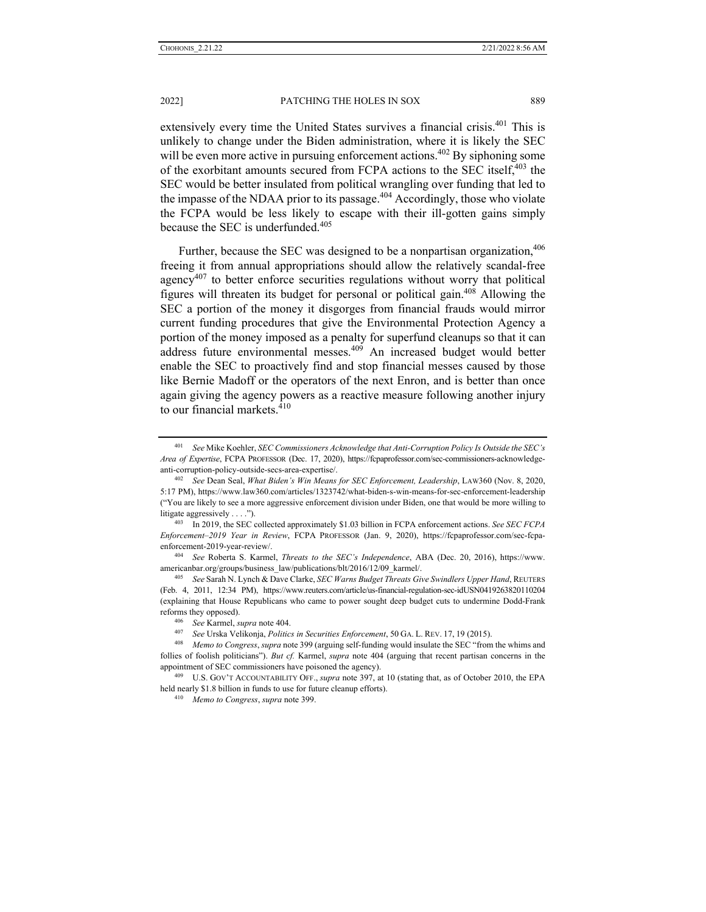extensively every time the United States survives a financial crisis.<sup>401</sup> This is unlikely to change under the Biden administration, where it is likely the SEC will be even more active in pursuing enforcement actions.<sup> $402$ </sup> By siphoning some of the exorbitant amounts secured from FCPA actions to the SEC itself,<sup>403</sup> the SEC would be better insulated from political wrangling over funding that led to the impasse of the NDAA prior to its passage.<sup>404</sup> Accordingly, those who violate the FCPA would be less likely to escape with their ill-gotten gains simply because the SEC is underfunded.<sup>405</sup>

Further, because the SEC was designed to be a nonpartisan organization,  $406$ freeing it from annual appropriations should allow the relatively scandal-free agency $407$  to better enforce securities regulations without worry that political figures will threaten its budget for personal or political gain.408 Allowing the SEC a portion of the money it disgorges from financial frauds would mirror current funding procedures that give the Environmental Protection Agency a portion of the money imposed as a penalty for superfund cleanups so that it can address future environmental messes.<sup>409</sup> An increased budget would better enable the SEC to proactively find and stop financial messes caused by those like Bernie Madoff or the operators of the next Enron, and is better than once again giving the agency powers as a reactive measure following another injury to our financial markets.410

<sup>401</sup> *See* Mike Koehler, *SEC Commissioners Acknowledge that Anti-Corruption Policy Is Outside the SEC's Area of Expertise*, FCPA PROFESSOR (Dec. 17, 2020), https://fcpaprofessor.com/sec-commissioners-acknowledgeanti-corruption-policy-outside-secs-area-expertise/. 402 *See* Dean Seal, *What Biden's Win Means for SEC Enforcement, Leadership*, LAW360 (Nov. 8, 2020,

<sup>5:17</sup> PM), https://www.law360.com/articles/1323742/what-biden-s-win-means-for-sec-enforcement-leadership ("You are likely to see a more aggressive enforcement division under Biden, one that would be more willing to litigate aggressively . . . ."). 403 In 2019, the SEC collected approximately \$1.03 billion in FCPA enforcement actions. *See SEC FCPA* 

*Enforcement–2019 Year in Review*, FCPA PROFESSOR (Jan. 9, 2020), https://fcpaprofessor.com/sec-fcpaenforcement-2019-year-review/. 404 *See* Roberta S. Karmel, *Threats to the SEC's Independence*, ABA (Dec. 20, 2016), https://www.

americanbar.org/groups/business\_law/publications/blt/2016/12/09\_karmel/. 405 *See* Sarah N. Lynch & Dave Clarke, *SEC Warns Budget Threats Give Swindlers Upper Hand*, REUTERS

<sup>(</sup>Feb. 4, 2011, 12:34 PM), https://www.reuters.com/article/us-financial-regulation-sec-idUSN0419263820110204 (explaining that House Republicans who came to power sought deep budget cuts to undermine Dodd-Frank reforms they opposed).<br>
<sup>406</sup> See Karmel, *supra* note 404.<br>
<sup>407</sup> See Urska Velikonja, *Politics in Securities Enforcement*, 50 GA. L. REV. 17, 19 (2015).<br> *Alemo to Congress, supra* note 399 (arguing self-funding would i

follies of foolish politicians"). *But cf.* Karmel, *supra* note 404 (arguing that recent partisan concerns in the appointment of SEC commissioners have poisoned the agency). 409 U.S. GOV'T ACCOUNTABILITY OFF., *supra* note 397, at 10 (stating that, as of October 2010, the EPA

held nearly \$1.8 billion in funds to use for future cleanup efforts). 410 *Memo to Congress*, *supra* note 399.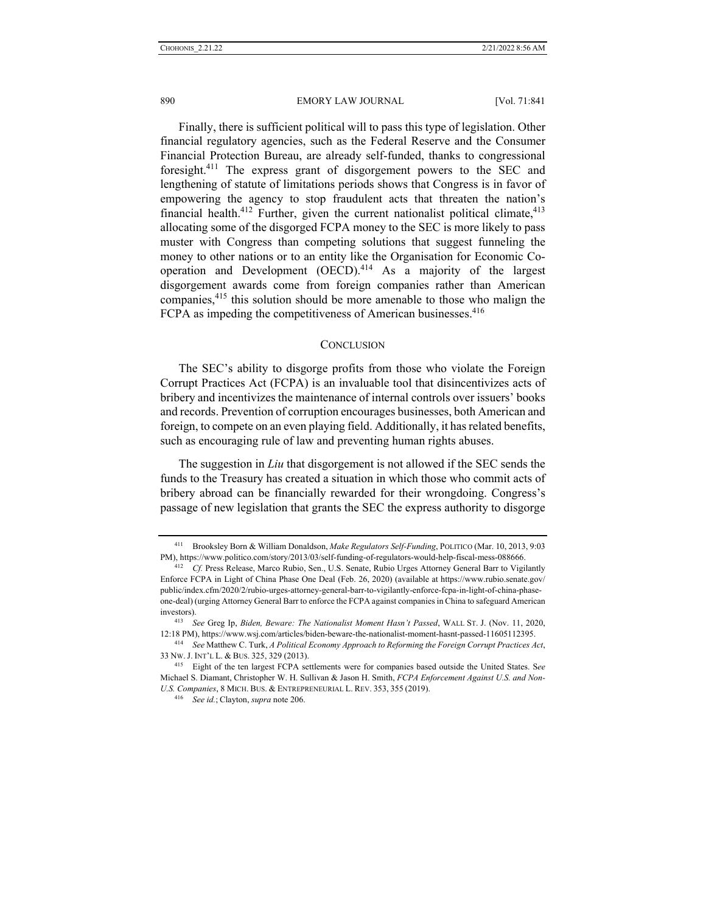Finally, there is sufficient political will to pass this type of legislation. Other financial regulatory agencies, such as the Federal Reserve and the Consumer Financial Protection Bureau, are already self-funded, thanks to congressional foresight.<sup>411</sup> The express grant of disgorgement powers to the SEC and lengthening of statute of limitations periods shows that Congress is in favor of empowering the agency to stop fraudulent acts that threaten the nation's financial health.<sup>412</sup> Further, given the current nationalist political climate,  $413$ allocating some of the disgorged FCPA money to the SEC is more likely to pass muster with Congress than competing solutions that suggest funneling the money to other nations or to an entity like the Organisation for Economic Cooperation and Development  $(OECD)$ .<sup>414</sup> As a majority of the largest disgorgement awards come from foreign companies rather than American companies,<sup>415</sup> this solution should be more amenable to those who malign the FCPA as impeding the competitiveness of American businesses.<sup>416</sup>

#### **CONCLUSION**

The SEC's ability to disgorge profits from those who violate the Foreign Corrupt Practices Act (FCPA) is an invaluable tool that disincentivizes acts of bribery and incentivizes the maintenance of internal controls over issuers' books and records. Prevention of corruption encourages businesses, both American and foreign, to compete on an even playing field. Additionally, it has related benefits, such as encouraging rule of law and preventing human rights abuses.

The suggestion in *Liu* that disgorgement is not allowed if the SEC sends the funds to the Treasury has created a situation in which those who commit acts of bribery abroad can be financially rewarded for their wrongdoing. Congress's passage of new legislation that grants the SEC the express authority to disgorge

<sup>411</sup> Brooksley Born & William Donaldson, *Make Regulators Self-Funding*, POLITICO (Mar. 10, 2013, 9:03 PM), https://www.politico.com/story/2013/03/self-funding-of-regulators-would-help-fiscal-mess-088666. 412 *Cf.* Press Release, Marco Rubio, Sen., U.S. Senate, Rubio Urges Attorney General Barr to Vigilantly

Enforce FCPA in Light of China Phase One Deal (Feb. 26, 2020) (available at https://www.rubio.senate.gov/ public/index.cfm/2020/2/rubio-urges-attorney-general-barr-to-vigilantly-enforce-fcpa-in-light-of-china-phaseone-deal) (urging Attorney General Barr to enforce the FCPA against companies in China to safeguard American investors). 413 *See* Greg Ip, *Biden, Beware: The Nationalist Moment Hasn't Passed*, WALL ST. J. (Nov. 11, 2020,

<sup>12:18</sup> PM), https://www.wsj.com/articles/biden-beware-the-nationalist-moment-hasnt-passed-11605112395. 414 *See* Matthew C. Turk, *A Political Economy Approach to Reforming the Foreign Corrupt Practices Act*,

<sup>33</sup> NW. J. INT'L L. & BUS. 325, 329 (2013). 415 Eight of the ten largest FCPA settlements were for companies based outside the United States. S*ee* 

Michael S. Diamant, Christopher W. H. Sullivan & Jason H. Smith, *FCPA Enforcement Against U.S. and Non-U.S. Companies*, 8 MICH. BUS. & ENTREPRENEURIAL L. REV. 353, <sup>355</sup> (2019). 416 *See id.*; Clayton, *supra* note 206.